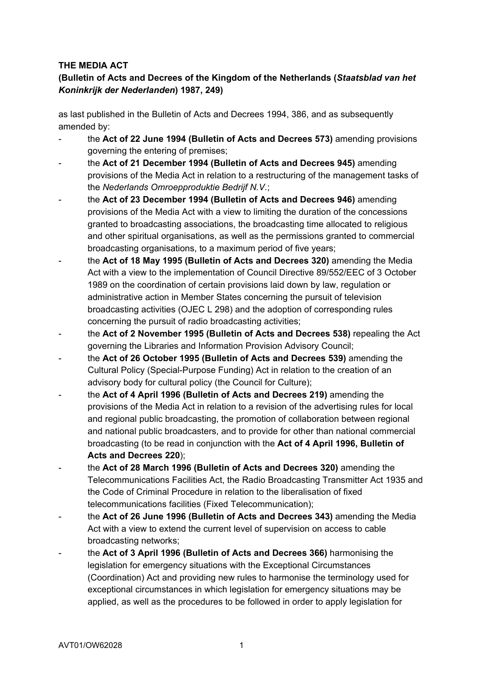## **THE MEDIA ACT**

# **(Bulletin of Acts and Decrees of the Kingdom of the Netherlands (***Staatsblad van het Koninkrijk der Nederlanden***) 1987, 249)**

as last published in the Bulletin of Acts and Decrees 1994, 386, and as subsequently amended by:

- the **Act of 22 June 1994 (Bulletin of Acts and Decrees 573)** amending provisions governing the entering of premises;
- the **Act of 21 December 1994 (Bulletin of Acts and Decrees 945)** amending provisions of the Media Act in relation to a restructuring of the management tasks of the *Nederlands Omroepproduktie Bedrijf N.V.*;
- the Act of 23 December 1994 (Bulletin of Acts and Decrees 946) amending provisions of the Media Act with a view to limiting the duration of the concessions granted to broadcasting associations, the broadcasting time allocated to religious and other spiritual organisations, as well as the permissions granted to commercial broadcasting organisations, to a maximum period of five years;
- the **Act of 18 May 1995 (Bulletin of Acts and Decrees 320)** amending the Media Act with a view to the implementation of Council Directive 89/552/EEC of 3 October 1989 on the coordination of certain provisions laid down by law, regulation or administrative action in Member States concerning the pursuit of television broadcasting activities (OJEC L 298) and the adoption of corresponding rules concerning the pursuit of radio broadcasting activities;
- the **Act of 2 November 1995 (Bulletin of Acts and Decrees 538)** repealing the Act governing the Libraries and Information Provision Advisory Council;
- the **Act of 26 October 1995 (Bulletin of Acts and Decrees 539)** amending the Cultural Policy (Special-Purpose Funding) Act in relation to the creation of an advisory body for cultural policy (the Council for Culture);
- the **Act of 4 April 1996 (Bulletin of Acts and Decrees 219)** amending the provisions of the Media Act in relation to a revision of the advertising rules for local and regional public broadcasting, the promotion of collaboration between regional and national public broadcasters, and to provide for other than national commercial broadcasting (to be read in conjunction with the **Act of 4 April 1996, Bulletin of Acts and Decrees 220**);
- the **Act of 28 March 1996 (Bulletin of Acts and Decrees 320)** amending the Telecommunications Facilities Act, the Radio Broadcasting Transmitter Act 1935 and the Code of Criminal Procedure in relation to the liberalisation of fixed telecommunications facilities (Fixed Telecommunication);
- the **Act of 26 June 1996 (Bulletin of Acts and Decrees 343)** amending the Media Act with a view to extend the current level of supervision on access to cable broadcasting networks;
- the **Act of 3 April 1996 (Bulletin of Acts and Decrees 366)** harmonising the legislation for emergency situations with the Exceptional Circumstances (Coordination) Act and providing new rules to harmonise the terminology used for exceptional circumstances in which legislation for emergency situations may be applied, as well as the procedures to be followed in order to apply legislation for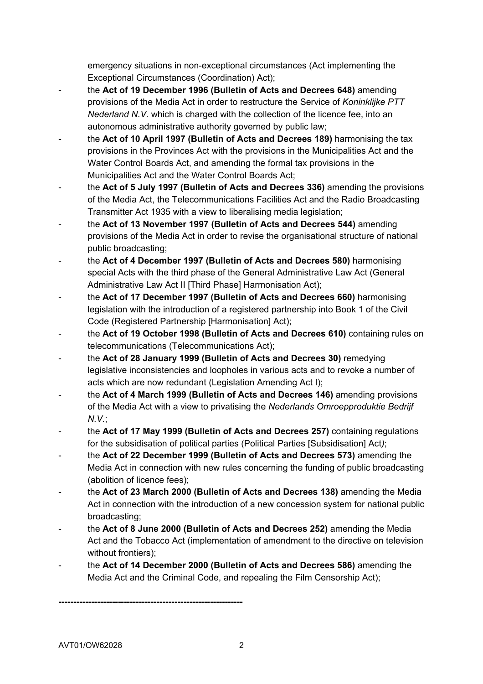emergency situations in non-exceptional circumstances (Act implementing the Exceptional Circumstances (Coordination) Act);

- the Act of 19 December 1996 (Bulletin of Acts and Decrees 648) amending provisions of the Media Act in order to restructure the Service of *Koninklijke PTT Nederland N.V.* which is charged with the collection of the licence fee, into an autonomous administrative authority governed by public law;
- the **Act of 10 April 1997 (Bulletin of Acts and Decrees 189)** harmonising the tax provisions in the Provinces Act with the provisions in the Municipalities Act and the Water Control Boards Act, and amending the formal tax provisions in the Municipalities Act and the Water Control Boards Act;
- the **Act of 5 July 1997 (Bulletin of Acts and Decrees 336)** amending the provisions of the Media Act, the Telecommunications Facilities Act and the Radio Broadcasting Transmitter Act 1935 with a view to liberalising media legislation;
- the Act of 13 November 1997 (Bulletin of Acts and Decrees 544) amending provisions of the Media Act in order to revise the organisational structure of national public broadcasting;
- the **Act of 4 December 1997 (Bulletin of Acts and Decrees 580)** harmonising special Acts with the third phase of the General Administrative Law Act (General Administrative Law Act II [Third Phase] Harmonisation Act);
- the **Act of 17 December 1997 (Bulletin of Acts and Decrees 660)** harmonising legislation with the introduction of a registered partnership into Book 1 of the Civil Code (Registered Partnership [Harmonisation] Act);
- the **Act of 19 October 1998 (Bulletin of Acts and Decrees 610)** containing rules on telecommunications (Telecommunications Act);
- the **Act of 28 January 1999 (Bulletin of Acts and Decrees 30)** remedying legislative inconsistencies and loopholes in various acts and to revoke a number of acts which are now redundant (Legislation Amending Act I);
- the **Act of 4 March 1999 (Bulletin of Acts and Decrees 146)** amending provisions of the Media Act with a view to privatising the *Nederlands Omroepproduktie Bedrijf N.V.*;
- the **Act of 17 May 1999 (Bulletin of Acts and Decrees 257)** containing regulations for the subsidisation of political parties (Political Parties [Subsidisation] Act*)*;
- the **Act of 22 December 1999 (Bulletin of Acts and Decrees 573)** amending the Media Act in connection with new rules concerning the funding of public broadcasting (abolition of licence fees);
- the **Act of 23 March 2000 (Bulletin of Acts and Decrees 138)** amending the Media Act in connection with the introduction of a new concession system for national public broadcasting;
- the **Act of 8 June 2000 (Bulletin of Acts and Decrees 252)** amending the Media Act and the Tobacco Act (implementation of amendment to the directive on television without frontiers);
- the **Act of 14 December 2000 (Bulletin of Acts and Decrees 586)** amending the Media Act and the Criminal Code, and repealing the Film Censorship Act);

**--------------------------------------------------------------**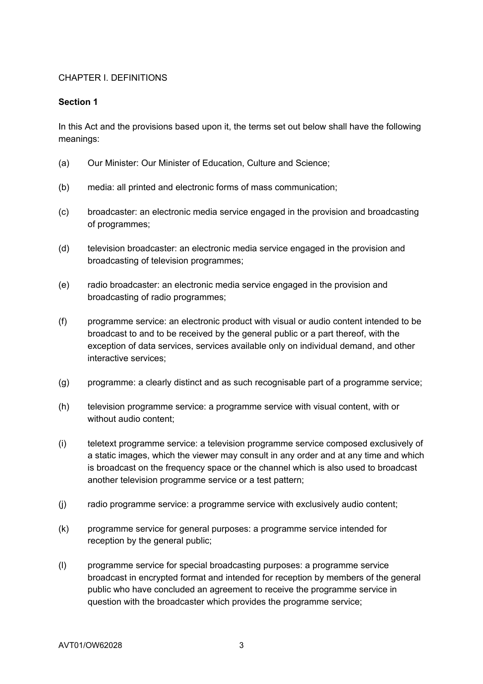### CHAPTER I. DEFINITIONS

#### **Section 1**

In this Act and the provisions based upon it, the terms set out below shall have the following meanings:

- (a) Our Minister: Our Minister of Education, Culture and Science;
- (b) media: all printed and electronic forms of mass communication;
- (c) broadcaster: an electronic media service engaged in the provision and broadcasting of programmes;
- (d) television broadcaster: an electronic media service engaged in the provision and broadcasting of television programmes;
- (e) radio broadcaster: an electronic media service engaged in the provision and broadcasting of radio programmes;
- (f) programme service: an electronic product with visual or audio content intended to be broadcast to and to be received by the general public or a part thereof, with the exception of data services, services available only on individual demand, and other interactive services;
- (g) programme: a clearly distinct and as such recognisable part of a programme service;
- (h) television programme service: a programme service with visual content, with or without audio content;
- (i) teletext programme service: a television programme service composed exclusively of a static images, which the viewer may consult in any order and at any time and which is broadcast on the frequency space or the channel which is also used to broadcast another television programme service or a test pattern;
- (j) radio programme service: a programme service with exclusively audio content;
- (k) programme service for general purposes: a programme service intended for reception by the general public;
- (l) programme service for special broadcasting purposes: a programme service broadcast in encrypted format and intended for reception by members of the general public who have concluded an agreement to receive the programme service in question with the broadcaster which provides the programme service;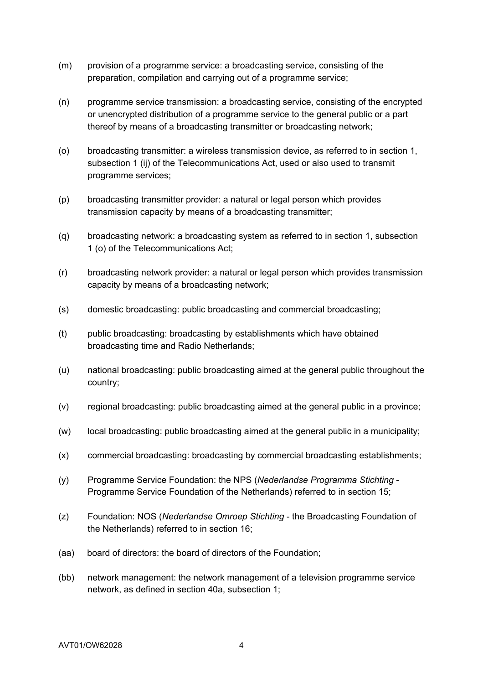- (m) provision of a programme service: a broadcasting service, consisting of the preparation, compilation and carrying out of a programme service;
- (n) programme service transmission: a broadcasting service, consisting of the encrypted or unencrypted distribution of a programme service to the general public or a part thereof by means of a broadcasting transmitter or broadcasting network;
- (o) broadcasting transmitter: a wireless transmission device, as referred to in section 1, subsection 1 (ij) of the Telecommunications Act, used or also used to transmit programme services;
- (p) broadcasting transmitter provider: a natural or legal person which provides transmission capacity by means of a broadcasting transmitter;
- (q) broadcasting network: a broadcasting system as referred to in section 1, subsection 1 (o) of the Telecommunications Act;
- (r) broadcasting network provider: a natural or legal person which provides transmission capacity by means of a broadcasting network;
- (s) domestic broadcasting: public broadcasting and commercial broadcasting;
- (t) public broadcasting: broadcasting by establishments which have obtained broadcasting time and Radio Netherlands;
- (u) national broadcasting: public broadcasting aimed at the general public throughout the country;
- (v) regional broadcasting: public broadcasting aimed at the general public in a province;
- (w) local broadcasting: public broadcasting aimed at the general public in a municipality;
- (x) commercial broadcasting: broadcasting by commercial broadcasting establishments;
- (y) Programme Service Foundation: the NPS (*Nederlandse Programma Stichting* Programme Service Foundation of the Netherlands) referred to in section 15;
- (z) Foundation: NOS (*Nederlandse Omroep Stichting* the Broadcasting Foundation of the Netherlands) referred to in section 16;
- (aa) board of directors: the board of directors of the Foundation;
- (bb) network management: the network management of a television programme service network, as defined in section 40a, subsection 1;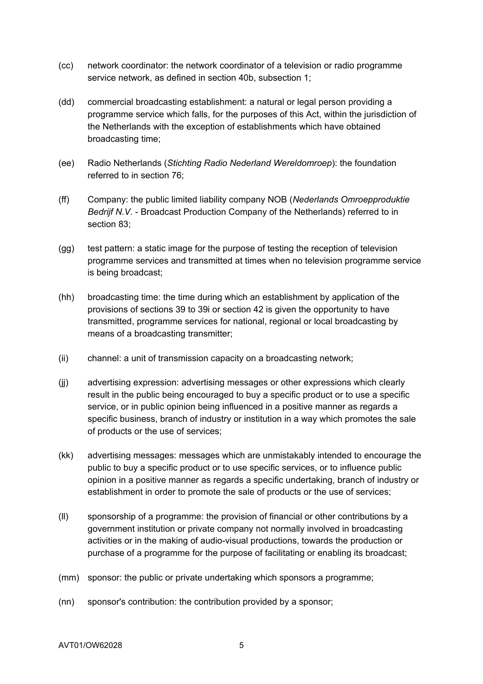- (cc) network coordinator: the network coordinator of a television or radio programme service network, as defined in section 40b, subsection 1;
- (dd) commercial broadcasting establishment: a natural or legal person providing a programme service which falls, for the purposes of this Act, within the jurisdiction of the Netherlands with the exception of establishments which have obtained broadcasting time;
- (ee) Radio Netherlands (*Stichting Radio Nederland Wereldomroep*): the foundation referred to in section 76;
- (ff) Company: the public limited liability company NOB (*Nederlands Omroepproduktie Bedrijf N.V.* - Broadcast Production Company of the Netherlands) referred to in section 83;
- (gg) test pattern: a static image for the purpose of testing the reception of television programme services and transmitted at times when no television programme service is being broadcast;
- (hh) broadcasting time: the time during which an establishment by application of the provisions of sections 39 to 39i or section 42 is given the opportunity to have transmitted, programme services for national, regional or local broadcasting by means of a broadcasting transmitter;
- (ii) channel: a unit of transmission capacity on a broadcasting network;
- (jj) advertising expression: advertising messages or other expressions which clearly result in the public being encouraged to buy a specific product or to use a specific service, or in public opinion being influenced in a positive manner as regards a specific business, branch of industry or institution in a way which promotes the sale of products or the use of services;
- (kk) advertising messages: messages which are unmistakably intended to encourage the public to buy a specific product or to use specific services, or to influence public opinion in a positive manner as regards a specific undertaking, branch of industry or establishment in order to promote the sale of products or the use of services;
- (ll) sponsorship of a programme: the provision of financial or other contributions by a government institution or private company not normally involved in broadcasting activities or in the making of audio-visual productions, towards the production or purchase of a programme for the purpose of facilitating or enabling its broadcast;
- (mm) sponsor: the public or private undertaking which sponsors a programme;
- (nn) sponsor's contribution: the contribution provided by a sponsor;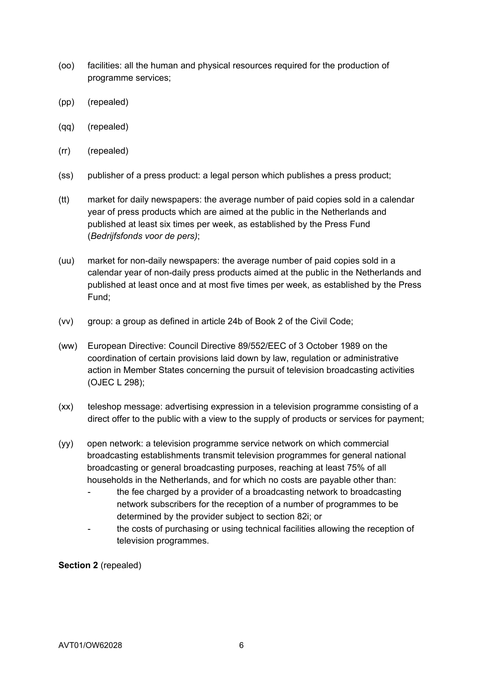- (oo) facilities: all the human and physical resources required for the production of programme services;
- (pp) (repealed)
- (qq) (repealed)
- (rr) (repealed)
- (ss) publisher of a press product: a legal person which publishes a press product;
- (tt) market for daily newspapers: the average number of paid copies sold in a calendar year of press products which are aimed at the public in the Netherlands and published at least six times per week, as established by the Press Fund (*Bedrijfsfonds voor de pers)*;
- (uu) market for non-daily newspapers: the average number of paid copies sold in a calendar year of non-daily press products aimed at the public in the Netherlands and published at least once and at most five times per week, as established by the Press Fund;
- (vv) group: a group as defined in article 24b of Book 2 of the Civil Code;
- (ww) European Directive: Council Directive 89/552/EEC of 3 October 1989 on the coordination of certain provisions laid down by law, regulation or administrative action in Member States concerning the pursuit of television broadcasting activities (OJEC L 298);
- (xx) teleshop message: advertising expression in a television programme consisting of a direct offer to the public with a view to the supply of products or services for payment;
- (yy) open network: a television programme service network on which commercial broadcasting establishments transmit television programmes for general national broadcasting or general broadcasting purposes, reaching at least 75% of all households in the Netherlands, and for which no costs are payable other than:
	- the fee charged by a provider of a broadcasting network to broadcasting network subscribers for the reception of a number of programmes to be determined by the provider subject to section 82i; or
	- the costs of purchasing or using technical facilities allowing the reception of television programmes.

**Section 2** (repealed)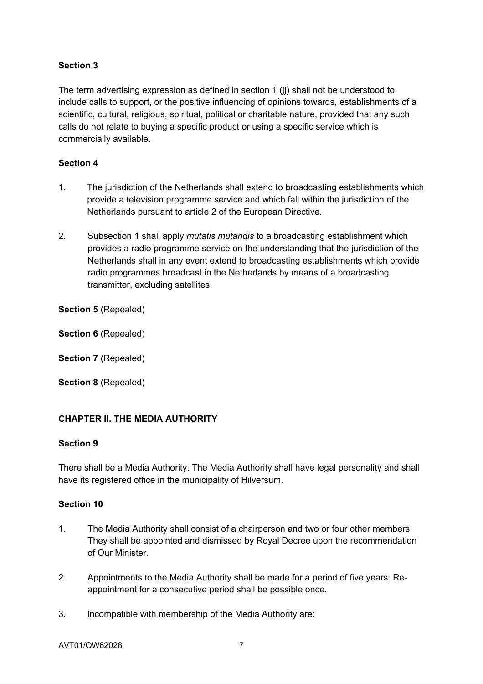The term advertising expression as defined in section 1 (jj) shall not be understood to include calls to support, or the positive influencing of opinions towards, establishments of a scientific, cultural, religious, spiritual, political or charitable nature, provided that any such calls do not relate to buying a specific product or using a specific service which is commercially available.

## **Section 4**

- 1. The jurisdiction of the Netherlands shall extend to broadcasting establishments which provide a television programme service and which fall within the jurisdiction of the Netherlands pursuant to article 2 of the European Directive.
- 2. Subsection 1 shall apply *mutatis mutandis* to a broadcasting establishment which provides a radio programme service on the understanding that the jurisdiction of the Netherlands shall in any event extend to broadcasting establishments which provide radio programmes broadcast in the Netherlands by means of a broadcasting transmitter, excluding satellites.

**Section 5** (Repealed)

**Section 6** (Repealed)

**Section 7** (Repealed)

**Section 8** (Repealed)

## **CHAPTER II. THE MEDIA AUTHORITY**

#### **Section 9**

There shall be a Media Authority. The Media Authority shall have legal personality and shall have its registered office in the municipality of Hilversum.

- 1. The Media Authority shall consist of a chairperson and two or four other members. They shall be appointed and dismissed by Royal Decree upon the recommendation of Our Minister.
- 2. Appointments to the Media Authority shall be made for a period of five years. Reappointment for a consecutive period shall be possible once.
- 3. Incompatible with membership of the Media Authority are: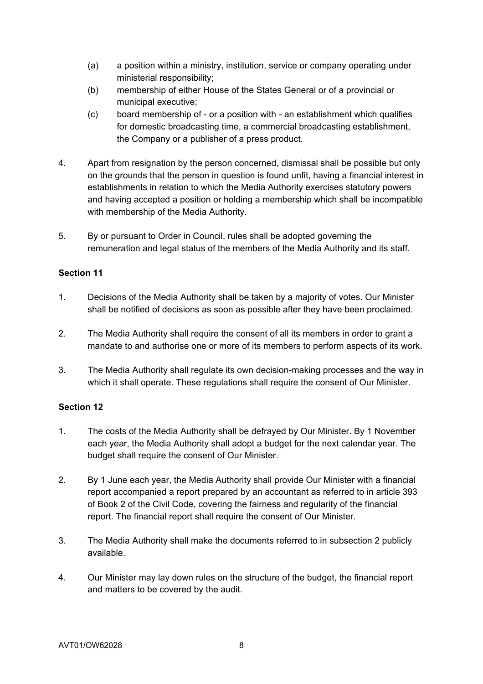- (a) a position within a ministry, institution, service or company operating under ministerial responsibility;
- (b) membership of either House of the States General or of a provincial or municipal executive;
- (c) board membership of or a position with an establishment which qualifies for domestic broadcasting time, a commercial broadcasting establishment, the Company or a publisher of a press product.
- 4. Apart from resignation by the person concerned, dismissal shall be possible but only on the grounds that the person in question is found unfit, having a financial interest in establishments in relation to which the Media Authority exercises statutory powers and having accepted a position or holding a membership which shall be incompatible with membership of the Media Authority.
- 5. By or pursuant to Order in Council, rules shall be adopted governing the remuneration and legal status of the members of the Media Authority and its staff.

- 1. Decisions of the Media Authority shall be taken by a majority of votes. Our Minister shall be notified of decisions as soon as possible after they have been proclaimed.
- 2. The Media Authority shall require the consent of all its members in order to grant a mandate to and authorise one or more of its members to perform aspects of its work.
- 3. The Media Authority shall regulate its own decision-making processes and the way in which it shall operate. These regulations shall require the consent of Our Minister.

- 1. The costs of the Media Authority shall be defrayed by Our Minister. By 1 November each year, the Media Authority shall adopt a budget for the next calendar year. The budget shall require the consent of Our Minister.
- 2. By 1 June each year, the Media Authority shall provide Our Minister with a financial report accompanied a report prepared by an accountant as referred to in article 393 of Book 2 of the Civil Code, covering the fairness and regularity of the financial report. The financial report shall require the consent of Our Minister.
- 3. The Media Authority shall make the documents referred to in subsection 2 publicly available.
- 4. Our Minister may lay down rules on the structure of the budget, the financial report and matters to be covered by the audit.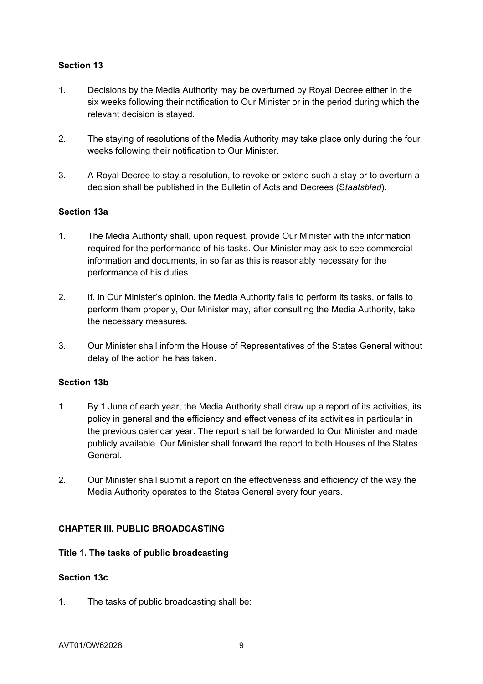- 1. Decisions by the Media Authority may be overturned by Royal Decree either in the six weeks following their notification to Our Minister or in the period during which the relevant decision is stayed.
- 2. The staying of resolutions of the Media Authority may take place only during the four weeks following their notification to Our Minister.
- 3. A Royal Decree to stay a resolution, to revoke or extend such a stay or to overturn a decision shall be published in the Bulletin of Acts and Decrees (S*taatsblad*).

### **Section 13a**

- 1. The Media Authority shall, upon request, provide Our Minister with the information required for the performance of his tasks. Our Minister may ask to see commercial information and documents, in so far as this is reasonably necessary for the performance of his duties.
- 2. If, in Our Minister's opinion, the Media Authority fails to perform its tasks, or fails to perform them properly, Our Minister may, after consulting the Media Authority, take the necessary measures.
- 3. Our Minister shall inform the House of Representatives of the States General without delay of the action he has taken.

#### **Section 13b**

- 1. By 1 June of each year, the Media Authority shall draw up a report of its activities, its policy in general and the efficiency and effectiveness of its activities in particular in the previous calendar year. The report shall be forwarded to Our Minister and made publicly available. Our Minister shall forward the report to both Houses of the States General.
- 2. Our Minister shall submit a report on the effectiveness and efficiency of the way the Media Authority operates to the States General every four years.

#### **CHAPTER III. PUBLIC BROADCASTING**

#### **Title 1. The tasks of public broadcasting**

#### **Section 13c**

1. The tasks of public broadcasting shall be: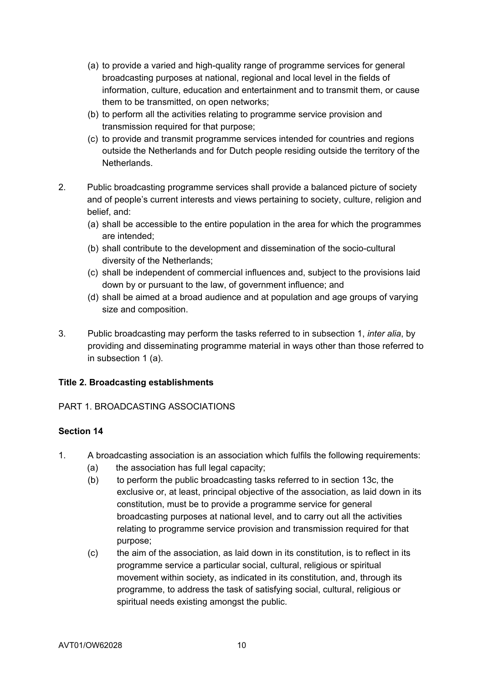- (a) to provide a varied and high-quality range of programme services for general broadcasting purposes at national, regional and local level in the fields of information, culture, education and entertainment and to transmit them, or cause them to be transmitted, on open networks;
- (b) to perform all the activities relating to programme service provision and transmission required for that purpose;
- (c) to provide and transmit programme services intended for countries and regions outside the Netherlands and for Dutch people residing outside the territory of the Netherlands.
- 2. Public broadcasting programme services shall provide a balanced picture of society and of people's current interests and views pertaining to society, culture, religion and belief, and:
	- (a) shall be accessible to the entire population in the area for which the programmes are intended;
	- (b) shall contribute to the development and dissemination of the socio-cultural diversity of the Netherlands;
	- (c) shall be independent of commercial influences and, subject to the provisions laid down by or pursuant to the law, of government influence; and
	- (d) shall be aimed at a broad audience and at population and age groups of varying size and composition.
- 3. Public broadcasting may perform the tasks referred to in subsection 1, *inter alia*, by providing and disseminating programme material in ways other than those referred to in subsection 1 (a).

## **Title 2. Broadcasting establishments**

## PART 1. BROADCASTING ASSOCIATIONS

- 1. A broadcasting association is an association which fulfils the following requirements:
	- (a) the association has full legal capacity;
	- (b) to perform the public broadcasting tasks referred to in section 13c, the exclusive or, at least, principal objective of the association, as laid down in its constitution, must be to provide a programme service for general broadcasting purposes at national level, and to carry out all the activities relating to programme service provision and transmission required for that purpose;
	- (c) the aim of the association, as laid down in its constitution, is to reflect in its programme service a particular social, cultural, religious or spiritual movement within society, as indicated in its constitution, and, through its programme, to address the task of satisfying social, cultural, religious or spiritual needs existing amongst the public.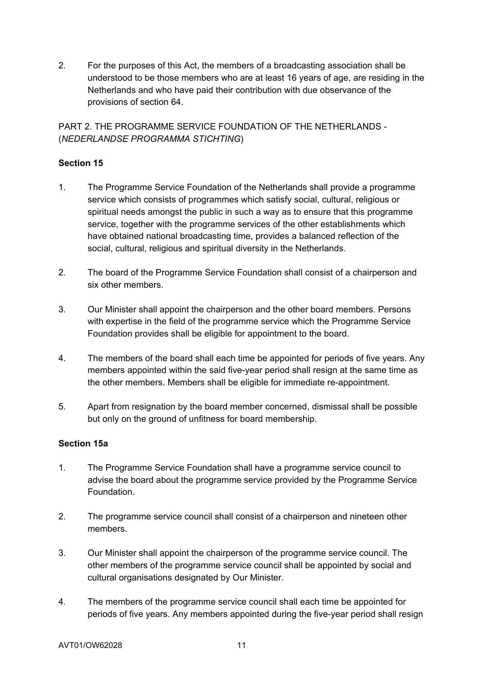2. For the purposes of this Act, the members of a broadcasting association shall be understood to be those members who are at least 16 years of age, are residing in the Netherlands and who have paid their contribution with due observance of the provisions of section 64.

PART 2. THE PROGRAMME SERVICE FOUNDATION OF THE NETHERLANDS - (*NEDERLANDSE PROGRAMMA STICHTING*)

# **Section 15**

- 1. The Programme Service Foundation of the Netherlands shall provide a programme service which consists of programmes which satisfy social, cultural, religious or spiritual needs amongst the public in such a way as to ensure that this programme service, together with the programme services of the other establishments which have obtained national broadcasting time, provides a balanced reflection of the social, cultural, religious and spiritual diversity in the Netherlands.
- 2. The board of the Programme Service Foundation shall consist of a chairperson and six other members.
- 3. Our Minister shall appoint the chairperson and the other board members. Persons with expertise in the field of the programme service which the Programme Service Foundation provides shall be eligible for appointment to the board.
- 4. The members of the board shall each time be appointed for periods of five years. Any members appointed within the said five-year period shall resign at the same time as the other members. Members shall be eligible for immediate re-appointment.
- 5. Apart from resignation by the board member concerned, dismissal shall be possible but only on the ground of unfitness for board membership.

## **Section 15a**

- 1. The Programme Service Foundation shall have a programme service council to advise the board about the programme service provided by the Programme Service Foundation.
- 2. The programme service council shall consist of a chairperson and nineteen other members.
- 3. Our Minister shall appoint the chairperson of the programme service council. The other members of the programme service council shall be appointed by social and cultural organisations designated by Our Minister.
- 4. The members of the programme service council shall each time be appointed for periods of five years. Any members appointed during the five-year period shall resign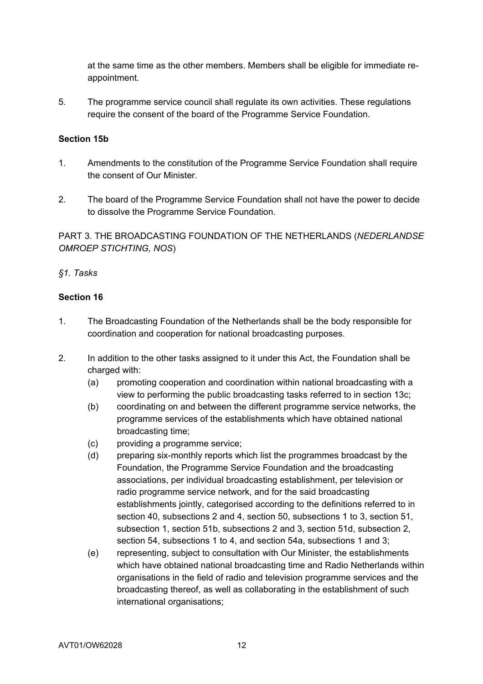at the same time as the other members. Members shall be eligible for immediate reappointment.

5. The programme service council shall regulate its own activities. These regulations require the consent of the board of the Programme Service Foundation.

#### **Section 15b**

- 1. Amendments to the constitution of the Programme Service Foundation shall require the consent of Our Minister.
- 2. The board of the Programme Service Foundation shall not have the power to decide to dissolve the Programme Service Foundation.

PART 3. THE BROADCASTING FOUNDATION OF THE NETHERLANDS (*NEDERLANDSE OMROEP STICHTING, NOS*)

#### *§1. Tasks*

- 1. The Broadcasting Foundation of the Netherlands shall be the body responsible for coordination and cooperation for national broadcasting purposes.
- 2. In addition to the other tasks assigned to it under this Act, the Foundation shall be charged with:
	- (a) promoting cooperation and coordination within national broadcasting with a view to performing the public broadcasting tasks referred to in section 13c;
	- (b) coordinating on and between the different programme service networks, the programme services of the establishments which have obtained national broadcasting time;
	- (c) providing a programme service;
	- (d) preparing six-monthly reports which list the programmes broadcast by the Foundation, the Programme Service Foundation and the broadcasting associations, per individual broadcasting establishment, per television or radio programme service network, and for the said broadcasting establishments jointly, categorised according to the definitions referred to in section 40, subsections 2 and 4, section 50, subsections 1 to 3, section 51, subsection 1, section 51b, subsections 2 and 3, section 51d, subsection 2, section 54, subsections 1 to 4, and section 54a, subsections 1 and 3;
	- (e) representing, subject to consultation with Our Minister, the establishments which have obtained national broadcasting time and Radio Netherlands within organisations in the field of radio and television programme services and the broadcasting thereof, as well as collaborating in the establishment of such international organisations;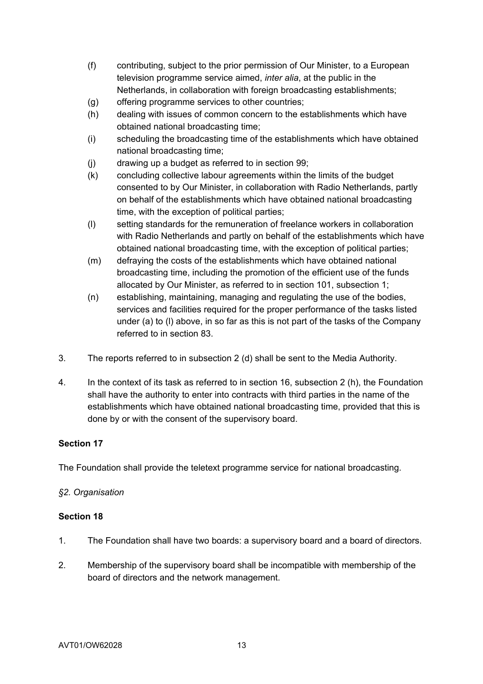- (f) contributing, subject to the prior permission of Our Minister, to a European television programme service aimed, *inter alia*, at the public in the Netherlands, in collaboration with foreign broadcasting establishments;
- (g) offering programme services to other countries;
- (h) dealing with issues of common concern to the establishments which have obtained national broadcasting time;
- (i) scheduling the broadcasting time of the establishments which have obtained national broadcasting time;
- (j) drawing up a budget as referred to in section 99;
- (k) concluding collective labour agreements within the limits of the budget consented to by Our Minister, in collaboration with Radio Netherlands, partly on behalf of the establishments which have obtained national broadcasting time, with the exception of political parties;
- (l) setting standards for the remuneration of freelance workers in collaboration with Radio Netherlands and partly on behalf of the establishments which have obtained national broadcasting time, with the exception of political parties;
- (m) defraying the costs of the establishments which have obtained national broadcasting time, including the promotion of the efficient use of the funds allocated by Our Minister, as referred to in section 101, subsection 1;
- (n) establishing, maintaining, managing and regulating the use of the bodies, services and facilities required for the proper performance of the tasks listed under (a) to (l) above, in so far as this is not part of the tasks of the Company referred to in section 83.
- 3. The reports referred to in subsection 2 (d) shall be sent to the Media Authority.
- 4. In the context of its task as referred to in section 16, subsection 2 (h), the Foundation shall have the authority to enter into contracts with third parties in the name of the establishments which have obtained national broadcasting time, provided that this is done by or with the consent of the supervisory board.

The Foundation shall provide the teletext programme service for national broadcasting.

## *§2. Organisation*

- 1. The Foundation shall have two boards: a supervisory board and a board of directors.
- 2. Membership of the supervisory board shall be incompatible with membership of the board of directors and the network management.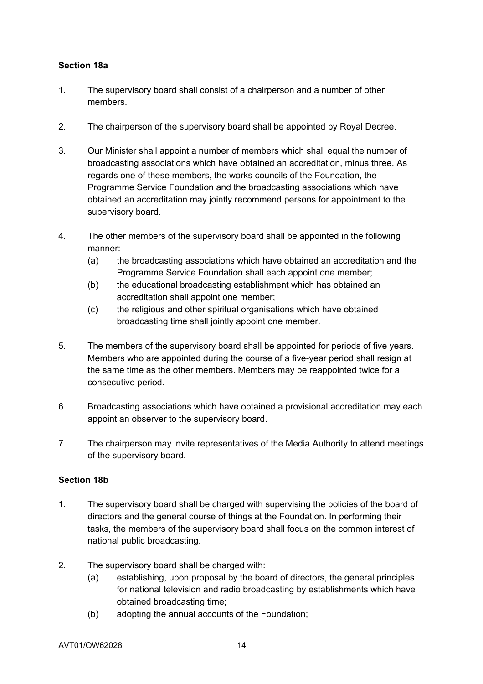### **Section 18a**

- 1. The supervisory board shall consist of a chairperson and a number of other members.
- 2. The chairperson of the supervisory board shall be appointed by Royal Decree.
- 3. Our Minister shall appoint a number of members which shall equal the number of broadcasting associations which have obtained an accreditation, minus three. As regards one of these members, the works councils of the Foundation, the Programme Service Foundation and the broadcasting associations which have obtained an accreditation may jointly recommend persons for appointment to the supervisory board.
- 4. The other members of the supervisory board shall be appointed in the following manner:
	- (a) the broadcasting associations which have obtained an accreditation and the Programme Service Foundation shall each appoint one member;
	- (b) the educational broadcasting establishment which has obtained an accreditation shall appoint one member;
	- (c) the religious and other spiritual organisations which have obtained broadcasting time shall jointly appoint one member.
- 5. The members of the supervisory board shall be appointed for periods of five years. Members who are appointed during the course of a five-year period shall resign at the same time as the other members. Members may be reappointed twice for a consecutive period.
- 6. Broadcasting associations which have obtained a provisional accreditation may each appoint an observer to the supervisory board.
- 7. The chairperson may invite representatives of the Media Authority to attend meetings of the supervisory board.

#### **Section 18b**

- 1. The supervisory board shall be charged with supervising the policies of the board of directors and the general course of things at the Foundation. In performing their tasks, the members of the supervisory board shall focus on the common interest of national public broadcasting.
- 2. The supervisory board shall be charged with:
	- (a) establishing, upon proposal by the board of directors, the general principles for national television and radio broadcasting by establishments which have obtained broadcasting time;
	- (b) adopting the annual accounts of the Foundation;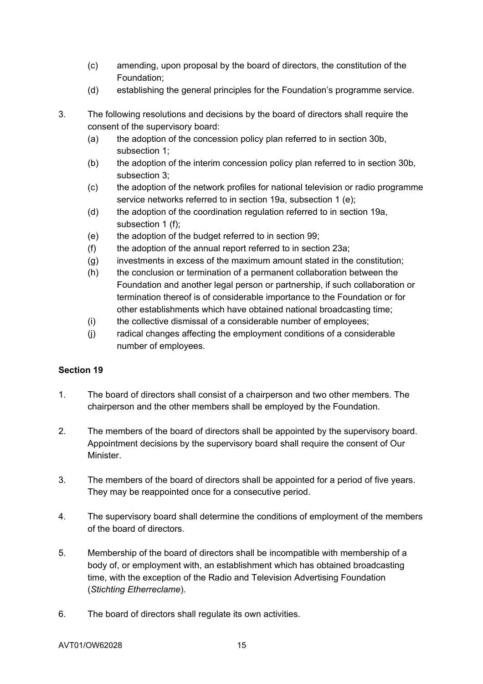- (c) amending, upon proposal by the board of directors, the constitution of the Foundation;
- (d) establishing the general principles for the Foundation's programme service.
- 3. The following resolutions and decisions by the board of directors shall require the consent of the supervisory board:
	- (a) the adoption of the concession policy plan referred to in section 30b, subsection 1;
	- (b) the adoption of the interim concession policy plan referred to in section 30b, subsection 3;
	- (c) the adoption of the network profiles for national television or radio programme service networks referred to in section 19a, subsection 1 (e);
	- (d) the adoption of the coordination regulation referred to in section 19a, subsection 1 (f);
	- (e) the adoption of the budget referred to in section 99;
	- (f) the adoption of the annual report referred to in section 23a;
	- (g) investments in excess of the maximum amount stated in the constitution;
	- (h) the conclusion or termination of a permanent collaboration between the Foundation and another legal person or partnership, if such collaboration or termination thereof is of considerable importance to the Foundation or for other establishments which have obtained national broadcasting time;
	- (i) the collective dismissal of a considerable number of employees;
	- (j) radical changes affecting the employment conditions of a considerable number of employees.

- 1. The board of directors shall consist of a chairperson and two other members. The chairperson and the other members shall be employed by the Foundation.
- 2. The members of the board of directors shall be appointed by the supervisory board. Appointment decisions by the supervisory board shall require the consent of Our Minister.
- 3. The members of the board of directors shall be appointed for a period of five years. They may be reappointed once for a consecutive period.
- 4. The supervisory board shall determine the conditions of employment of the members of the board of directors.
- 5. Membership of the board of directors shall be incompatible with membership of a body of, or employment with, an establishment which has obtained broadcasting time, with the exception of the Radio and Television Advertising Foundation (*Stichting Etherreclame*).
- 6. The board of directors shall regulate its own activities.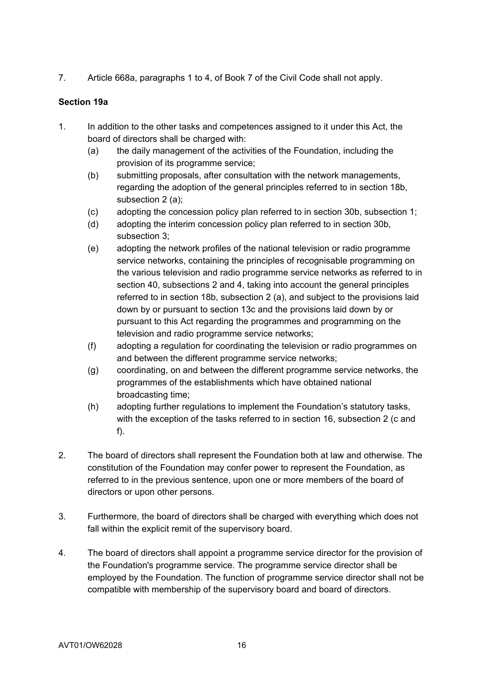7. Article 668a, paragraphs 1 to 4, of Book 7 of the Civil Code shall not apply.

## **Section 19a**

- 1. In addition to the other tasks and competences assigned to it under this Act, the board of directors shall be charged with:
	- (a) the daily management of the activities of the Foundation, including the provision of its programme service;
	- (b) submitting proposals, after consultation with the network managements, regarding the adoption of the general principles referred to in section 18b, subsection 2 (a);
	- (c) adopting the concession policy plan referred to in section 30b, subsection 1;
	- (d) adopting the interim concession policy plan referred to in section 30b, subsection 3;
	- (e) adopting the network profiles of the national television or radio programme service networks, containing the principles of recognisable programming on the various television and radio programme service networks as referred to in section 40, subsections 2 and 4, taking into account the general principles referred to in section 18b, subsection 2 (a), and subject to the provisions laid down by or pursuant to section 13c and the provisions laid down by or pursuant to this Act regarding the programmes and programming on the television and radio programme service networks;
	- (f) adopting a regulation for coordinating the television or radio programmes on and between the different programme service networks;
	- (g) coordinating, on and between the different programme service networks, the programmes of the establishments which have obtained national broadcasting time;
	- (h) adopting further regulations to implement the Foundation's statutory tasks, with the exception of the tasks referred to in section 16, subsection 2 (c and f).
- 2. The board of directors shall represent the Foundation both at law and otherwise. The constitution of the Foundation may confer power to represent the Foundation, as referred to in the previous sentence, upon one or more members of the board of directors or upon other persons.
- 3. Furthermore, the board of directors shall be charged with everything which does not fall within the explicit remit of the supervisory board.
- 4. The board of directors shall appoint a programme service director for the provision of the Foundation's programme service. The programme service director shall be employed by the Foundation. The function of programme service director shall not be compatible with membership of the supervisory board and board of directors.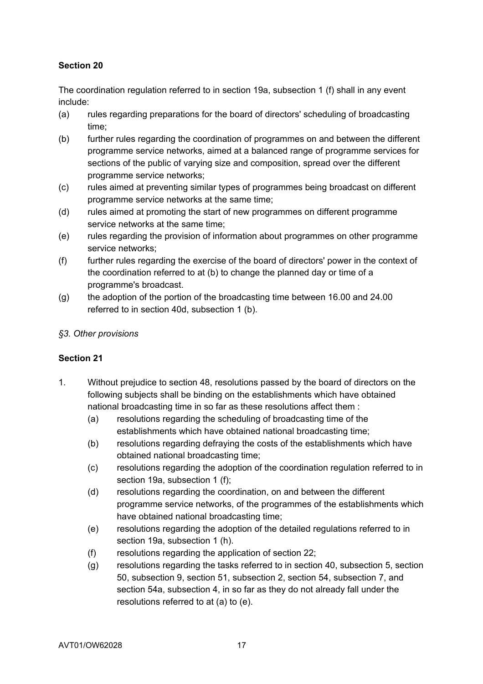The coordination regulation referred to in section 19a, subsection 1 (f) shall in any event include:

- (a) rules regarding preparations for the board of directors' scheduling of broadcasting time;
- (b) further rules regarding the coordination of programmes on and between the different programme service networks, aimed at a balanced range of programme services for sections of the public of varying size and composition, spread over the different programme service networks;
- (c) rules aimed at preventing similar types of programmes being broadcast on different programme service networks at the same time;
- (d) rules aimed at promoting the start of new programmes on different programme service networks at the same time;
- (e) rules regarding the provision of information about programmes on other programme service networks;
- (f) further rules regarding the exercise of the board of directors' power in the context of the coordination referred to at (b) to change the planned day or time of a programme's broadcast.
- (g) the adoption of the portion of the broadcasting time between 16.00 and 24.00 referred to in section 40d, subsection 1 (b).

## *§3. Other provisions*

- 1. Without prejudice to section 48, resolutions passed by the board of directors on the following subjects shall be binding on the establishments which have obtained national broadcasting time in so far as these resolutions affect them :
	- (a) resolutions regarding the scheduling of broadcasting time of the establishments which have obtained national broadcasting time;
	- (b) resolutions regarding defraying the costs of the establishments which have obtained national broadcasting time;
	- (c) resolutions regarding the adoption of the coordination regulation referred to in section 19a, subsection 1 (f);
	- (d) resolutions regarding the coordination, on and between the different programme service networks, of the programmes of the establishments which have obtained national broadcasting time;
	- (e) resolutions regarding the adoption of the detailed regulations referred to in section 19a, subsection 1 (h).
	- (f) resolutions regarding the application of section 22;
	- (g) resolutions regarding the tasks referred to in section 40, subsection 5, section 50, subsection 9, section 51, subsection 2, section 54, subsection 7, and section 54a, subsection 4, in so far as they do not already fall under the resolutions referred to at (a) to (e).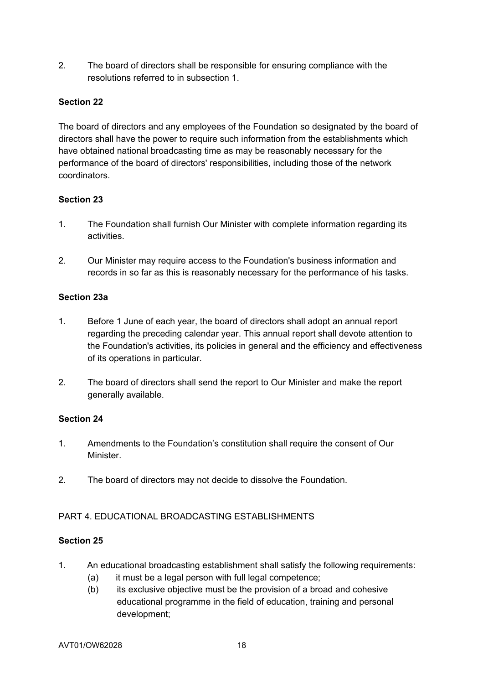2. The board of directors shall be responsible for ensuring compliance with the resolutions referred to in subsection 1.

## **Section 22**

The board of directors and any employees of the Foundation so designated by the board of directors shall have the power to require such information from the establishments which have obtained national broadcasting time as may be reasonably necessary for the performance of the board of directors' responsibilities, including those of the network coordinators.

### **Section 23**

- 1. The Foundation shall furnish Our Minister with complete information regarding its activities.
- 2. Our Minister may require access to the Foundation's business information and records in so far as this is reasonably necessary for the performance of his tasks.

### **Section 23a**

- 1. Before 1 June of each year, the board of directors shall adopt an annual report regarding the preceding calendar year. This annual report shall devote attention to the Foundation's activities, its policies in general and the efficiency and effectiveness of its operations in particular.
- 2. The board of directors shall send the report to Our Minister and make the report generally available.

#### **Section 24**

- 1. Amendments to the Foundation's constitution shall require the consent of Our **Minister**
- 2. The board of directors may not decide to dissolve the Foundation.

## PART 4. EDUCATIONAL BROADCASTING ESTABLISHMENTS

- 1. An educational broadcasting establishment shall satisfy the following requirements:
	- (a) it must be a legal person with full legal competence;
	- (b) its exclusive objective must be the provision of a broad and cohesive educational programme in the field of education, training and personal development;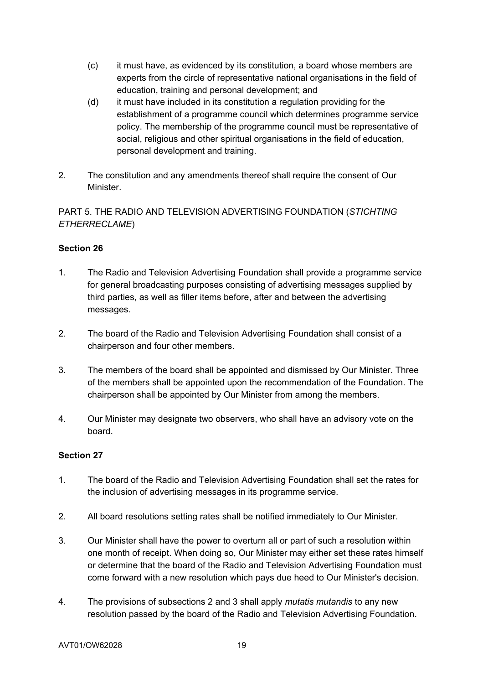- (c) it must have, as evidenced by its constitution, a board whose members are experts from the circle of representative national organisations in the field of education, training and personal development; and
- (d) it must have included in its constitution a regulation providing for the establishment of a programme council which determines programme service policy. The membership of the programme council must be representative of social, religious and other spiritual organisations in the field of education, personal development and training.
- 2. The constitution and any amendments thereof shall require the consent of Our Minister.

# PART 5. THE RADIO AND TELEVISION ADVERTISING FOUNDATION (*STICHTING ETHERRECLAME*)

# **Section 26**

- 1. The Radio and Television Advertising Foundation shall provide a programme service for general broadcasting purposes consisting of advertising messages supplied by third parties, as well as filler items before, after and between the advertising messages.
- 2. The board of the Radio and Television Advertising Foundation shall consist of a chairperson and four other members.
- 3. The members of the board shall be appointed and dismissed by Our Minister. Three of the members shall be appointed upon the recommendation of the Foundation. The chairperson shall be appointed by Our Minister from among the members.
- 4. Our Minister may designate two observers, who shall have an advisory vote on the board.

- 1. The board of the Radio and Television Advertising Foundation shall set the rates for the inclusion of advertising messages in its programme service.
- 2. All board resolutions setting rates shall be notified immediately to Our Minister.
- 3. Our Minister shall have the power to overturn all or part of such a resolution within one month of receipt. When doing so, Our Minister may either set these rates himself or determine that the board of the Radio and Television Advertising Foundation must come forward with a new resolution which pays due heed to Our Minister's decision.
- 4. The provisions of subsections 2 and 3 shall apply *mutatis mutandis* to any new resolution passed by the board of the Radio and Television Advertising Foundation.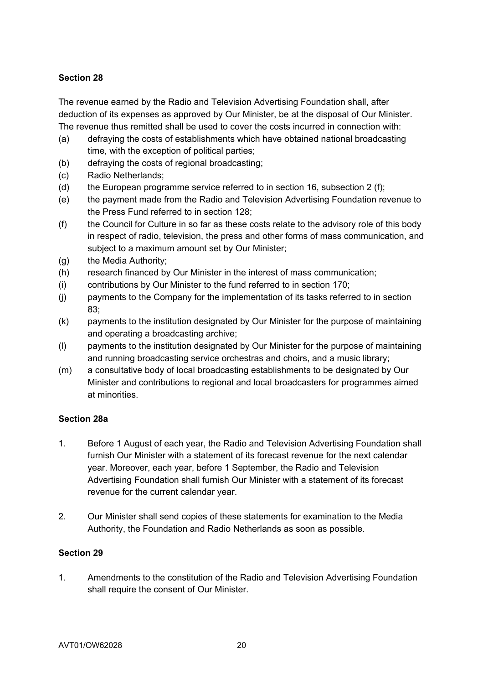The revenue earned by the Radio and Television Advertising Foundation shall, after deduction of its expenses as approved by Our Minister, be at the disposal of Our Minister. The revenue thus remitted shall be used to cover the costs incurred in connection with:

- (a) defraying the costs of establishments which have obtained national broadcasting time, with the exception of political parties;
- (b) defraying the costs of regional broadcasting;
- (c) Radio Netherlands;
- (d) the European programme service referred to in section 16, subsection 2 (f);
- (e) the payment made from the Radio and Television Advertising Foundation revenue to the Press Fund referred to in section 128;
- (f) the Council for Culture in so far as these costs relate to the advisory role of this body in respect of radio, television, the press and other forms of mass communication, and subject to a maximum amount set by Our Minister;
- (g) the Media Authority;
- (h) research financed by Our Minister in the interest of mass communication;
- (i) contributions by Our Minister to the fund referred to in section 170;
- (j) payments to the Company for the implementation of its tasks referred to in section 83;
- (k) payments to the institution designated by Our Minister for the purpose of maintaining and operating a broadcasting archive;
- (l) payments to the institution designated by Our Minister for the purpose of maintaining and running broadcasting service orchestras and choirs, and a music library;
- (m) a consultative body of local broadcasting establishments to be designated by Our Minister and contributions to regional and local broadcasters for programmes aimed at minorities.

## **Section 28a**

- 1. Before 1 August of each year, the Radio and Television Advertising Foundation shall furnish Our Minister with a statement of its forecast revenue for the next calendar year. Moreover, each year, before 1 September, the Radio and Television Advertising Foundation shall furnish Our Minister with a statement of its forecast revenue for the current calendar year.
- 2. Our Minister shall send copies of these statements for examination to the Media Authority, the Foundation and Radio Netherlands as soon as possible.

## **Section 29**

1. Amendments to the constitution of the Radio and Television Advertising Foundation shall require the consent of Our Minister.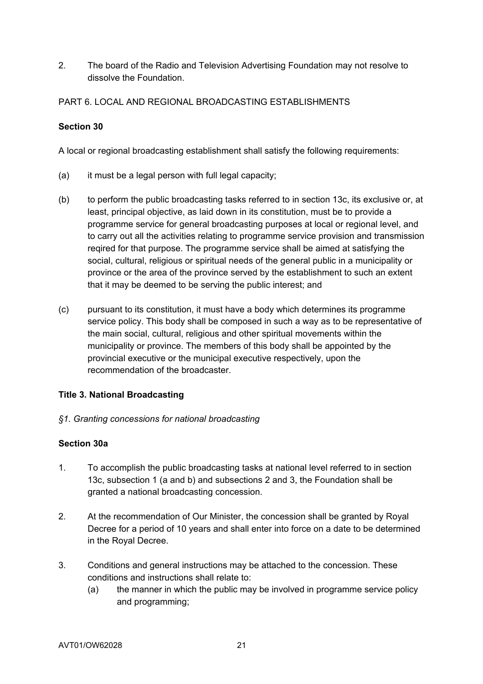2. The board of the Radio and Television Advertising Foundation may not resolve to dissolve the Foundation.

PART 6. LOCAL AND REGIONAL BROADCASTING ESTABLISHMENTS

## **Section 30**

A local or regional broadcasting establishment shall satisfy the following requirements:

- (a) it must be a legal person with full legal capacity;
- (b) to perform the public broadcasting tasks referred to in section 13c, its exclusive or, at least, principal objective, as laid down in its constitution, must be to provide a programme service for general broadcasting purposes at local or regional level, and to carry out all the activities relating to programme service provision and transmission reqired for that purpose. The programme service shall be aimed at satisfying the social, cultural, religious or spiritual needs of the general public in a municipality or province or the area of the province served by the establishment to such an extent that it may be deemed to be serving the public interest; and
- (c) pursuant to its constitution, it must have a body which determines its programme service policy. This body shall be composed in such a way as to be representative of the main social, cultural, religious and other spiritual movements within the municipality or province. The members of this body shall be appointed by the provincial executive or the municipal executive respectively, upon the recommendation of the broadcaster.

## **Title 3. National Broadcasting**

*§1. Granting concessions for national broadcasting*

#### **Section 30a**

- 1. To accomplish the public broadcasting tasks at national level referred to in section 13c, subsection 1 (a and b) and subsections 2 and 3, the Foundation shall be granted a national broadcasting concession.
- 2. At the recommendation of Our Minister, the concession shall be granted by Royal Decree for a period of 10 years and shall enter into force on a date to be determined in the Royal Decree.
- 3. Conditions and general instructions may be attached to the concession. These conditions and instructions shall relate to:
	- (a) the manner in which the public may be involved in programme service policy and programming;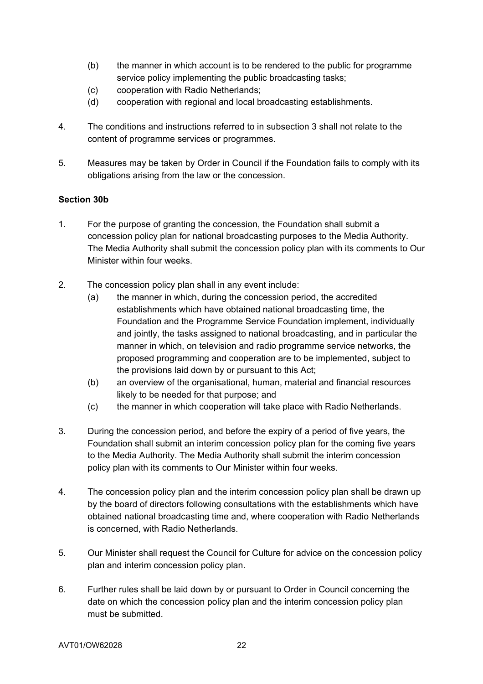- (b) the manner in which account is to be rendered to the public for programme service policy implementing the public broadcasting tasks;
- (c) cooperation with Radio Netherlands;
- (d) cooperation with regional and local broadcasting establishments.
- 4. The conditions and instructions referred to in subsection 3 shall not relate to the content of programme services or programmes.
- 5. Measures may be taken by Order in Council if the Foundation fails to comply with its obligations arising from the law or the concession.

### **Section 30b**

- 1. For the purpose of granting the concession, the Foundation shall submit a concession policy plan for national broadcasting purposes to the Media Authority. The Media Authority shall submit the concession policy plan with its comments to Our Minister within four weeks.
- 2. The concession policy plan shall in any event include:
	- (a) the manner in which, during the concession period, the accredited establishments which have obtained national broadcasting time, the Foundation and the Programme Service Foundation implement, individually and jointly, the tasks assigned to national broadcasting, and in particular the manner in which, on television and radio programme service networks, the proposed programming and cooperation are to be implemented, subject to the provisions laid down by or pursuant to this Act;
	- (b) an overview of the organisational, human, material and financial resources likely to be needed for that purpose; and
	- (c) the manner in which cooperation will take place with Radio Netherlands.
- 3. During the concession period, and before the expiry of a period of five years, the Foundation shall submit an interim concession policy plan for the coming five years to the Media Authority. The Media Authority shall submit the interim concession policy plan with its comments to Our Minister within four weeks.
- 4. The concession policy plan and the interim concession policy plan shall be drawn up by the board of directors following consultations with the establishments which have obtained national broadcasting time and, where cooperation with Radio Netherlands is concerned, with Radio Netherlands.
- 5. Our Minister shall request the Council for Culture for advice on the concession policy plan and interim concession policy plan.
- 6. Further rules shall be laid down by or pursuant to Order in Council concerning the date on which the concession policy plan and the interim concession policy plan must be submitted.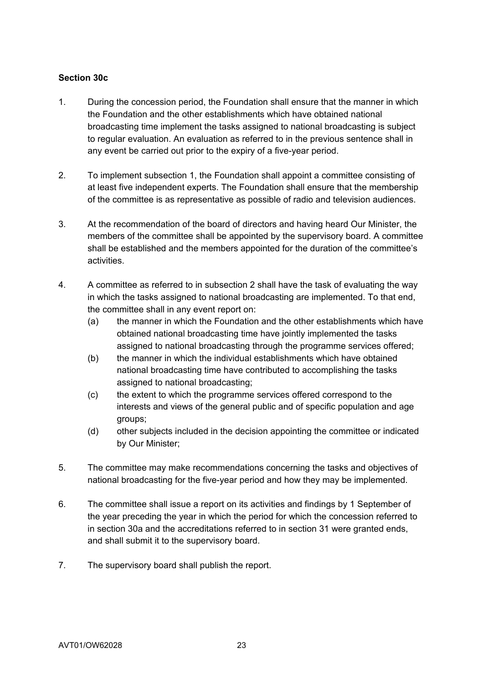### **Section 30c**

- 1. During the concession period, the Foundation shall ensure that the manner in which the Foundation and the other establishments which have obtained national broadcasting time implement the tasks assigned to national broadcasting is subject to regular evaluation. An evaluation as referred to in the previous sentence shall in any event be carried out prior to the expiry of a five-year period.
- 2. To implement subsection 1, the Foundation shall appoint a committee consisting of at least five independent experts. The Foundation shall ensure that the membership of the committee is as representative as possible of radio and television audiences.
- 3. At the recommendation of the board of directors and having heard Our Minister, the members of the committee shall be appointed by the supervisory board. A committee shall be established and the members appointed for the duration of the committee's activities.
- 4. A committee as referred to in subsection 2 shall have the task of evaluating the way in which the tasks assigned to national broadcasting are implemented. To that end, the committee shall in any event report on:
	- (a) the manner in which the Foundation and the other establishments which have obtained national broadcasting time have jointly implemented the tasks assigned to national broadcasting through the programme services offered;
	- (b) the manner in which the individual establishments which have obtained national broadcasting time have contributed to accomplishing the tasks assigned to national broadcasting;
	- (c) the extent to which the programme services offered correspond to the interests and views of the general public and of specific population and age groups;
	- (d) other subjects included in the decision appointing the committee or indicated by Our Minister;
- 5. The committee may make recommendations concerning the tasks and objectives of national broadcasting for the five-year period and how they may be implemented.
- 6. The committee shall issue a report on its activities and findings by 1 September of the year preceding the year in which the period for which the concession referred to in section 30a and the accreditations referred to in section 31 were granted ends, and shall submit it to the supervisory board.
- 7. The supervisory board shall publish the report.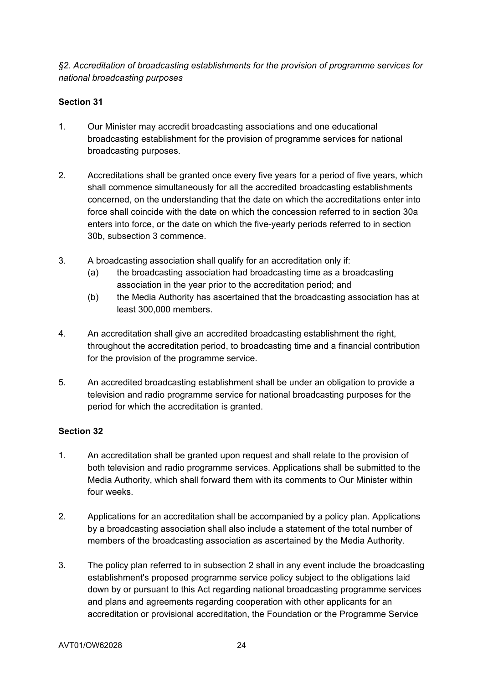*§2. Accreditation of broadcasting establishments for the provision of programme services for national broadcasting purposes* 

### **Section 31**

- 1. Our Minister may accredit broadcasting associations and one educational broadcasting establishment for the provision of programme services for national broadcasting purposes.
- 2. Accreditations shall be granted once every five years for a period of five years, which shall commence simultaneously for all the accredited broadcasting establishments concerned, on the understanding that the date on which the accreditations enter into force shall coincide with the date on which the concession referred to in section 30a enters into force, or the date on which the five-yearly periods referred to in section 30b, subsection 3 commence.
- 3. A broadcasting association shall qualify for an accreditation only if:
	- (a) the broadcasting association had broadcasting time as a broadcasting association in the year prior to the accreditation period; and
	- (b) the Media Authority has ascertained that the broadcasting association has at least 300,000 members.
- 4. An accreditation shall give an accredited broadcasting establishment the right, throughout the accreditation period, to broadcasting time and a financial contribution for the provision of the programme service.
- 5. An accredited broadcasting establishment shall be under an obligation to provide a television and radio programme service for national broadcasting purposes for the period for which the accreditation is granted.

- 1. An accreditation shall be granted upon request and shall relate to the provision of both television and radio programme services. Applications shall be submitted to the Media Authority, which shall forward them with its comments to Our Minister within four weeks.
- 2. Applications for an accreditation shall be accompanied by a policy plan. Applications by a broadcasting association shall also include a statement of the total number of members of the broadcasting association as ascertained by the Media Authority.
- 3. The policy plan referred to in subsection 2 shall in any event include the broadcasting establishment's proposed programme service policy subject to the obligations laid down by or pursuant to this Act regarding national broadcasting programme services and plans and agreements regarding cooperation with other applicants for an accreditation or provisional accreditation, the Foundation or the Programme Service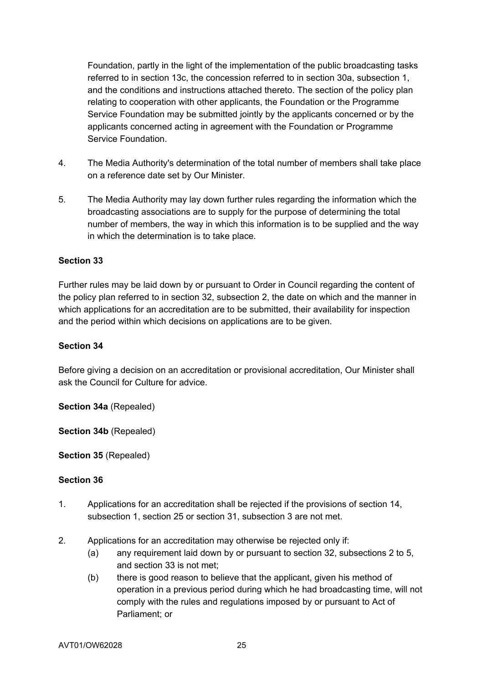Foundation, partly in the light of the implementation of the public broadcasting tasks referred to in section 13c, the concession referred to in section 30a, subsection 1, and the conditions and instructions attached thereto. The section of the policy plan relating to cooperation with other applicants, the Foundation or the Programme Service Foundation may be submitted jointly by the applicants concerned or by the applicants concerned acting in agreement with the Foundation or Programme Service Foundation.

- 4. The Media Authority's determination of the total number of members shall take place on a reference date set by Our Minister.
- 5. The Media Authority may lay down further rules regarding the information which the broadcasting associations are to supply for the purpose of determining the total number of members, the way in which this information is to be supplied and the way in which the determination is to take place.

### **Section 33**

Further rules may be laid down by or pursuant to Order in Council regarding the content of the policy plan referred to in section 32, subsection 2, the date on which and the manner in which applications for an accreditation are to be submitted, their availability for inspection and the period within which decisions on applications are to be given.

#### **Section 34**

Before giving a decision on an accreditation or provisional accreditation, Our Minister shall ask the Council for Culture for advice.

**Section 34a** (Repealed)

**Section 34b** (Repealed)

**Section 35** (Repealed)

- 1. Applications for an accreditation shall be rejected if the provisions of section 14, subsection 1, section 25 or section 31, subsection 3 are not met.
- 2. Applications for an accreditation may otherwise be rejected only if:
	- (a) any requirement laid down by or pursuant to section 32, subsections 2 to 5, and section 33 is not met;
	- (b) there is good reason to believe that the applicant, given his method of operation in a previous period during which he had broadcasting time, will not comply with the rules and regulations imposed by or pursuant to Act of Parliament; or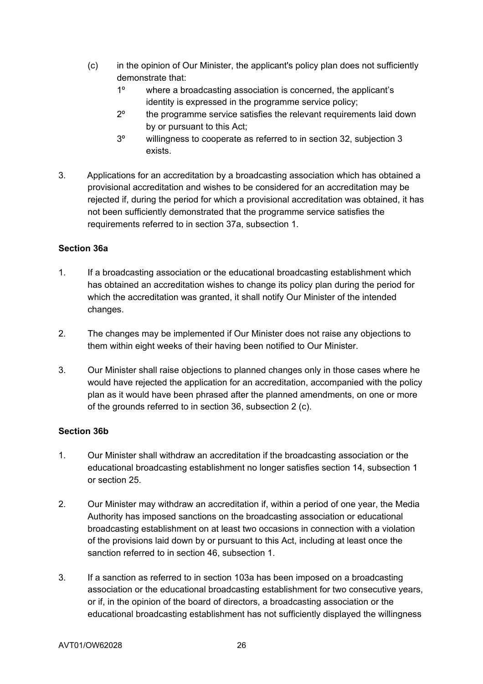- (c) in the opinion of Our Minister, the applicant's policy plan does not sufficiently demonstrate that:
	- 1º where a broadcasting association is concerned, the applicant's identity is expressed in the programme service policy;
	- 2º the programme service satisfies the relevant requirements laid down by or pursuant to this Act;
	- 3º willingness to cooperate as referred to in section 32, subjection 3 exists.
- 3. Applications for an accreditation by a broadcasting association which has obtained a provisional accreditation and wishes to be considered for an accreditation may be rejected if, during the period for which a provisional accreditation was obtained, it has not been sufficiently demonstrated that the programme service satisfies the requirements referred to in section 37a, subsection 1.

## **Section 36a**

- 1. If a broadcasting association or the educational broadcasting establishment which has obtained an accreditation wishes to change its policy plan during the period for which the accreditation was granted, it shall notify Our Minister of the intended changes.
- 2. The changes may be implemented if Our Minister does not raise any objections to them within eight weeks of their having been notified to Our Minister.
- 3. Our Minister shall raise objections to planned changes only in those cases where he would have rejected the application for an accreditation, accompanied with the policy plan as it would have been phrased after the planned amendments, on one or more of the grounds referred to in section 36, subsection 2 (c).

## **Section 36b**

- 1. Our Minister shall withdraw an accreditation if the broadcasting association or the educational broadcasting establishment no longer satisfies section 14, subsection 1 or section 25.
- 2. Our Minister may withdraw an accreditation if, within a period of one year, the Media Authority has imposed sanctions on the broadcasting association or educational broadcasting establishment on at least two occasions in connection with a violation of the provisions laid down by or pursuant to this Act, including at least once the sanction referred to in section 46, subsection 1.
- 3. If a sanction as referred to in section 103a has been imposed on a broadcasting association or the educational broadcasting establishment for two consecutive years, or if, in the opinion of the board of directors, a broadcasting association or the educational broadcasting establishment has not sufficiently displayed the willingness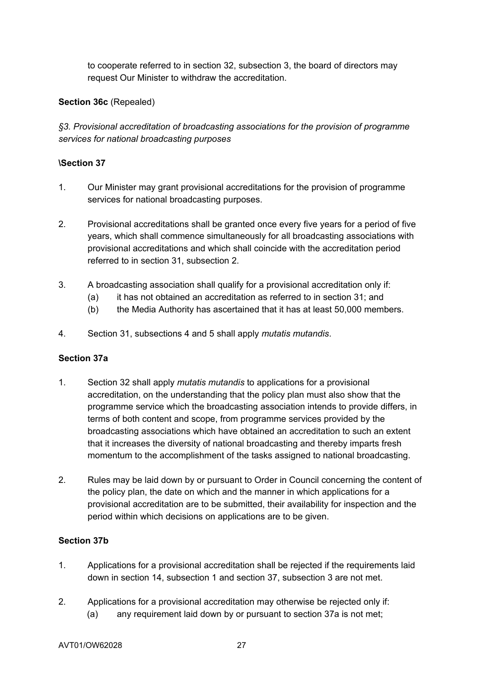to cooperate referred to in section 32, subsection 3, the board of directors may request Our Minister to withdraw the accreditation.

### **Section 36c** (Repealed)

*§3. Provisional accreditation of broadcasting associations for the provision of programme services for national broadcasting purposes*

### **\Section 37**

- 1. Our Minister may grant provisional accreditations for the provision of programme services for national broadcasting purposes.
- 2. Provisional accreditations shall be granted once every five years for a period of five years, which shall commence simultaneously for all broadcasting associations with provisional accreditations and which shall coincide with the accreditation period referred to in section 31, subsection 2.
- 3. A broadcasting association shall qualify for a provisional accreditation only if:
	- (a) it has not obtained an accreditation as referred to in section 31; and
	- (b) the Media Authority has ascertained that it has at least 50,000 members.
- 4. Section 31, subsections 4 and 5 shall apply *mutatis mutandis*.

#### **Section 37a**

- 1. Section 32 shall apply *mutatis mutandis* to applications for a provisional accreditation, on the understanding that the policy plan must also show that the programme service which the broadcasting association intends to provide differs, in terms of both content and scope, from programme services provided by the broadcasting associations which have obtained an accreditation to such an extent that it increases the diversity of national broadcasting and thereby imparts fresh momentum to the accomplishment of the tasks assigned to national broadcasting.
- 2. Rules may be laid down by or pursuant to Order in Council concerning the content of the policy plan, the date on which and the manner in which applications for a provisional accreditation are to be submitted, their availability for inspection and the period within which decisions on applications are to be given.

## **Section 37b**

- 1. Applications for a provisional accreditation shall be rejected if the requirements laid down in section 14, subsection 1 and section 37, subsection 3 are not met.
- 2. Applications for a provisional accreditation may otherwise be rejected only if: (a) any requirement laid down by or pursuant to section 37a is not met;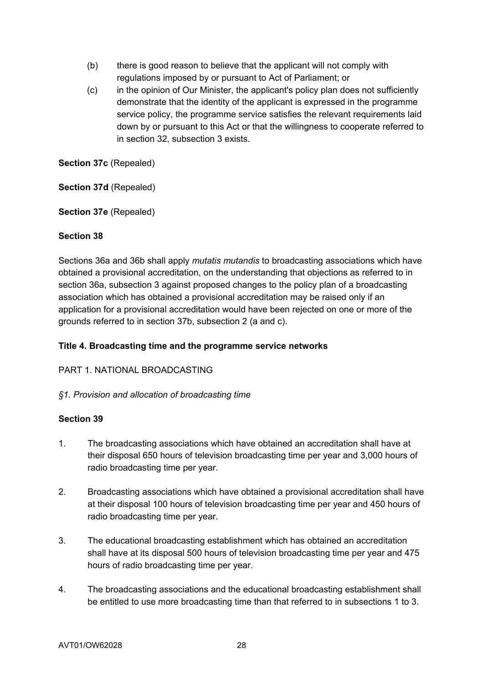- (b) there is good reason to believe that the applicant will not comply with regulations imposed by or pursuant to Act of Parliament; or
- (c) in the opinion of Our Minister, the applicant's policy plan does not sufficiently demonstrate that the identity of the applicant is expressed in the programme service policy, the programme service satisfies the relevant requirements laid down by or pursuant to this Act or that the willingness to cooperate referred to in section 32, subsection 3 exists.

**Section 37c** (Repealed)

**Section 37d** (Repealed)

**Section 37e** (Repealed)

### **Section 38**

Sections 36a and 36b shall apply *mutatis mutandis* to broadcasting associations which have obtained a provisional accreditation, on the understanding that objections as referred to in section 36a, subsection 3 against proposed changes to the policy plan of a broadcasting association which has obtained a provisional accreditation may be raised only if an application for a provisional accreditation would have been rejected on one or more of the grounds referred to in section 37b, subsection 2 (a and c).

### **Title 4. Broadcasting time and the programme service networks**

#### PART 1. NATIONAL BROADCASTING

#### *§1. Provision and allocation of broadcasting time*

- 1. The broadcasting associations which have obtained an accreditation shall have at their disposal 650 hours of television broadcasting time per year and 3,000 hours of radio broadcasting time per year.
- 2. Broadcasting associations which have obtained a provisional accreditation shall have at their disposal 100 hours of television broadcasting time per year and 450 hours of radio broadcasting time per year.
- 3. The educational broadcasting establishment which has obtained an accreditation shall have at its disposal 500 hours of television broadcasting time per year and 475 hours of radio broadcasting time per year.
- 4. The broadcasting associations and the educational broadcasting establishment shall be entitled to use more broadcasting time than that referred to in subsections 1 to 3.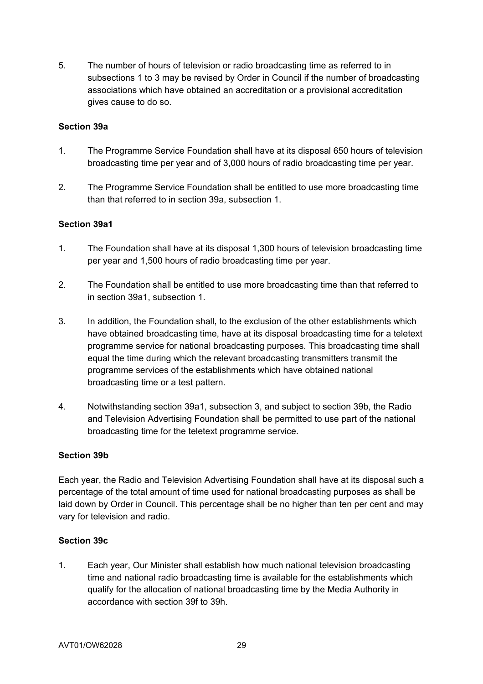5. The number of hours of television or radio broadcasting time as referred to in subsections 1 to 3 may be revised by Order in Council if the number of broadcasting associations which have obtained an accreditation or a provisional accreditation gives cause to do so.

#### **Section 39a**

- 1. The Programme Service Foundation shall have at its disposal 650 hours of television broadcasting time per year and of 3,000 hours of radio broadcasting time per year.
- 2. The Programme Service Foundation shall be entitled to use more broadcasting time than that referred to in section 39a, subsection 1.

### **Section 39a1**

- 1. The Foundation shall have at its disposal 1,300 hours of television broadcasting time per year and 1,500 hours of radio broadcasting time per year.
- 2. The Foundation shall be entitled to use more broadcasting time than that referred to in section 39a1, subsection 1.
- 3. In addition, the Foundation shall, to the exclusion of the other establishments which have obtained broadcasting time, have at its disposal broadcasting time for a teletext programme service for national broadcasting purposes. This broadcasting time shall equal the time during which the relevant broadcasting transmitters transmit the programme services of the establishments which have obtained national broadcasting time or a test pattern.
- 4. Notwithstanding section 39a1, subsection 3, and subject to section 39b, the Radio and Television Advertising Foundation shall be permitted to use part of the national broadcasting time for the teletext programme service.

#### **Section 39b**

Each year, the Radio and Television Advertising Foundation shall have at its disposal such a percentage of the total amount of time used for national broadcasting purposes as shall be laid down by Order in Council. This percentage shall be no higher than ten per cent and may vary for television and radio.

## **Section 39c**

1. Each year, Our Minister shall establish how much national television broadcasting time and national radio broadcasting time is available for the establishments which qualify for the allocation of national broadcasting time by the Media Authority in accordance with section 39f to 39h.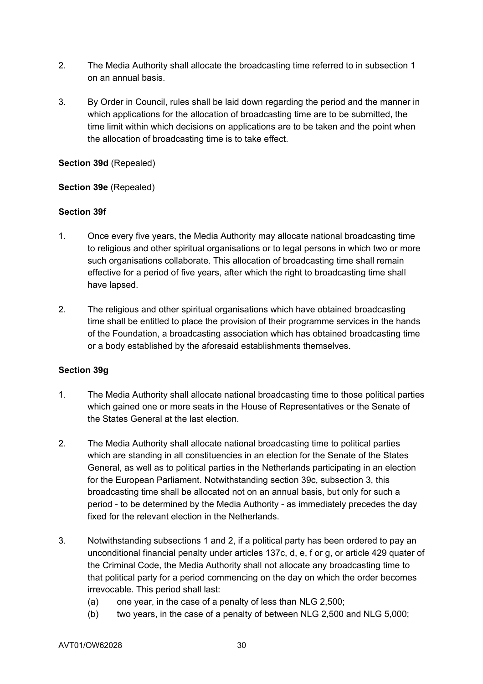- 2. The Media Authority shall allocate the broadcasting time referred to in subsection 1 on an annual basis.
- 3. By Order in Council, rules shall be laid down regarding the period and the manner in which applications for the allocation of broadcasting time are to be submitted, the time limit within which decisions on applications are to be taken and the point when the allocation of broadcasting time is to take effect.

#### **Section 39d** (Repealed)

### **Section 39e** (Repealed)

### **Section 39f**

- 1. Once every five years, the Media Authority may allocate national broadcasting time to religious and other spiritual organisations or to legal persons in which two or more such organisations collaborate. This allocation of broadcasting time shall remain effective for a period of five years, after which the right to broadcasting time shall have lapsed.
- 2. The religious and other spiritual organisations which have obtained broadcasting time shall be entitled to place the provision of their programme services in the hands of the Foundation, a broadcasting association which has obtained broadcasting time or a body established by the aforesaid establishments themselves.

#### **Section 39g**

- 1. The Media Authority shall allocate national broadcasting time to those political parties which gained one or more seats in the House of Representatives or the Senate of the States General at the last election.
- 2. The Media Authority shall allocate national broadcasting time to political parties which are standing in all constituencies in an election for the Senate of the States General, as well as to political parties in the Netherlands participating in an election for the European Parliament. Notwithstanding section 39c, subsection 3, this broadcasting time shall be allocated not on an annual basis, but only for such a period - to be determined by the Media Authority - as immediately precedes the day fixed for the relevant election in the Netherlands.
- 3. Notwithstanding subsections 1 and 2, if a political party has been ordered to pay an unconditional financial penalty under articles 137c, d, e, f or g, or article 429 quater of the Criminal Code, the Media Authority shall not allocate any broadcasting time to that political party for a period commencing on the day on which the order becomes irrevocable. This period shall last:
	- (a) one year, in the case of a penalty of less than NLG 2,500;
	- (b) two years, in the case of a penalty of between NLG 2,500 and NLG 5,000;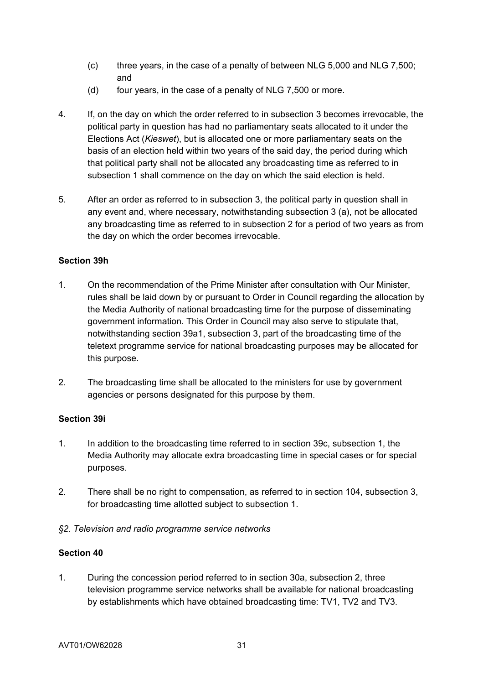- (c) three years, in the case of a penalty of between NLG 5,000 and NLG 7,500; and
- (d) four years, in the case of a penalty of NLG 7,500 or more.
- 4. If, on the day on which the order referred to in subsection 3 becomes irrevocable, the political party in question has had no parliamentary seats allocated to it under the Elections Act (*Kieswet*), but is allocated one or more parliamentary seats on the basis of an election held within two years of the said day, the period during which that political party shall not be allocated any broadcasting time as referred to in subsection 1 shall commence on the day on which the said election is held.
- 5. After an order as referred to in subsection 3, the political party in question shall in any event and, where necessary, notwithstanding subsection 3 (a), not be allocated any broadcasting time as referred to in subsection 2 for a period of two years as from the day on which the order becomes irrevocable.

### **Section 39h**

- 1. On the recommendation of the Prime Minister after consultation with Our Minister, rules shall be laid down by or pursuant to Order in Council regarding the allocation by the Media Authority of national broadcasting time for the purpose of disseminating government information. This Order in Council may also serve to stipulate that, notwithstanding section 39a1, subsection 3, part of the broadcasting time of the teletext programme service for national broadcasting purposes may be allocated for this purpose.
- 2. The broadcasting time shall be allocated to the ministers for use by government agencies or persons designated for this purpose by them.

#### **Section 39i**

- 1. In addition to the broadcasting time referred to in section 39c, subsection 1, the Media Authority may allocate extra broadcasting time in special cases or for special purposes.
- 2. There shall be no right to compensation, as referred to in section 104, subsection 3, for broadcasting time allotted subject to subsection 1.
- *§2. Television and radio programme service networks*

## **Section 40**

1. During the concession period referred to in section 30a, subsection 2, three television programme service networks shall be available for national broadcasting by establishments which have obtained broadcasting time: TV1, TV2 and TV3.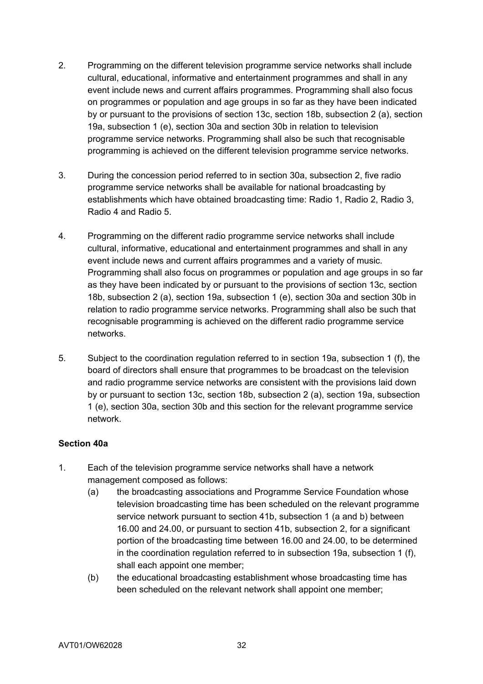- 2. Programming on the different television programme service networks shall include cultural, educational, informative and entertainment programmes and shall in any event include news and current affairs programmes. Programming shall also focus on programmes or population and age groups in so far as they have been indicated by or pursuant to the provisions of section 13c, section 18b, subsection 2 (a), section 19a, subsection 1 (e), section 30a and section 30b in relation to television programme service networks. Programming shall also be such that recognisable programming is achieved on the different television programme service networks.
- 3. During the concession period referred to in section 30a, subsection 2, five radio programme service networks shall be available for national broadcasting by establishments which have obtained broadcasting time: Radio 1, Radio 2, Radio 3, Radio 4 and Radio 5.
- 4. Programming on the different radio programme service networks shall include cultural, informative, educational and entertainment programmes and shall in any event include news and current affairs programmes and a variety of music. Programming shall also focus on programmes or population and age groups in so far as they have been indicated by or pursuant to the provisions of section 13c, section 18b, subsection 2 (a), section 19a, subsection 1 (e), section 30a and section 30b in relation to radio programme service networks. Programming shall also be such that recognisable programming is achieved on the different radio programme service networks.
- 5. Subject to the coordination regulation referred to in section 19a, subsection 1 (f), the board of directors shall ensure that programmes to be broadcast on the television and radio programme service networks are consistent with the provisions laid down by or pursuant to section 13c, section 18b, subsection 2 (a), section 19a, subsection 1 (e), section 30a, section 30b and this section for the relevant programme service network.

#### **Section 40a**

- 1. Each of the television programme service networks shall have a network management composed as follows:
	- (a) the broadcasting associations and Programme Service Foundation whose television broadcasting time has been scheduled on the relevant programme service network pursuant to section 41b, subsection 1 (a and b) between 16.00 and 24.00, or pursuant to section 41b, subsection 2, for a significant portion of the broadcasting time between 16.00 and 24.00, to be determined in the coordination regulation referred to in subsection 19a, subsection 1 (f), shall each appoint one member;
	- (b) the educational broadcasting establishment whose broadcasting time has been scheduled on the relevant network shall appoint one member;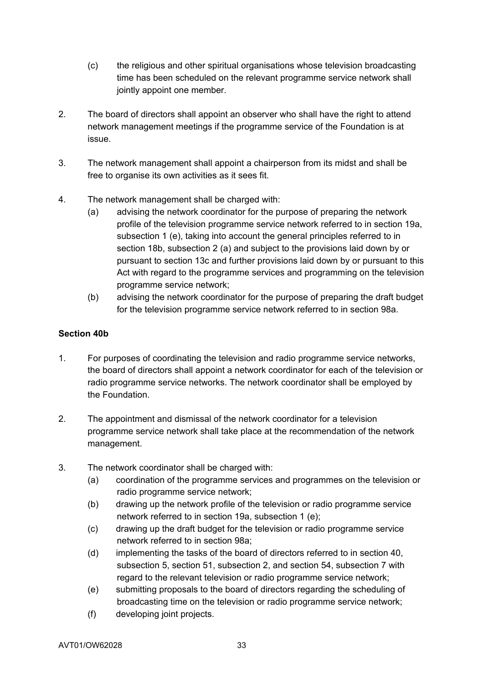- (c) the religious and other spiritual organisations whose television broadcasting time has been scheduled on the relevant programme service network shall jointly appoint one member.
- 2. The board of directors shall appoint an observer who shall have the right to attend network management meetings if the programme service of the Foundation is at issue.
- 3. The network management shall appoint a chairperson from its midst and shall be free to organise its own activities as it sees fit.
- 4. The network management shall be charged with:
	- (a) advising the network coordinator for the purpose of preparing the network profile of the television programme service network referred to in section 19a, subsection 1 (e), taking into account the general principles referred to in section 18b, subsection 2 (a) and subject to the provisions laid down by or pursuant to section 13c and further provisions laid down by or pursuant to this Act with regard to the programme services and programming on the television programme service network;
	- (b) advising the network coordinator for the purpose of preparing the draft budget for the television programme service network referred to in section 98a.

## **Section 40b**

- 1. For purposes of coordinating the television and radio programme service networks, the board of directors shall appoint a network coordinator for each of the television or radio programme service networks. The network coordinator shall be employed by the Foundation.
- 2. The appointment and dismissal of the network coordinator for a television programme service network shall take place at the recommendation of the network management.
- 3. The network coordinator shall be charged with:
	- (a) coordination of the programme services and programmes on the television or radio programme service network;
	- (b) drawing up the network profile of the television or radio programme service network referred to in section 19a, subsection 1 (e);
	- (c) drawing up the draft budget for the television or radio programme service network referred to in section 98a;
	- (d) implementing the tasks of the board of directors referred to in section 40, subsection 5, section 51, subsection 2, and section 54, subsection 7 with regard to the relevant television or radio programme service network;
	- (e) submitting proposals to the board of directors regarding the scheduling of broadcasting time on the television or radio programme service network;
	- (f) developing joint projects.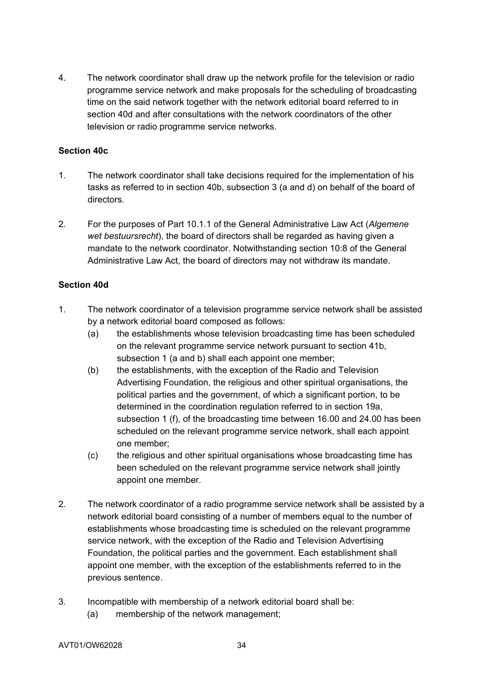4. The network coordinator shall draw up the network profile for the television or radio programme service network and make proposals for the scheduling of broadcasting time on the said network together with the network editorial board referred to in section 40d and after consultations with the network coordinators of the other television or radio programme service networks.

### **Section 40c**

- 1. The network coordinator shall take decisions required for the implementation of his tasks as referred to in section 40b, subsection 3 (a and d) on behalf of the board of directors.
- 2. For the purposes of Part 10.1.1 of the General Administrative Law Act (*Algemene wet bestuursrecht*), the board of directors shall be regarded as having given a mandate to the network coordinator. Notwithstanding section 10:8 of the General Administrative Law Act, the board of directors may not withdraw its mandate.

### **Section 40d**

- 1. The network coordinator of a television programme service network shall be assisted by a network editorial board composed as follows:
	- (a) the establishments whose television broadcasting time has been scheduled on the relevant programme service network pursuant to section 41b, subsection 1 (a and b) shall each appoint one member;
	- (b) the establishments, with the exception of the Radio and Television Advertising Foundation, the religious and other spiritual organisations, the political parties and the government, of which a significant portion, to be determined in the coordination regulation referred to in section 19a, subsection 1 (f), of the broadcasting time between 16.00 and 24.00 has been scheduled on the relevant programme service network, shall each appoint one member;
	- (c) the religious and other spiritual organisations whose broadcasting time has been scheduled on the relevant programme service network shall jointly appoint one member.
- 2. The network coordinator of a radio programme service network shall be assisted by a network editorial board consisting of a number of members equal to the number of establishments whose broadcasting time is scheduled on the relevant programme service network, with the exception of the Radio and Television Advertising Foundation, the political parties and the government. Each establishment shall appoint one member, with the exception of the establishments referred to in the previous sentence.
- 3. Incompatible with membership of a network editorial board shall be:
	- (a) membership of the network management;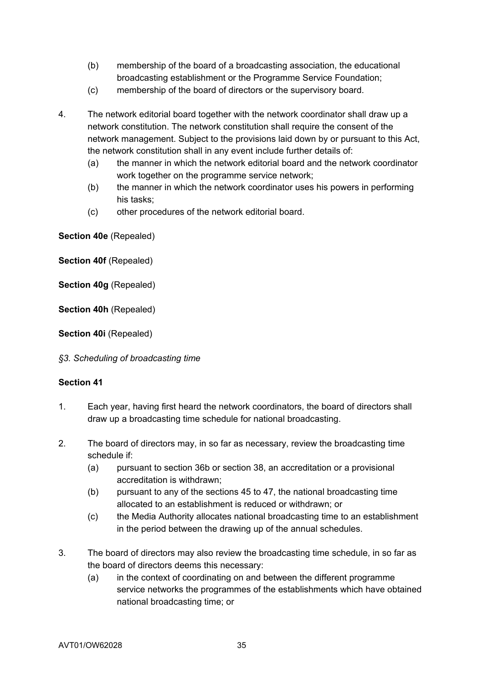- (b) membership of the board of a broadcasting association, the educational broadcasting establishment or the Programme Service Foundation;
- (c) membership of the board of directors or the supervisory board.
- 4. The network editorial board together with the network coordinator shall draw up a network constitution. The network constitution shall require the consent of the network management. Subject to the provisions laid down by or pursuant to this Act, the network constitution shall in any event include further details of:
	- (a) the manner in which the network editorial board and the network coordinator work together on the programme service network;
	- (b) the manner in which the network coordinator uses his powers in performing his tasks;
	- (c) other procedures of the network editorial board.

**Section 40e** (Repealed)

**Section 40f** (Repealed)

**Section 40g** (Repealed)

**Section 40h** (Repealed)

**Section 40i** (Repealed)

*§3. Scheduling of broadcasting time*

- 1. Each year, having first heard the network coordinators, the board of directors shall draw up a broadcasting time schedule for national broadcasting.
- 2. The board of directors may, in so far as necessary, review the broadcasting time schedule if:
	- (a) pursuant to section 36b or section 38, an accreditation or a provisional accreditation is withdrawn;
	- (b) pursuant to any of the sections 45 to 47, the national broadcasting time allocated to an establishment is reduced or withdrawn; or
	- (c) the Media Authority allocates national broadcasting time to an establishment in the period between the drawing up of the annual schedules.
- 3. The board of directors may also review the broadcasting time schedule, in so far as the board of directors deems this necessary:
	- (a) in the context of coordinating on and between the different programme service networks the programmes of the establishments which have obtained national broadcasting time; or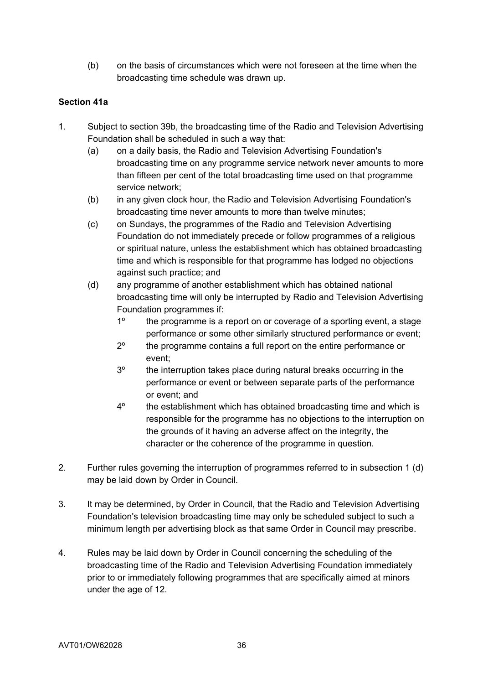(b) on the basis of circumstances which were not foreseen at the time when the broadcasting time schedule was drawn up.

## **Section 41a**

- 1. Subject to section 39b, the broadcasting time of the Radio and Television Advertising Foundation shall be scheduled in such a way that:
	- (a) on a daily basis, the Radio and Television Advertising Foundation's broadcasting time on any programme service network never amounts to more than fifteen per cent of the total broadcasting time used on that programme service network;
	- (b) in any given clock hour, the Radio and Television Advertising Foundation's broadcasting time never amounts to more than twelve minutes;
	- (c) on Sundays, the programmes of the Radio and Television Advertising Foundation do not immediately precede or follow programmes of a religious or spiritual nature, unless the establishment which has obtained broadcasting time and which is responsible for that programme has lodged no objections against such practice; and
	- (d) any programme of another establishment which has obtained national broadcasting time will only be interrupted by Radio and Television Advertising Foundation programmes if:
		- 1º the programme is a report on or coverage of a sporting event, a stage performance or some other similarly structured performance or event;
		- 2º the programme contains a full report on the entire performance or event;
		- 3º the interruption takes place during natural breaks occurring in the performance or event or between separate parts of the performance or event; and
		- 4º the establishment which has obtained broadcasting time and which is responsible for the programme has no objections to the interruption on the grounds of it having an adverse affect on the integrity, the character or the coherence of the programme in question.
- 2. Further rules governing the interruption of programmes referred to in subsection 1 (d) may be laid down by Order in Council.
- 3. It may be determined, by Order in Council, that the Radio and Television Advertising Foundation's television broadcasting time may only be scheduled subject to such a minimum length per advertising block as that same Order in Council may prescribe.
- 4. Rules may be laid down by Order in Council concerning the scheduling of the broadcasting time of the Radio and Television Advertising Foundation immediately prior to or immediately following programmes that are specifically aimed at minors under the age of 12.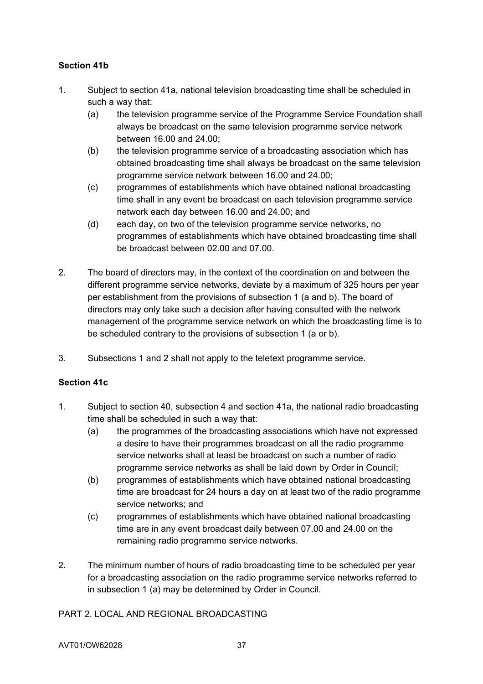# **Section 41b**

- 1. Subject to section 41a, national television broadcasting time shall be scheduled in such a way that:
	- (a) the television programme service of the Programme Service Foundation shall always be broadcast on the same television programme service network between 16.00 and 24.00;
	- (b) the television programme service of a broadcasting association which has obtained broadcasting time shall always be broadcast on the same television programme service network between 16.00 and 24.00;
	- (c) programmes of establishments which have obtained national broadcasting time shall in any event be broadcast on each television programme service network each day between 16.00 and 24.00; and
	- (d) each day, on two of the television programme service networks, no programmes of establishments which have obtained broadcasting time shall be broadcast between 02.00 and 07.00.
- 2. The board of directors may, in the context of the coordination on and between the different programme service networks, deviate by a maximum of 325 hours per year per establishment from the provisions of subsection 1 (a and b). The board of directors may only take such a decision after having consulted with the network management of the programme service network on which the broadcasting time is to be scheduled contrary to the provisions of subsection 1 (a or b).
- 3. Subsections 1 and 2 shall not apply to the teletext programme service.

## **Section 41c**

- 1. Subject to section 40, subsection 4 and section 41a, the national radio broadcasting time shall be scheduled in such a way that:
	- (a) the programmes of the broadcasting associations which have not expressed a desire to have their programmes broadcast on all the radio programme service networks shall at least be broadcast on such a number of radio programme service networks as shall be laid down by Order in Council;
	- (b) programmes of establishments which have obtained national broadcasting time are broadcast for 24 hours a day on at least two of the radio programme service networks; and
	- (c) programmes of establishments which have obtained national broadcasting time are in any event broadcast daily between 07.00 and 24.00 on the remaining radio programme service networks.
- 2. The minimum number of hours of radio broadcasting time to be scheduled per year for a broadcasting association on the radio programme service networks referred to in subsection 1 (a) may be determined by Order in Council.

## PART 2. LOCAL AND REGIONAL BROADCASTING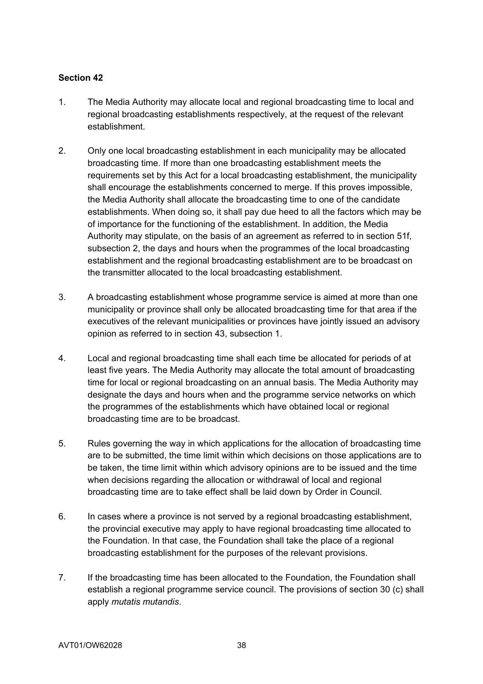- 1. The Media Authority may allocate local and regional broadcasting time to local and regional broadcasting establishments respectively, at the request of the relevant establishment.
- 2. Only one local broadcasting establishment in each municipality may be allocated broadcasting time. If more than one broadcasting establishment meets the requirements set by this Act for a local broadcasting establishment, the municipality shall encourage the establishments concerned to merge. If this proves impossible, the Media Authority shall allocate the broadcasting time to one of the candidate establishments. When doing so, it shall pay due heed to all the factors which may be of importance for the functioning of the establishment. In addition, the Media Authority may stipulate, on the basis of an agreement as referred to in section 51f, subsection 2, the days and hours when the programmes of the local broadcasting establishment and the regional broadcasting establishment are to be broadcast on the transmitter allocated to the local broadcasting establishment.
- 3. A broadcasting establishment whose programme service is aimed at more than one municipality or province shall only be allocated broadcasting time for that area if the executives of the relevant municipalities or provinces have jointly issued an advisory opinion as referred to in section 43, subsection 1.
- 4. Local and regional broadcasting time shall each time be allocated for periods of at least five years. The Media Authority may allocate the total amount of broadcasting time for local or regional broadcasting on an annual basis. The Media Authority may designate the days and hours when and the programme service networks on which the programmes of the establishments which have obtained local or regional broadcasting time are to be broadcast.
- 5. Rules governing the way in which applications for the allocation of broadcasting time are to be submitted, the time limit within which decisions on those applications are to be taken, the time limit within which advisory opinions are to be issued and the time when decisions regarding the allocation or withdrawal of local and regional broadcasting time are to take effect shall be laid down by Order in Council.
- 6. In cases where a province is not served by a regional broadcasting establishment, the provincial executive may apply to have regional broadcasting time allocated to the Foundation. In that case, the Foundation shall take the place of a regional broadcasting establishment for the purposes of the relevant provisions.
- 7. If the broadcasting time has been allocated to the Foundation, the Foundation shall establish a regional programme service council. The provisions of section 30 (c) shall apply *mutatis mutandis*.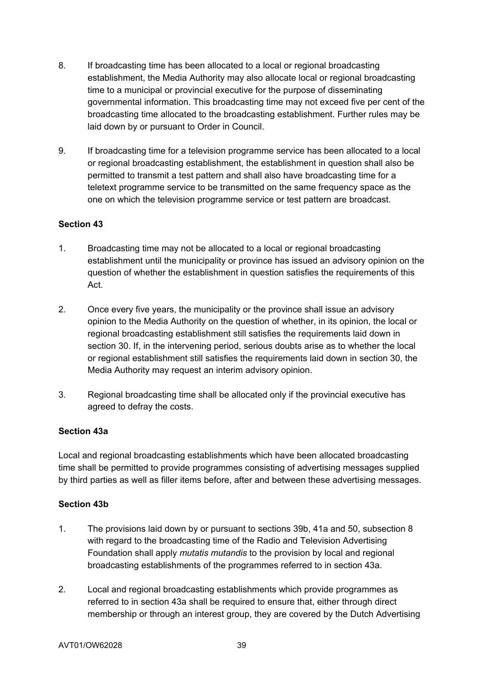- 8. If broadcasting time has been allocated to a local or regional broadcasting establishment, the Media Authority may also allocate local or regional broadcasting time to a municipal or provincial executive for the purpose of disseminating governmental information. This broadcasting time may not exceed five per cent of the broadcasting time allocated to the broadcasting establishment. Further rules may be laid down by or pursuant to Order in Council.
- 9. If broadcasting time for a television programme service has been allocated to a local or regional broadcasting establishment, the establishment in question shall also be permitted to transmit a test pattern and shall also have broadcasting time for a teletext programme service to be transmitted on the same frequency space as the one on which the television programme service or test pattern are broadcast.

## **Section 43**

- 1. Broadcasting time may not be allocated to a local or regional broadcasting establishment until the municipality or province has issued an advisory opinion on the question of whether the establishment in question satisfies the requirements of this Act.
- 2. Once every five years, the municipality or the province shall issue an advisory opinion to the Media Authority on the question of whether, in its opinion, the local or regional broadcasting establishment still satisfies the requirements laid down in section 30. If, in the intervening period, serious doubts arise as to whether the local or regional establishment still satisfies the requirements laid down in section 30, the Media Authority may request an interim advisory opinion.
- 3. Regional broadcasting time shall be allocated only if the provincial executive has agreed to defray the costs.

#### **Section 43a**

Local and regional broadcasting establishments which have been allocated broadcasting time shall be permitted to provide programmes consisting of advertising messages supplied by third parties as well as filler items before, after and between these advertising messages.

#### **Section 43b**

- 1. The provisions laid down by or pursuant to sections 39b, 41a and 50, subsection 8 with regard to the broadcasting time of the Radio and Television Advertising Foundation shall apply *mutatis mutandis* to the provision by local and regional broadcasting establishments of the programmes referred to in section 43a.
- 2. Local and regional broadcasting establishments which provide programmes as referred to in section 43a shall be required to ensure that, either through direct membership or through an interest group, they are covered by the Dutch Advertising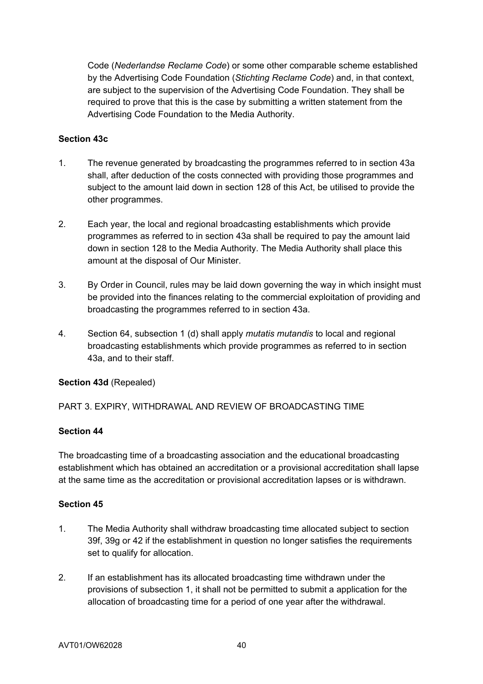Code (*Nederlandse Reclame Code*) or some other comparable scheme established by the Advertising Code Foundation (*Stichting Reclame Code*) and, in that context, are subject to the supervision of the Advertising Code Foundation. They shall be required to prove that this is the case by submitting a written statement from the Advertising Code Foundation to the Media Authority.

#### **Section 43c**

- 1. The revenue generated by broadcasting the programmes referred to in section 43a shall, after deduction of the costs connected with providing those programmes and subject to the amount laid down in section 128 of this Act, be utilised to provide the other programmes.
- 2. Each year, the local and regional broadcasting establishments which provide programmes as referred to in section 43a shall be required to pay the amount laid down in section 128 to the Media Authority. The Media Authority shall place this amount at the disposal of Our Minister.
- 3. By Order in Council, rules may be laid down governing the way in which insight must be provided into the finances relating to the commercial exploitation of providing and broadcasting the programmes referred to in section 43a.
- 4. Section 64, subsection 1 (d) shall apply *mutatis mutandis* to local and regional broadcasting establishments which provide programmes as referred to in section 43a, and to their staff.

## **Section 43d** (Repealed)

PART 3. EXPIRY, WITHDRAWAL AND REVIEW OF BROADCASTING TIME

#### **Section 44**

The broadcasting time of a broadcasting association and the educational broadcasting establishment which has obtained an accreditation or a provisional accreditation shall lapse at the same time as the accreditation or provisional accreditation lapses or is withdrawn.

- 1. The Media Authority shall withdraw broadcasting time allocated subject to section 39f, 39g or 42 if the establishment in question no longer satisfies the requirements set to qualify for allocation.
- 2. If an establishment has its allocated broadcasting time withdrawn under the provisions of subsection 1, it shall not be permitted to submit a application for the allocation of broadcasting time for a period of one year after the withdrawal.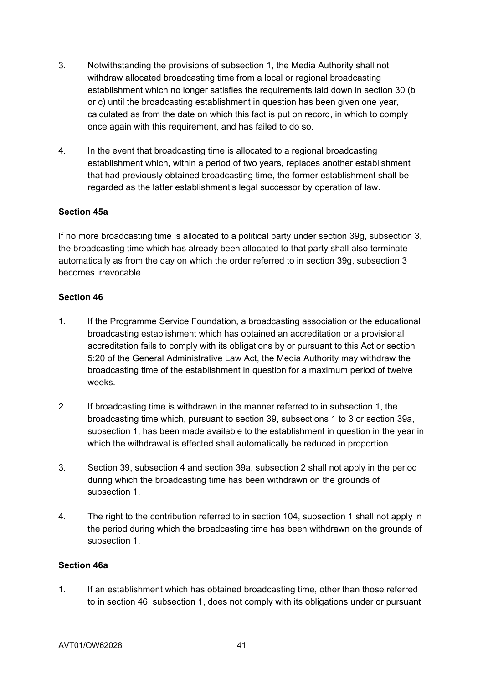- 3. Notwithstanding the provisions of subsection 1, the Media Authority shall not withdraw allocated broadcasting time from a local or regional broadcasting establishment which no longer satisfies the requirements laid down in section 30 (b or c) until the broadcasting establishment in question has been given one year, calculated as from the date on which this fact is put on record, in which to comply once again with this requirement, and has failed to do so.
- 4. In the event that broadcasting time is allocated to a regional broadcasting establishment which, within a period of two years, replaces another establishment that had previously obtained broadcasting time, the former establishment shall be regarded as the latter establishment's legal successor by operation of law.

### **Section 45a**

If no more broadcasting time is allocated to a political party under section 39g, subsection 3, the broadcasting time which has already been allocated to that party shall also terminate automatically as from the day on which the order referred to in section 39g, subsection 3 becomes irrevocable.

#### **Section 46**

- 1. If the Programme Service Foundation, a broadcasting association or the educational broadcasting establishment which has obtained an accreditation or a provisional accreditation fails to comply with its obligations by or pursuant to this Act or section 5:20 of the General Administrative Law Act, the Media Authority may withdraw the broadcasting time of the establishment in question for a maximum period of twelve weeks.
- 2. If broadcasting time is withdrawn in the manner referred to in subsection 1, the broadcasting time which, pursuant to section 39, subsections 1 to 3 or section 39a, subsection 1, has been made available to the establishment in question in the year in which the withdrawal is effected shall automatically be reduced in proportion.
- 3. Section 39, subsection 4 and section 39a, subsection 2 shall not apply in the period during which the broadcasting time has been withdrawn on the grounds of subsection 1.
- 4. The right to the contribution referred to in section 104, subsection 1 shall not apply in the period during which the broadcasting time has been withdrawn on the grounds of subsection 1

#### **Section 46a**

1. If an establishment which has obtained broadcasting time, other than those referred to in section 46, subsection 1, does not comply with its obligations under or pursuant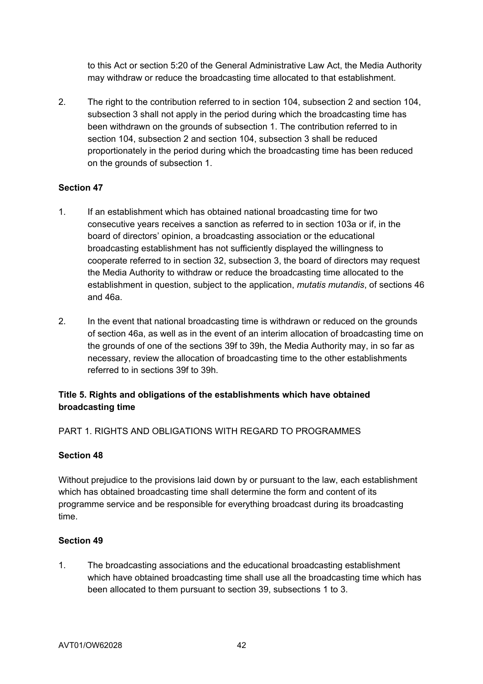to this Act or section 5:20 of the General Administrative Law Act, the Media Authority may withdraw or reduce the broadcasting time allocated to that establishment.

2. The right to the contribution referred to in section 104, subsection 2 and section 104, subsection 3 shall not apply in the period during which the broadcasting time has been withdrawn on the grounds of subsection 1. The contribution referred to in section 104, subsection 2 and section 104, subsection 3 shall be reduced proportionately in the period during which the broadcasting time has been reduced on the grounds of subsection 1.

#### **Section 47**

- 1. If an establishment which has obtained national broadcasting time for two consecutive years receives a sanction as referred to in section 103a or if, in the board of directors' opinion, a broadcasting association or the educational broadcasting establishment has not sufficiently displayed the willingness to cooperate referred to in section 32, subsection 3, the board of directors may request the Media Authority to withdraw or reduce the broadcasting time allocated to the establishment in question, subject to the application, *mutatis mutandis*, of sections 46 and 46a.
- 2. In the event that national broadcasting time is withdrawn or reduced on the grounds of section 46a, as well as in the event of an interim allocation of broadcasting time on the grounds of one of the sections 39f to 39h, the Media Authority may, in so far as necessary, review the allocation of broadcasting time to the other establishments referred to in sections 39f to 39h.

# **Title 5. Rights and obligations of the establishments which have obtained broadcasting time**

PART 1. RIGHTS AND OBLIGATIONS WITH REGARD TO PROGRAMMES

#### **Section 48**

Without prejudice to the provisions laid down by or pursuant to the law, each establishment which has obtained broadcasting time shall determine the form and content of its programme service and be responsible for everything broadcast during its broadcasting time.

#### **Section 49**

1. The broadcasting associations and the educational broadcasting establishment which have obtained broadcasting time shall use all the broadcasting time which has been allocated to them pursuant to section 39, subsections 1 to 3.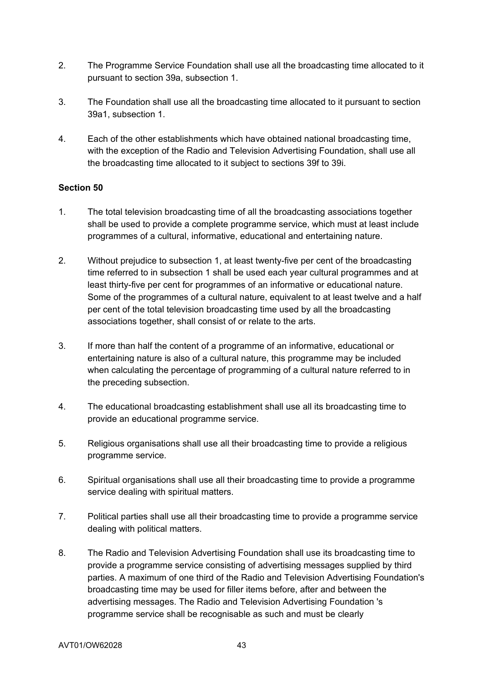- 2. The Programme Service Foundation shall use all the broadcasting time allocated to it pursuant to section 39a, subsection 1.
- 3. The Foundation shall use all the broadcasting time allocated to it pursuant to section 39a1, subsection 1.
- 4. Each of the other establishments which have obtained national broadcasting time, with the exception of the Radio and Television Advertising Foundation, shall use all the broadcasting time allocated to it subject to sections 39f to 39i.

- 1. The total television broadcasting time of all the broadcasting associations together shall be used to provide a complete programme service, which must at least include programmes of a cultural, informative, educational and entertaining nature.
- 2. Without prejudice to subsection 1, at least twenty-five per cent of the broadcasting time referred to in subsection 1 shall be used each year cultural programmes and at least thirty-five per cent for programmes of an informative or educational nature. Some of the programmes of a cultural nature, equivalent to at least twelve and a half per cent of the total television broadcasting time used by all the broadcasting associations together, shall consist of or relate to the arts.
- 3. If more than half the content of a programme of an informative, educational or entertaining nature is also of a cultural nature, this programme may be included when calculating the percentage of programming of a cultural nature referred to in the preceding subsection.
- 4. The educational broadcasting establishment shall use all its broadcasting time to provide an educational programme service.
- 5. Religious organisations shall use all their broadcasting time to provide a religious programme service.
- 6. Spiritual organisations shall use all their broadcasting time to provide a programme service dealing with spiritual matters.
- 7. Political parties shall use all their broadcasting time to provide a programme service dealing with political matters.
- 8. The Radio and Television Advertising Foundation shall use its broadcasting time to provide a programme service consisting of advertising messages supplied by third parties. A maximum of one third of the Radio and Television Advertising Foundation's broadcasting time may be used for filler items before, after and between the advertising messages. The Radio and Television Advertising Foundation 's programme service shall be recognisable as such and must be clearly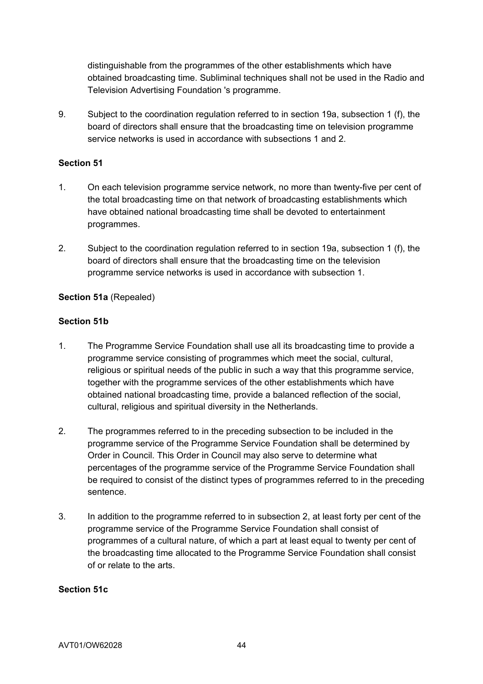distinguishable from the programmes of the other establishments which have obtained broadcasting time. Subliminal techniques shall not be used in the Radio and Television Advertising Foundation 's programme.

9. Subject to the coordination regulation referred to in section 19a, subsection 1 (f), the board of directors shall ensure that the broadcasting time on television programme service networks is used in accordance with subsections 1 and 2.

## **Section 51**

- 1. On each television programme service network, no more than twenty-five per cent of the total broadcasting time on that network of broadcasting establishments which have obtained national broadcasting time shall be devoted to entertainment programmes.
- 2. Subject to the coordination regulation referred to in section 19a, subsection 1 (f), the board of directors shall ensure that the broadcasting time on the television programme service networks is used in accordance with subsection 1.

### **Section 51a** (Repealed)

### **Section 51b**

- 1. The Programme Service Foundation shall use all its broadcasting time to provide a programme service consisting of programmes which meet the social, cultural, religious or spiritual needs of the public in such a way that this programme service, together with the programme services of the other establishments which have obtained national broadcasting time, provide a balanced reflection of the social, cultural, religious and spiritual diversity in the Netherlands.
- 2. The programmes referred to in the preceding subsection to be included in the programme service of the Programme Service Foundation shall be determined by Order in Council. This Order in Council may also serve to determine what percentages of the programme service of the Programme Service Foundation shall be required to consist of the distinct types of programmes referred to in the preceding sentence.
- 3. In addition to the programme referred to in subsection 2, at least forty per cent of the programme service of the Programme Service Foundation shall consist of programmes of a cultural nature, of which a part at least equal to twenty per cent of the broadcasting time allocated to the Programme Service Foundation shall consist of or relate to the arts.

#### **Section 51c**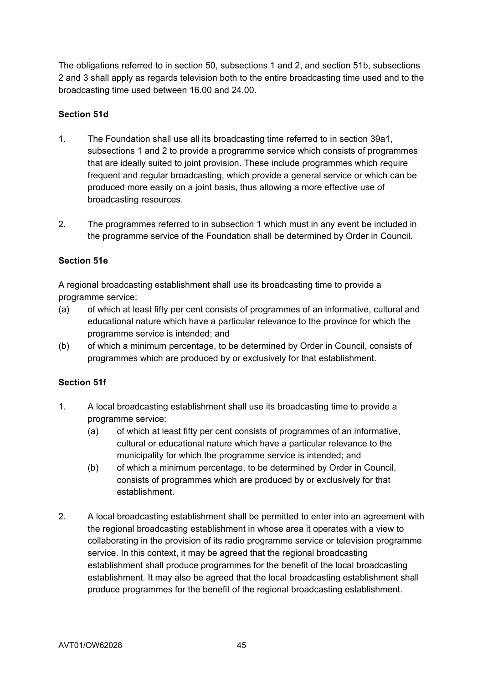The obligations referred to in section 50, subsections 1 and 2, and section 51b, subsections 2 and 3 shall apply as regards television both to the entire broadcasting time used and to the broadcasting time used between 16.00 and 24.00.

### **Section 51d**

- 1. The Foundation shall use all its broadcasting time referred to in section 39a1, subsections 1 and 2 to provide a programme service which consists of programmes that are ideally suited to joint provision. These include programmes which require frequent and regular broadcasting, which provide a general service or which can be produced more easily on a joint basis, thus allowing a more effective use of broadcasting resources.
- 2. The programmes referred to in subsection 1 which must in any event be included in the programme service of the Foundation shall be determined by Order in Council.

### **Section 51e**

A regional broadcasting establishment shall use its broadcasting time to provide a programme service:

- (a) of which at least fifty per cent consists of programmes of an informative, cultural and educational nature which have a particular relevance to the province for which the programme service is intended; and
- (b) of which a minimum percentage, to be determined by Order in Council, consists of programmes which are produced by or exclusively for that establishment.

## **Section 51f**

- 1. A local broadcasting establishment shall use its broadcasting time to provide a programme service:
	- (a) of which at least fifty per cent consists of programmes of an informative, cultural or educational nature which have a particular relevance to the municipality for which the programme service is intended; and
	- (b) of which a minimum percentage, to be determined by Order in Council, consists of programmes which are produced by or exclusively for that establishment.
- 2. A local broadcasting establishment shall be permitted to enter into an agreement with the regional broadcasting establishment in whose area it operates with a view to collaborating in the provision of its radio programme service or television programme service. In this context, it may be agreed that the regional broadcasting establishment shall produce programmes for the benefit of the local broadcasting establishment. It may also be agreed that the local broadcasting establishment shall produce programmes for the benefit of the regional broadcasting establishment.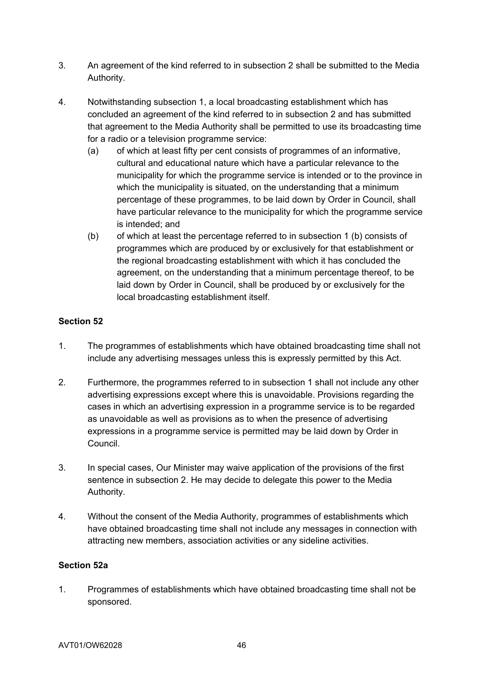- 3. An agreement of the kind referred to in subsection 2 shall be submitted to the Media Authority.
- 4. Notwithstanding subsection 1, a local broadcasting establishment which has concluded an agreement of the kind referred to in subsection 2 and has submitted that agreement to the Media Authority shall be permitted to use its broadcasting time for a radio or a television programme service:
	- (a) of which at least fifty per cent consists of programmes of an informative, cultural and educational nature which have a particular relevance to the municipality for which the programme service is intended or to the province in which the municipality is situated, on the understanding that a minimum percentage of these programmes, to be laid down by Order in Council, shall have particular relevance to the municipality for which the programme service is intended; and
	- (b) of which at least the percentage referred to in subsection 1 (b) consists of programmes which are produced by or exclusively for that establishment or the regional broadcasting establishment with which it has concluded the agreement, on the understanding that a minimum percentage thereof, to be laid down by Order in Council, shall be produced by or exclusively for the local broadcasting establishment itself.

# **Section 52**

- 1. The programmes of establishments which have obtained broadcasting time shall not include any advertising messages unless this is expressly permitted by this Act.
- 2. Furthermore, the programmes referred to in subsection 1 shall not include any other advertising expressions except where this is unavoidable. Provisions regarding the cases in which an advertising expression in a programme service is to be regarded as unavoidable as well as provisions as to when the presence of advertising expressions in a programme service is permitted may be laid down by Order in Council.
- 3. In special cases, Our Minister may waive application of the provisions of the first sentence in subsection 2. He may decide to delegate this power to the Media Authority.
- 4. Without the consent of the Media Authority, programmes of establishments which have obtained broadcasting time shall not include any messages in connection with attracting new members, association activities or any sideline activities.

## **Section 52a**

1. Programmes of establishments which have obtained broadcasting time shall not be sponsored.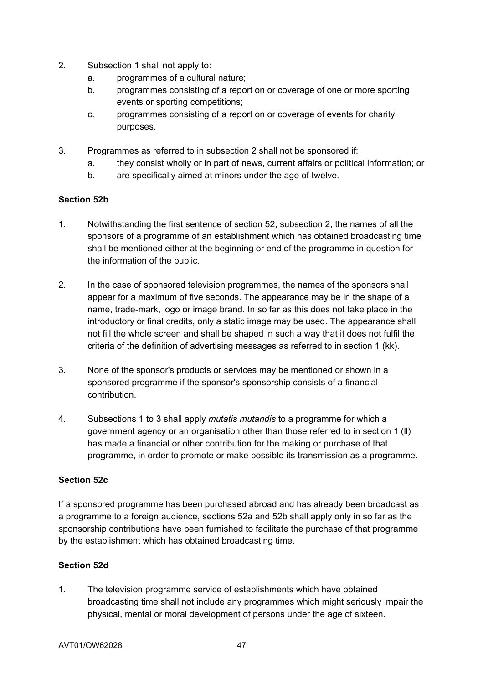- 2. Subsection 1 shall not apply to:
	- a. programmes of a cultural nature;
	- b. programmes consisting of a report on or coverage of one or more sporting events or sporting competitions;
	- c. programmes consisting of a report on or coverage of events for charity purposes.
- 3. Programmes as referred to in subsection 2 shall not be sponsored if:
	- a. they consist wholly or in part of news, current affairs or political information; or
	- b. are specifically aimed at minors under the age of twelve.

### **Section 52b**

- 1. Notwithstanding the first sentence of section 52, subsection 2, the names of all the sponsors of a programme of an establishment which has obtained broadcasting time shall be mentioned either at the beginning or end of the programme in question for the information of the public.
- 2. In the case of sponsored television programmes, the names of the sponsors shall appear for a maximum of five seconds. The appearance may be in the shape of a name, trade-mark, logo or image brand. In so far as this does not take place in the introductory or final credits, only a static image may be used. The appearance shall not fill the whole screen and shall be shaped in such a way that it does not fulfil the criteria of the definition of advertising messages as referred to in section 1 (kk).
- 3. None of the sponsor's products or services may be mentioned or shown in a sponsored programme if the sponsor's sponsorship consists of a financial contribution.
- 4. Subsections 1 to 3 shall apply *mutatis mutandis* to a programme for which a government agency or an organisation other than those referred to in section 1 (ll) has made a financial or other contribution for the making or purchase of that programme, in order to promote or make possible its transmission as a programme.

#### **Section 52c**

If a sponsored programme has been purchased abroad and has already been broadcast as a programme to a foreign audience, sections 52a and 52b shall apply only in so far as the sponsorship contributions have been furnished to facilitate the purchase of that programme by the establishment which has obtained broadcasting time.

## **Section 52d**

1. The television programme service of establishments which have obtained broadcasting time shall not include any programmes which might seriously impair the physical, mental or moral development of persons under the age of sixteen.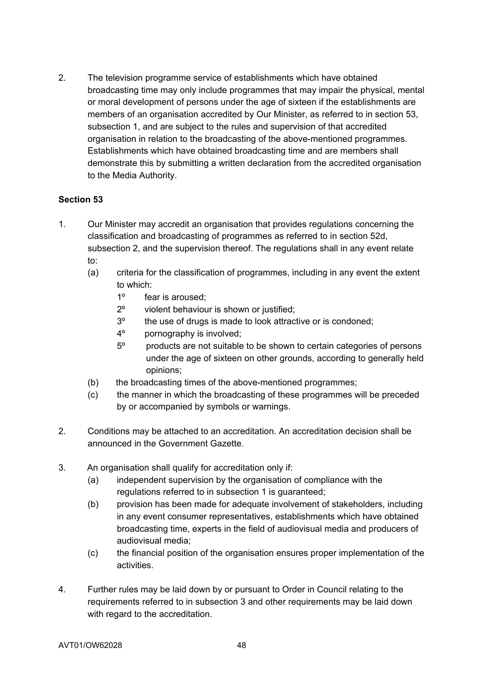2. The television programme service of establishments which have obtained broadcasting time may only include programmes that may impair the physical, mental or moral development of persons under the age of sixteen if the establishments are members of an organisation accredited by Our Minister, as referred to in section 53, subsection 1, and are subject to the rules and supervision of that accredited organisation in relation to the broadcasting of the above-mentioned programmes. Establishments which have obtained broadcasting time and are members shall demonstrate this by submitting a written declaration from the accredited organisation to the Media Authority.

- 1. Our Minister may accredit an organisation that provides regulations concerning the classification and broadcasting of programmes as referred to in section 52d, subsection 2, and the supervision thereof. The regulations shall in any event relate to:
	- (a) criteria for the classification of programmes, including in any event the extent to which:
		- 1º fear is aroused;
		- 2º violent behaviour is shown or justified;
		- 3º the use of drugs is made to look attractive or is condoned;
		- 4º pornography is involved;
		- 5º products are not suitable to be shown to certain categories of persons under the age of sixteen on other grounds, according to generally held opinions;
	- (b) the broadcasting times of the above-mentioned programmes;
	- (c) the manner in which the broadcasting of these programmes will be preceded by or accompanied by symbols or warnings.
- 2. Conditions may be attached to an accreditation. An accreditation decision shall be announced in the Government Gazette.
- 3. An organisation shall qualify for accreditation only if:
	- (a) independent supervision by the organisation of compliance with the regulations referred to in subsection 1 is guaranteed;
	- (b) provision has been made for adequate involvement of stakeholders, including in any event consumer representatives, establishments which have obtained broadcasting time, experts in the field of audiovisual media and producers of audiovisual media;
	- (c) the financial position of the organisation ensures proper implementation of the activities.
- 4. Further rules may be laid down by or pursuant to Order in Council relating to the requirements referred to in subsection 3 and other requirements may be laid down with regard to the accreditation.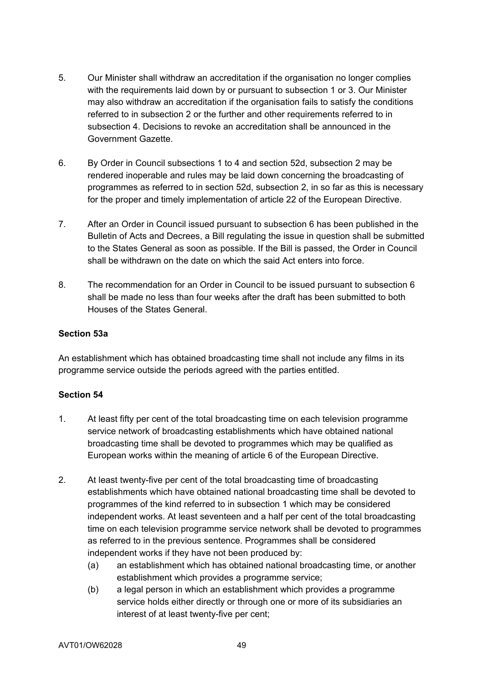- 5. Our Minister shall withdraw an accreditation if the organisation no longer complies with the requirements laid down by or pursuant to subsection 1 or 3. Our Minister may also withdraw an accreditation if the organisation fails to satisfy the conditions referred to in subsection 2 or the further and other requirements referred to in subsection 4. Decisions to revoke an accreditation shall be announced in the Government Gazette.
- 6. By Order in Council subsections 1 to 4 and section 52d, subsection 2 may be rendered inoperable and rules may be laid down concerning the broadcasting of programmes as referred to in section 52d, subsection 2, in so far as this is necessary for the proper and timely implementation of article 22 of the European Directive.
- 7. After an Order in Council issued pursuant to subsection 6 has been published in the Bulletin of Acts and Decrees, a Bill regulating the issue in question shall be submitted to the States General as soon as possible. If the Bill is passed, the Order in Council shall be withdrawn on the date on which the said Act enters into force.
- 8. The recommendation for an Order in Council to be issued pursuant to subsection 6 shall be made no less than four weeks after the draft has been submitted to both Houses of the States General.

## **Section 53a**

An establishment which has obtained broadcasting time shall not include any films in its programme service outside the periods agreed with the parties entitled.

- 1. At least fifty per cent of the total broadcasting time on each television programme service network of broadcasting establishments which have obtained national broadcasting time shall be devoted to programmes which may be qualified as European works within the meaning of article 6 of the European Directive.
- 2. At least twenty-five per cent of the total broadcasting time of broadcasting establishments which have obtained national broadcasting time shall be devoted to programmes of the kind referred to in subsection 1 which may be considered independent works. At least seventeen and a half per cent of the total broadcasting time on each television programme service network shall be devoted to programmes as referred to in the previous sentence. Programmes shall be considered independent works if they have not been produced by:
	- (a) an establishment which has obtained national broadcasting time, or another establishment which provides a programme service;
	- (b) a legal person in which an establishment which provides a programme service holds either directly or through one or more of its subsidiaries an interest of at least twenty-five per cent;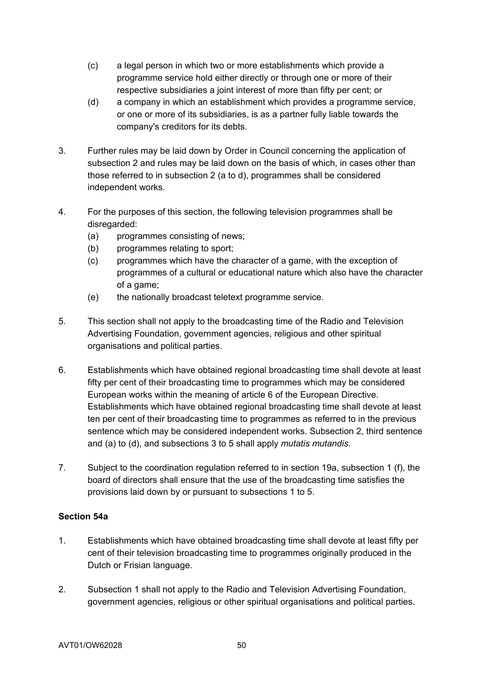- (c) a legal person in which two or more establishments which provide a programme service hold either directly or through one or more of their respective subsidiaries a joint interest of more than fifty per cent; or
- (d) a company in which an establishment which provides a programme service, or one or more of its subsidiaries, is as a partner fully liable towards the company's creditors for its debts.
- 3. Further rules may be laid down by Order in Council concerning the application of subsection 2 and rules may be laid down on the basis of which, in cases other than those referred to in subsection 2 (a to d), programmes shall be considered independent works.
- 4. For the purposes of this section, the following television programmes shall be disregarded:
	- (a) programmes consisting of news;
	- (b) programmes relating to sport;
	- (c) programmes which have the character of a game, with the exception of programmes of a cultural or educational nature which also have the character of a game;
	- (e) the nationally broadcast teletext programme service.
- 5. This section shall not apply to the broadcasting time of the Radio and Television Advertising Foundation, government agencies, religious and other spiritual organisations and political parties.
- 6. Establishments which have obtained regional broadcasting time shall devote at least fifty per cent of their broadcasting time to programmes which may be considered European works within the meaning of article 6 of the European Directive. Establishments which have obtained regional broadcasting time shall devote at least ten per cent of their broadcasting time to programmes as referred to in the previous sentence which may be considered independent works. Subsection 2, third sentence and (a) to (d), and subsections 3 to 5 shall apply *mutatis mutandis*.
- 7. Subject to the coordination regulation referred to in section 19a, subsection 1 (f), the board of directors shall ensure that the use of the broadcasting time satisfies the provisions laid down by or pursuant to subsections 1 to 5.

#### **Section 54a**

- 1. Establishments which have obtained broadcasting time shall devote at least fifty per cent of their television broadcasting time to programmes originally produced in the Dutch or Frisian language.
- 2. Subsection 1 shall not apply to the Radio and Television Advertising Foundation, government agencies, religious or other spiritual organisations and political parties.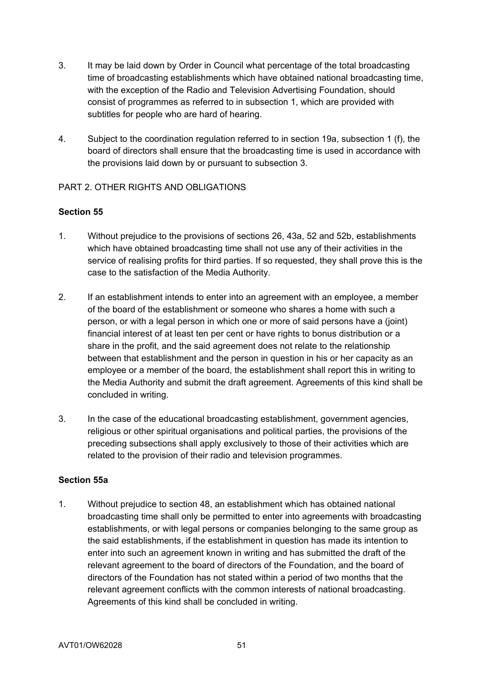- 3. It may be laid down by Order in Council what percentage of the total broadcasting time of broadcasting establishments which have obtained national broadcasting time, with the exception of the Radio and Television Advertising Foundation, should consist of programmes as referred to in subsection 1, which are provided with subtitles for people who are hard of hearing.
- 4. Subject to the coordination regulation referred to in section 19a, subsection 1 (f), the board of directors shall ensure that the broadcasting time is used in accordance with the provisions laid down by or pursuant to subsection 3.

### PART 2. OTHER RIGHTS AND OBLIGATIONS

### **Section 55**

- 1. Without prejudice to the provisions of sections 26, 43a, 52 and 52b, establishments which have obtained broadcasting time shall not use any of their activities in the service of realising profits for third parties. If so requested, they shall prove this is the case to the satisfaction of the Media Authority.
- 2. If an establishment intends to enter into an agreement with an employee, a member of the board of the establishment or someone who shares a home with such a person, or with a legal person in which one or more of said persons have a (joint) financial interest of at least ten per cent or have rights to bonus distribution or a share in the profit, and the said agreement does not relate to the relationship between that establishment and the person in question in his or her capacity as an employee or a member of the board, the establishment shall report this in writing to the Media Authority and submit the draft agreement. Agreements of this kind shall be concluded in writing.
- 3. In the case of the educational broadcasting establishment, government agencies, religious or other spiritual organisations and political parties, the provisions of the preceding subsections shall apply exclusively to those of their activities which are related to the provision of their radio and television programmes.

#### **Section 55a**

1. Without prejudice to section 48, an establishment which has obtained national broadcasting time shall only be permitted to enter into agreements with broadcasting establishments, or with legal persons or companies belonging to the same group as the said establishments, if the establishment in question has made its intention to enter into such an agreement known in writing and has submitted the draft of the relevant agreement to the board of directors of the Foundation, and the board of directors of the Foundation has not stated within a period of two months that the relevant agreement conflicts with the common interests of national broadcasting. Agreements of this kind shall be concluded in writing.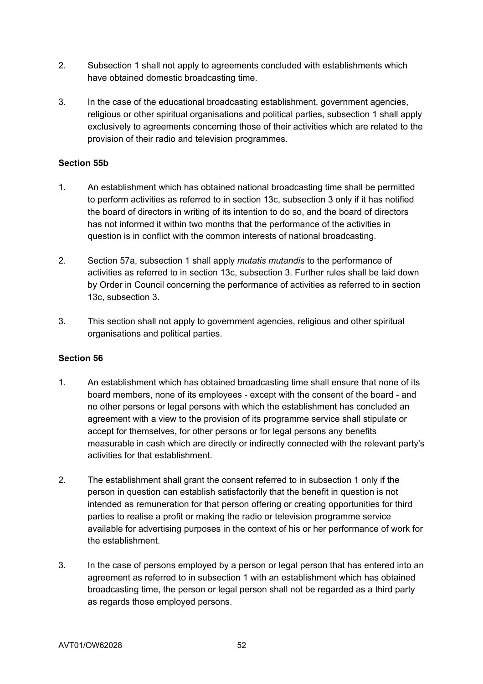- 2. Subsection 1 shall not apply to agreements concluded with establishments which have obtained domestic broadcasting time.
- 3. In the case of the educational broadcasting establishment, government agencies, religious or other spiritual organisations and political parties, subsection 1 shall apply exclusively to agreements concerning those of their activities which are related to the provision of their radio and television programmes.

### **Section 55b**

- 1. An establishment which has obtained national broadcasting time shall be permitted to perform activities as referred to in section 13c, subsection 3 only if it has notified the board of directors in writing of its intention to do so, and the board of directors has not informed it within two months that the performance of the activities in question is in conflict with the common interests of national broadcasting.
- 2. Section 57a, subsection 1 shall apply *mutatis mutandis* to the performance of activities as referred to in section 13c, subsection 3. Further rules shall be laid down by Order in Council concerning the performance of activities as referred to in section 13c, subsection 3.
- 3. This section shall not apply to government agencies, religious and other spiritual organisations and political parties.

- 1. An establishment which has obtained broadcasting time shall ensure that none of its board members, none of its employees - except with the consent of the board - and no other persons or legal persons with which the establishment has concluded an agreement with a view to the provision of its programme service shall stipulate or accept for themselves, for other persons or for legal persons any benefits measurable in cash which are directly or indirectly connected with the relevant party's activities for that establishment.
- 2. The establishment shall grant the consent referred to in subsection 1 only if the person in question can establish satisfactorily that the benefit in question is not intended as remuneration for that person offering or creating opportunities for third parties to realise a profit or making the radio or television programme service available for advertising purposes in the context of his or her performance of work for the establishment.
- 3. In the case of persons employed by a person or legal person that has entered into an agreement as referred to in subsection 1 with an establishment which has obtained broadcasting time, the person or legal person shall not be regarded as a third party as regards those employed persons.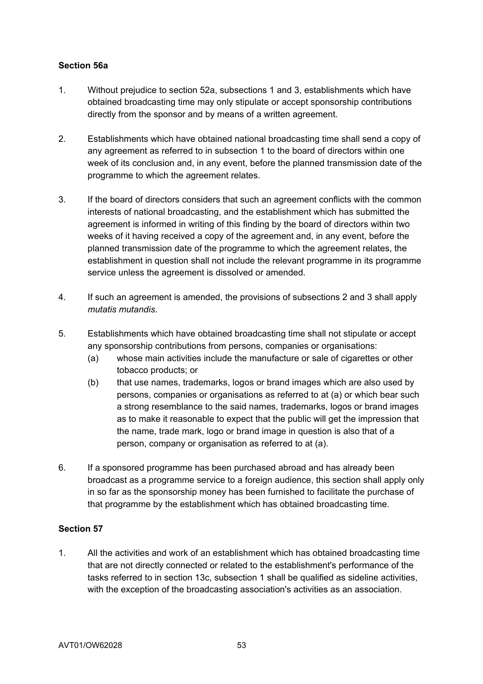### **Section 56a**

- 1. Without prejudice to section 52a, subsections 1 and 3, establishments which have obtained broadcasting time may only stipulate or accept sponsorship contributions directly from the sponsor and by means of a written agreement.
- 2. Establishments which have obtained national broadcasting time shall send a copy of any agreement as referred to in subsection 1 to the board of directors within one week of its conclusion and, in any event, before the planned transmission date of the programme to which the agreement relates.
- 3. If the board of directors considers that such an agreement conflicts with the common interests of national broadcasting, and the establishment which has submitted the agreement is informed in writing of this finding by the board of directors within two weeks of it having received a copy of the agreement and, in any event, before the planned transmission date of the programme to which the agreement relates, the establishment in question shall not include the relevant programme in its programme service unless the agreement is dissolved or amended.
- 4. If such an agreement is amended, the provisions of subsections 2 and 3 shall apply *mutatis mutandis*.
- 5. Establishments which have obtained broadcasting time shall not stipulate or accept any sponsorship contributions from persons, companies or organisations:
	- (a) whose main activities include the manufacture or sale of cigarettes or other tobacco products; or
	- (b) that use names, trademarks, logos or brand images which are also used by persons, companies or organisations as referred to at (a) or which bear such a strong resemblance to the said names, trademarks, logos or brand images as to make it reasonable to expect that the public will get the impression that the name, trade mark, logo or brand image in question is also that of a person, company or organisation as referred to at (a).
- 6. If a sponsored programme has been purchased abroad and has already been broadcast as a programme service to a foreign audience, this section shall apply only in so far as the sponsorship money has been furnished to facilitate the purchase of that programme by the establishment which has obtained broadcasting time.

#### **Section 57**

1. All the activities and work of an establishment which has obtained broadcasting time that are not directly connected or related to the establishment's performance of the tasks referred to in section 13c, subsection 1 shall be qualified as sideline activities, with the exception of the broadcasting association's activities as an association.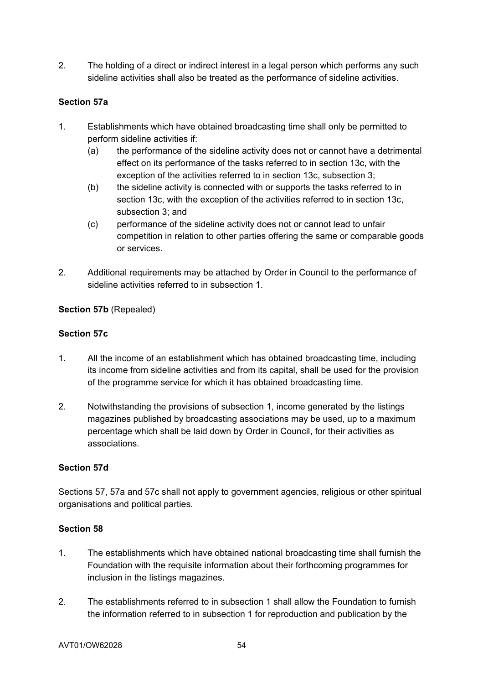2. The holding of a direct or indirect interest in a legal person which performs any such sideline activities shall also be treated as the performance of sideline activities.

## **Section 57a**

- 1. Establishments which have obtained broadcasting time shall only be permitted to perform sideline activities if:
	- (a) the performance of the sideline activity does not or cannot have a detrimental effect on its performance of the tasks referred to in section 13c, with the exception of the activities referred to in section 13c, subsection 3;
	- (b) the sideline activity is connected with or supports the tasks referred to in section 13c, with the exception of the activities referred to in section 13c, subsection 3; and
	- (c) performance of the sideline activity does not or cannot lead to unfair competition in relation to other parties offering the same or comparable goods or services.
- 2. Additional requirements may be attached by Order in Council to the performance of sideline activities referred to in subsection 1.

## **Section 57b** (Repealed)

### **Section 57c**

- 1. All the income of an establishment which has obtained broadcasting time, including its income from sideline activities and from its capital, shall be used for the provision of the programme service for which it has obtained broadcasting time.
- 2. Notwithstanding the provisions of subsection 1, income generated by the listings magazines published by broadcasting associations may be used, up to a maximum percentage which shall be laid down by Order in Council, for their activities as associations.

#### **Section 57d**

Sections 57, 57a and 57c shall not apply to government agencies, religious or other spiritual organisations and political parties.

- 1. The establishments which have obtained national broadcasting time shall furnish the Foundation with the requisite information about their forthcoming programmes for inclusion in the listings magazines.
- 2. The establishments referred to in subsection 1 shall allow the Foundation to furnish the information referred to in subsection 1 for reproduction and publication by the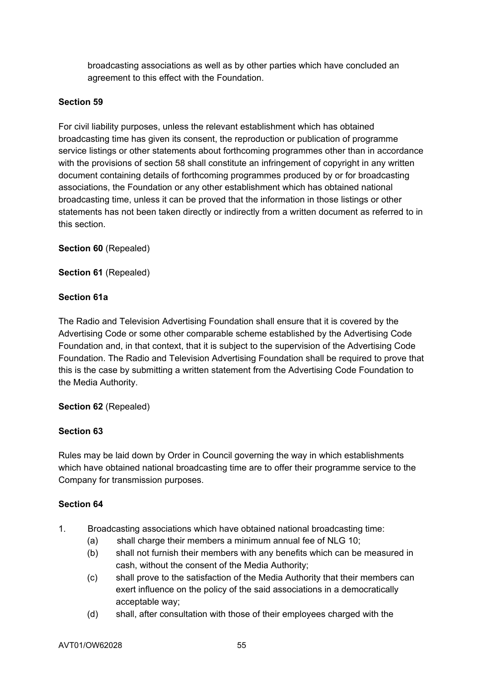broadcasting associations as well as by other parties which have concluded an agreement to this effect with the Foundation.

## **Section 59**

For civil liability purposes, unless the relevant establishment which has obtained broadcasting time has given its consent, the reproduction or publication of programme service listings or other statements about forthcoming programmes other than in accordance with the provisions of section 58 shall constitute an infringement of copyright in any written document containing details of forthcoming programmes produced by or for broadcasting associations, the Foundation or any other establishment which has obtained national broadcasting time, unless it can be proved that the information in those listings or other statements has not been taken directly or indirectly from a written document as referred to in this section.

**Section 60** (Repealed)

**Section 61** (Repealed)

### **Section 61a**

The Radio and Television Advertising Foundation shall ensure that it is covered by the Advertising Code or some other comparable scheme established by the Advertising Code Foundation and, in that context, that it is subject to the supervision of the Advertising Code Foundation. The Radio and Television Advertising Foundation shall be required to prove that this is the case by submitting a written statement from the Advertising Code Foundation to the Media Authority.

#### **Section 62** (Repealed)

#### **Section 63**

Rules may be laid down by Order in Council governing the way in which establishments which have obtained national broadcasting time are to offer their programme service to the Company for transmission purposes.

- 1. Broadcasting associations which have obtained national broadcasting time:
	- (a) shall charge their members a minimum annual fee of NLG 10;
	- (b) shall not furnish their members with any benefits which can be measured in cash, without the consent of the Media Authority;
	- (c) shall prove to the satisfaction of the Media Authority that their members can exert influence on the policy of the said associations in a democratically acceptable way;
	- (d) shall, after consultation with those of their employees charged with the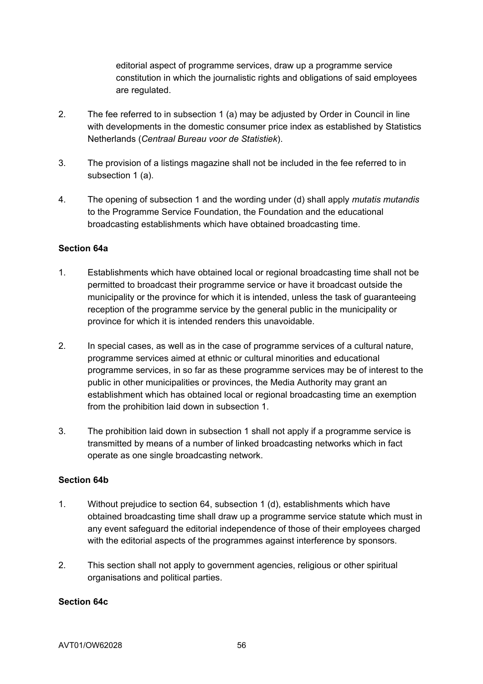editorial aspect of programme services, draw up a programme service constitution in which the journalistic rights and obligations of said employees are regulated.

- 2. The fee referred to in subsection 1 (a) may be adjusted by Order in Council in line with developments in the domestic consumer price index as established by Statistics Netherlands (*Centraal Bureau voor de Statistiek*).
- 3. The provision of a listings magazine shall not be included in the fee referred to in subsection 1 (a).
- 4. The opening of subsection 1 and the wording under (d) shall apply *mutatis mutandis* to the Programme Service Foundation, the Foundation and the educational broadcasting establishments which have obtained broadcasting time.

### **Section 64a**

- 1. Establishments which have obtained local or regional broadcasting time shall not be permitted to broadcast their programme service or have it broadcast outside the municipality or the province for which it is intended, unless the task of guaranteeing reception of the programme service by the general public in the municipality or province for which it is intended renders this unavoidable.
- 2. In special cases, as well as in the case of programme services of a cultural nature, programme services aimed at ethnic or cultural minorities and educational programme services, in so far as these programme services may be of interest to the public in other municipalities or provinces, the Media Authority may grant an establishment which has obtained local or regional broadcasting time an exemption from the prohibition laid down in subsection 1.
- 3. The prohibition laid down in subsection 1 shall not apply if a programme service is transmitted by means of a number of linked broadcasting networks which in fact operate as one single broadcasting network.

#### **Section 64b**

- 1. Without prejudice to section 64, subsection 1 (d), establishments which have obtained broadcasting time shall draw up a programme service statute which must in any event safeguard the editorial independence of those of their employees charged with the editorial aspects of the programmes against interference by sponsors.
- 2. This section shall not apply to government agencies, religious or other spiritual organisations and political parties.

#### **Section 64c**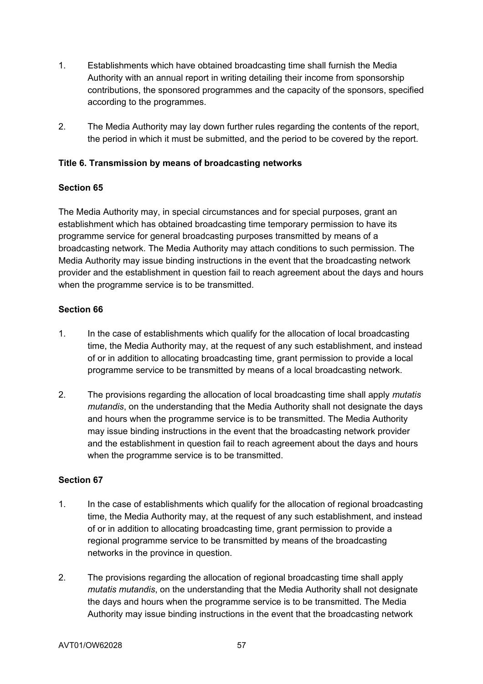- 1. Establishments which have obtained broadcasting time shall furnish the Media Authority with an annual report in writing detailing their income from sponsorship contributions, the sponsored programmes and the capacity of the sponsors, specified according to the programmes.
- 2. The Media Authority may lay down further rules regarding the contents of the report, the period in which it must be submitted, and the period to be covered by the report.

## **Title 6. Transmission by means of broadcasting networks**

### **Section 65**

The Media Authority may, in special circumstances and for special purposes, grant an establishment which has obtained broadcasting time temporary permission to have its programme service for general broadcasting purposes transmitted by means of a broadcasting network. The Media Authority may attach conditions to such permission. The Media Authority may issue binding instructions in the event that the broadcasting network provider and the establishment in question fail to reach agreement about the days and hours when the programme service is to be transmitted.

### **Section 66**

- 1. In the case of establishments which qualify for the allocation of local broadcasting time, the Media Authority may, at the request of any such establishment, and instead of or in addition to allocating broadcasting time, grant permission to provide a local programme service to be transmitted by means of a local broadcasting network.
- 2. The provisions regarding the allocation of local broadcasting time shall apply *mutatis mutandis*, on the understanding that the Media Authority shall not designate the days and hours when the programme service is to be transmitted. The Media Authority may issue binding instructions in the event that the broadcasting network provider and the establishment in question fail to reach agreement about the days and hours when the programme service is to be transmitted.

- 1. In the case of establishments which qualify for the allocation of regional broadcasting time, the Media Authority may, at the request of any such establishment, and instead of or in addition to allocating broadcasting time, grant permission to provide a regional programme service to be transmitted by means of the broadcasting networks in the province in question.
- 2. The provisions regarding the allocation of regional broadcasting time shall apply *mutatis mutandis*, on the understanding that the Media Authority shall not designate the days and hours when the programme service is to be transmitted. The Media Authority may issue binding instructions in the event that the broadcasting network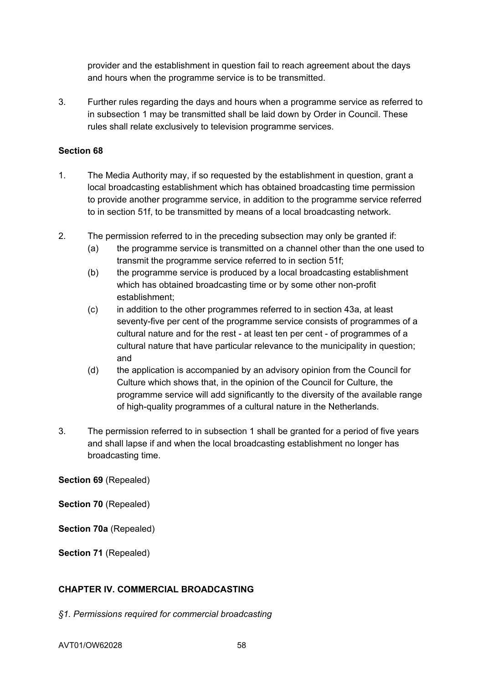provider and the establishment in question fail to reach agreement about the days and hours when the programme service is to be transmitted.

3. Further rules regarding the days and hours when a programme service as referred to in subsection 1 may be transmitted shall be laid down by Order in Council. These rules shall relate exclusively to television programme services.

### **Section 68**

- 1. The Media Authority may, if so requested by the establishment in question, grant a local broadcasting establishment which has obtained broadcasting time permission to provide another programme service, in addition to the programme service referred to in section 51f, to be transmitted by means of a local broadcasting network.
- 2. The permission referred to in the preceding subsection may only be granted if:
	- (a) the programme service is transmitted on a channel other than the one used to transmit the programme service referred to in section 51f;
	- (b) the programme service is produced by a local broadcasting establishment which has obtained broadcasting time or by some other non-profit establishment;
	- (c) in addition to the other programmes referred to in section 43a, at least seventy-five per cent of the programme service consists of programmes of a cultural nature and for the rest - at least ten per cent - of programmes of a cultural nature that have particular relevance to the municipality in question; and
	- (d) the application is accompanied by an advisory opinion from the Council for Culture which shows that, in the opinion of the Council for Culture, the programme service will add significantly to the diversity of the available range of high-quality programmes of a cultural nature in the Netherlands.
- 3. The permission referred to in subsection 1 shall be granted for a period of five years and shall lapse if and when the local broadcasting establishment no longer has broadcasting time.

**Section 69** (Repealed)

**Section 70** (Repealed)

**Section 70a** (Repealed)

**Section 71** (Repealed)

## **CHAPTER IV. COMMERCIAL BROADCASTING**

*§1. Permissions required for commercial broadcasting*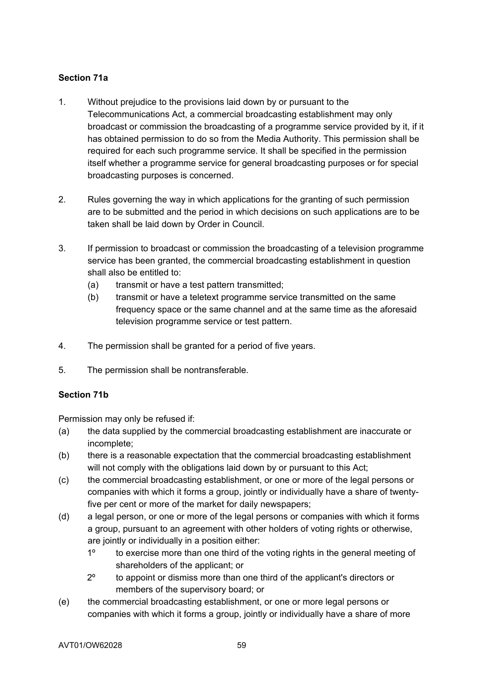## **Section 71a**

- 1. Without prejudice to the provisions laid down by or pursuant to the Telecommunications Act, a commercial broadcasting establishment may only broadcast or commission the broadcasting of a programme service provided by it, if it has obtained permission to do so from the Media Authority. This permission shall be required for each such programme service. It shall be specified in the permission itself whether a programme service for general broadcasting purposes or for special broadcasting purposes is concerned.
- 2. Rules governing the way in which applications for the granting of such permission are to be submitted and the period in which decisions on such applications are to be taken shall be laid down by Order in Council.
- 3. If permission to broadcast or commission the broadcasting of a television programme service has been granted, the commercial broadcasting establishment in question shall also be entitled to:
	- (a) transmit or have a test pattern transmitted;
	- (b) transmit or have a teletext programme service transmitted on the same frequency space or the same channel and at the same time as the aforesaid television programme service or test pattern.
- 4. The permission shall be granted for a period of five years.
- 5. The permission shall be nontransferable.

## **Section 71b**

Permission may only be refused if:

- (a) the data supplied by the commercial broadcasting establishment are inaccurate or incomplete;
- (b) there is a reasonable expectation that the commercial broadcasting establishment will not comply with the obligations laid down by or pursuant to this Act;
- (c) the commercial broadcasting establishment, or one or more of the legal persons or companies with which it forms a group, jointly or individually have a share of twentyfive per cent or more of the market for daily newspapers;
- (d) a legal person, or one or more of the legal persons or companies with which it forms a group, pursuant to an agreement with other holders of voting rights or otherwise, are jointly or individually in a position either:
	- 1º to exercise more than one third of the voting rights in the general meeting of shareholders of the applicant; or
	- 2º to appoint or dismiss more than one third of the applicant's directors or members of the supervisory board; or
- (e) the commercial broadcasting establishment, or one or more legal persons or companies with which it forms a group, jointly or individually have a share of more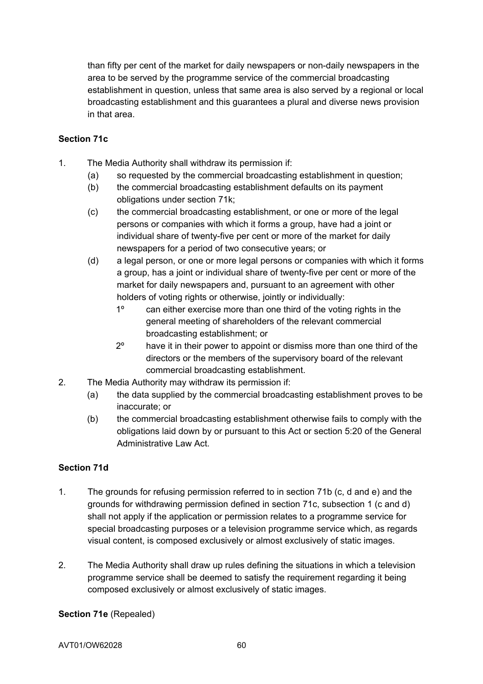than fifty per cent of the market for daily newspapers or non-daily newspapers in the area to be served by the programme service of the commercial broadcasting establishment in question, unless that same area is also served by a regional or local broadcasting establishment and this guarantees a plural and diverse news provision in that area.

### **Section 71c**

- 1. The Media Authority shall withdraw its permission if:
	- (a) so requested by the commercial broadcasting establishment in question;
	- (b) the commercial broadcasting establishment defaults on its payment obligations under section 71k;
	- (c) the commercial broadcasting establishment, or one or more of the legal persons or companies with which it forms a group, have had a joint or individual share of twenty-five per cent or more of the market for daily newspapers for a period of two consecutive years; or
	- (d) a legal person, or one or more legal persons or companies with which it forms a group, has a joint or individual share of twenty-five per cent or more of the market for daily newspapers and, pursuant to an agreement with other holders of voting rights or otherwise, jointly or individually:
		- 1º can either exercise more than one third of the voting rights in the general meeting of shareholders of the relevant commercial broadcasting establishment; or
		- 2º have it in their power to appoint or dismiss more than one third of the directors or the members of the supervisory board of the relevant commercial broadcasting establishment.
- 2. The Media Authority may withdraw its permission if:
	- (a) the data supplied by the commercial broadcasting establishment proves to be inaccurate; or
	- (b) the commercial broadcasting establishment otherwise fails to comply with the obligations laid down by or pursuant to this Act or section 5:20 of the General Administrative Law Act.

## **Section 71d**

- 1. The grounds for refusing permission referred to in section 71b (c, d and e) and the grounds for withdrawing permission defined in section 71c, subsection 1 (c and d) shall not apply if the application or permission relates to a programme service for special broadcasting purposes or a television programme service which, as regards visual content, is composed exclusively or almost exclusively of static images.
- 2. The Media Authority shall draw up rules defining the situations in which a television programme service shall be deemed to satisfy the requirement regarding it being composed exclusively or almost exclusively of static images.

## **Section 71e** (Repealed)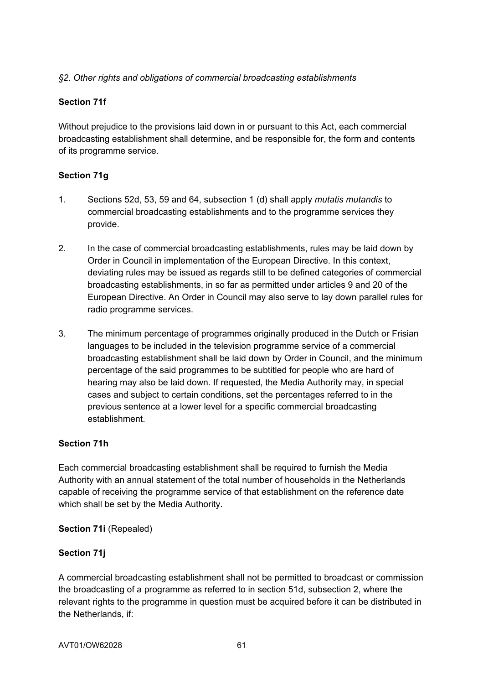## *§2. Other rights and obligations of commercial broadcasting establishments*

### **Section 71f**

Without prejudice to the provisions laid down in or pursuant to this Act, each commercial broadcasting establishment shall determine, and be responsible for, the form and contents of its programme service.

### **Section 71g**

- 1. Sections 52d, 53, 59 and 64, subsection 1 (d) shall apply *mutatis mutandis* to commercial broadcasting establishments and to the programme services they provide.
- 2. In the case of commercial broadcasting establishments, rules may be laid down by Order in Council in implementation of the European Directive. In this context, deviating rules may be issued as regards still to be defined categories of commercial broadcasting establishments, in so far as permitted under articles 9 and 20 of the European Directive. An Order in Council may also serve to lay down parallel rules for radio programme services.
- 3. The minimum percentage of programmes originally produced in the Dutch or Frisian languages to be included in the television programme service of a commercial broadcasting establishment shall be laid down by Order in Council, and the minimum percentage of the said programmes to be subtitled for people who are hard of hearing may also be laid down. If requested, the Media Authority may, in special cases and subject to certain conditions, set the percentages referred to in the previous sentence at a lower level for a specific commercial broadcasting establishment.

#### **Section 71h**

Each commercial broadcasting establishment shall be required to furnish the Media Authority with an annual statement of the total number of households in the Netherlands capable of receiving the programme service of that establishment on the reference date which shall be set by the Media Authority.

#### **Section 71i** (Repealed)

## **Section 71j**

A commercial broadcasting establishment shall not be permitted to broadcast or commission the broadcasting of a programme as referred to in section 51d, subsection 2, where the relevant rights to the programme in question must be acquired before it can be distributed in the Netherlands, if: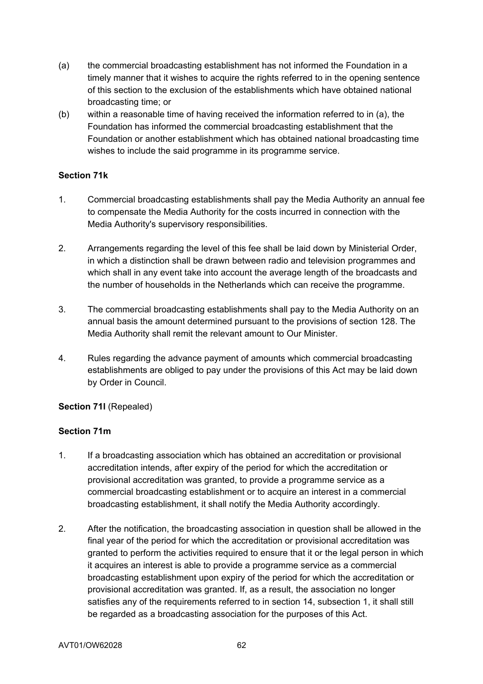- (a) the commercial broadcasting establishment has not informed the Foundation in a timely manner that it wishes to acquire the rights referred to in the opening sentence of this section to the exclusion of the establishments which have obtained national broadcasting time; or
- (b) within a reasonable time of having received the information referred to in (a), the Foundation has informed the commercial broadcasting establishment that the Foundation or another establishment which has obtained national broadcasting time wishes to include the said programme in its programme service.

### **Section 71k**

- 1. Commercial broadcasting establishments shall pay the Media Authority an annual fee to compensate the Media Authority for the costs incurred in connection with the Media Authority's supervisory responsibilities.
- 2. Arrangements regarding the level of this fee shall be laid down by Ministerial Order, in which a distinction shall be drawn between radio and television programmes and which shall in any event take into account the average length of the broadcasts and the number of households in the Netherlands which can receive the programme.
- 3. The commercial broadcasting establishments shall pay to the Media Authority on an annual basis the amount determined pursuant to the provisions of section 128. The Media Authority shall remit the relevant amount to Our Minister.
- 4. Rules regarding the advance payment of amounts which commercial broadcasting establishments are obliged to pay under the provisions of this Act may be laid down by Order in Council.

## **Section 71l** (Repealed)

## **Section 71m**

- 1. If a broadcasting association which has obtained an accreditation or provisional accreditation intends, after expiry of the period for which the accreditation or provisional accreditation was granted, to provide a programme service as a commercial broadcasting establishment or to acquire an interest in a commercial broadcasting establishment, it shall notify the Media Authority accordingly.
- 2. After the notification, the broadcasting association in question shall be allowed in the final year of the period for which the accreditation or provisional accreditation was granted to perform the activities required to ensure that it or the legal person in which it acquires an interest is able to provide a programme service as a commercial broadcasting establishment upon expiry of the period for which the accreditation or provisional accreditation was granted. If, as a result, the association no longer satisfies any of the requirements referred to in section 14, subsection 1, it shall still be regarded as a broadcasting association for the purposes of this Act.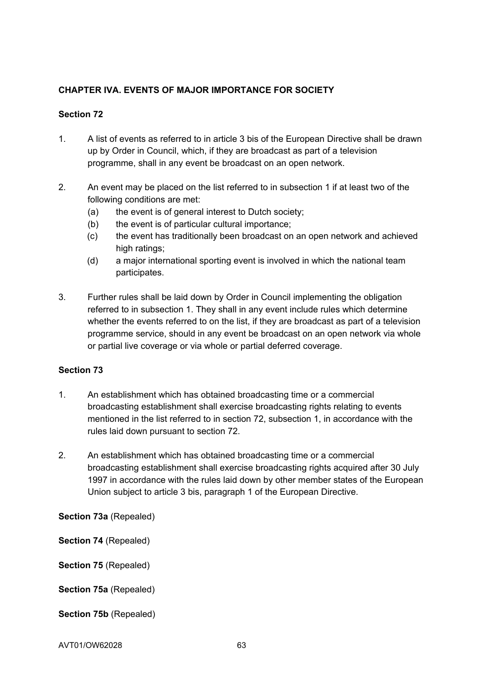# **CHAPTER IVA. EVENTS OF MAJOR IMPORTANCE FOR SOCIETY**

## **Section 72**

- 1. A list of events as referred to in article 3 bis of the European Directive shall be drawn up by Order in Council, which, if they are broadcast as part of a television programme, shall in any event be broadcast on an open network.
- 2. An event may be placed on the list referred to in subsection 1 if at least two of the following conditions are met:
	- (a) the event is of general interest to Dutch society;
	- (b) the event is of particular cultural importance;
	- (c) the event has traditionally been broadcast on an open network and achieved high ratings;
	- (d) a major international sporting event is involved in which the national team participates.
- 3. Further rules shall be laid down by Order in Council implementing the obligation referred to in subsection 1. They shall in any event include rules which determine whether the events referred to on the list, if they are broadcast as part of a television programme service, should in any event be broadcast on an open network via whole or partial live coverage or via whole or partial deferred coverage.

#### **Section 73**

- 1. An establishment which has obtained broadcasting time or a commercial broadcasting establishment shall exercise broadcasting rights relating to events mentioned in the list referred to in section 72, subsection 1, in accordance with the rules laid down pursuant to section 72.
- 2. An establishment which has obtained broadcasting time or a commercial broadcasting establishment shall exercise broadcasting rights acquired after 30 July 1997 in accordance with the rules laid down by other member states of the European Union subject to article 3 bis, paragraph 1 of the European Directive.

**Section 73a** (Repealed)

**Section 74** (Repealed)

**Section 75** (Repealed)

**Section 75a** (Repealed)

**Section 75b** (Repealed)

AVT01/OW62028 63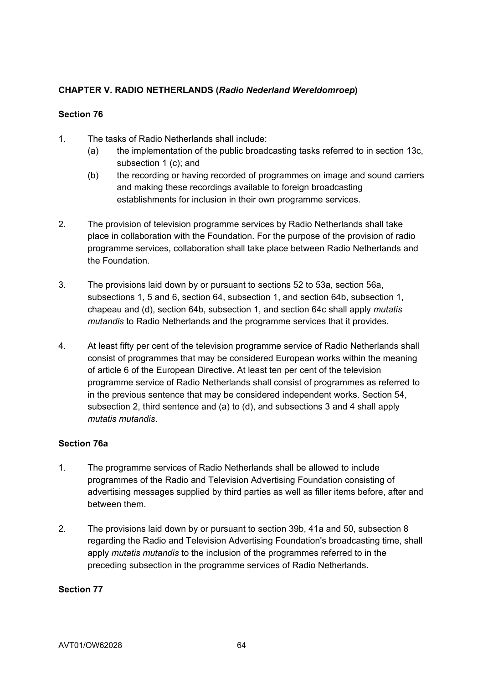# **CHAPTER V. RADIO NETHERLANDS (***Radio Nederland Wereldomroep***)**

## **Section 76**

- 1. The tasks of Radio Netherlands shall include:
	- (a) the implementation of the public broadcasting tasks referred to in section 13c, subsection 1 (c); and
	- (b) the recording or having recorded of programmes on image and sound carriers and making these recordings available to foreign broadcasting establishments for inclusion in their own programme services.
- 2. The provision of television programme services by Radio Netherlands shall take place in collaboration with the Foundation. For the purpose of the provision of radio programme services, collaboration shall take place between Radio Netherlands and the Foundation.
- 3. The provisions laid down by or pursuant to sections 52 to 53a, section 56a, subsections 1, 5 and 6, section 64, subsection 1, and section 64b, subsection 1, chapeau and (d), section 64b, subsection 1, and section 64c shall apply *mutatis mutandis* to Radio Netherlands and the programme services that it provides.
- 4. At least fifty per cent of the television programme service of Radio Netherlands shall consist of programmes that may be considered European works within the meaning of article 6 of the European Directive. At least ten per cent of the television programme service of Radio Netherlands shall consist of programmes as referred to in the previous sentence that may be considered independent works. Section 54, subsection 2, third sentence and (a) to (d), and subsections 3 and 4 shall apply *mutatis mutandis*.

## **Section 76a**

- 1. The programme services of Radio Netherlands shall be allowed to include programmes of the Radio and Television Advertising Foundation consisting of advertising messages supplied by third parties as well as filler items before, after and between them.
- 2. The provisions laid down by or pursuant to section 39b, 41a and 50, subsection 8 regarding the Radio and Television Advertising Foundation's broadcasting time, shall apply *mutatis mutandis* to the inclusion of the programmes referred to in the preceding subsection in the programme services of Radio Netherlands.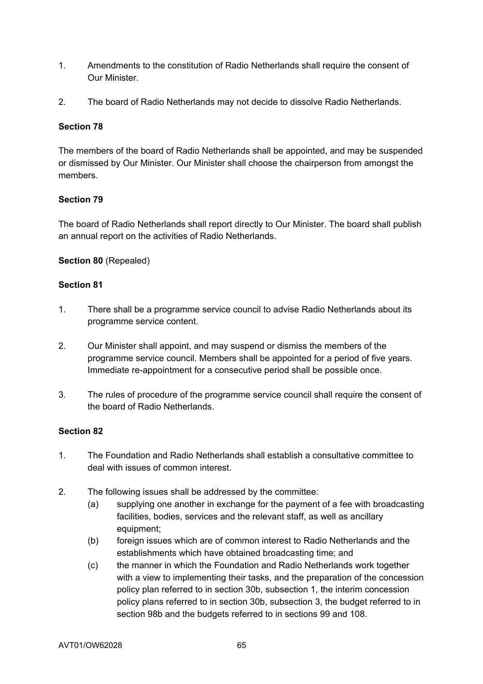- 1. Amendments to the constitution of Radio Netherlands shall require the consent of Our Minister.
- 2. The board of Radio Netherlands may not decide to dissolve Radio Netherlands.

## **Section 78**

The members of the board of Radio Netherlands shall be appointed, and may be suspended or dismissed by Our Minister. Our Minister shall choose the chairperson from amongst the members.

### **Section 79**

The board of Radio Netherlands shall report directly to Our Minister. The board shall publish an annual report on the activities of Radio Netherlands.

### **Section 80** (Repealed)

### **Section 81**

- 1. There shall be a programme service council to advise Radio Netherlands about its programme service content.
- 2. Our Minister shall appoint, and may suspend or dismiss the members of the programme service council. Members shall be appointed for a period of five years. Immediate re-appointment for a consecutive period shall be possible once.
- 3. The rules of procedure of the programme service council shall require the consent of the board of Radio Netherlands.

- 1. The Foundation and Radio Netherlands shall establish a consultative committee to deal with issues of common interest.
- 2. The following issues shall be addressed by the committee:
	- (a) supplying one another in exchange for the payment of a fee with broadcasting facilities, bodies, services and the relevant staff, as well as ancillary equipment;
	- (b) foreign issues which are of common interest to Radio Netherlands and the establishments which have obtained broadcasting time; and
	- (c) the manner in which the Foundation and Radio Netherlands work together with a view to implementing their tasks, and the preparation of the concession policy plan referred to in section 30b, subsection 1, the interim concession policy plans referred to in section 30b, subsection 3, the budget referred to in section 98b and the budgets referred to in sections 99 and 108.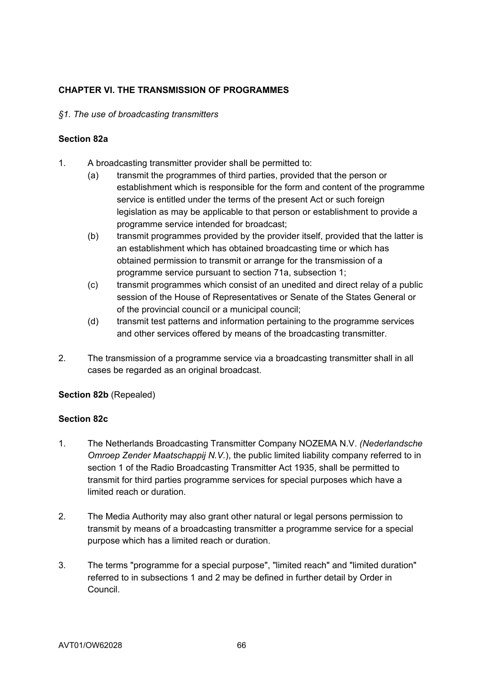# **CHAPTER VI. THE TRANSMISSION OF PROGRAMMES**

#### *§1. The use of broadcasting transmitters*

#### **Section 82a**

- 1. A broadcasting transmitter provider shall be permitted to:
	- (a) transmit the programmes of third parties, provided that the person or establishment which is responsible for the form and content of the programme service is entitled under the terms of the present Act or such foreign legislation as may be applicable to that person or establishment to provide a programme service intended for broadcast;
	- (b) transmit programmes provided by the provider itself, provided that the latter is an establishment which has obtained broadcasting time or which has obtained permission to transmit or arrange for the transmission of a programme service pursuant to section 71a, subsection 1;
	- (c) transmit programmes which consist of an unedited and direct relay of a public session of the House of Representatives or Senate of the States General or of the provincial council or a municipal council;
	- (d) transmit test patterns and information pertaining to the programme services and other services offered by means of the broadcasting transmitter.
- 2. The transmission of a programme service via a broadcasting transmitter shall in all cases be regarded as an original broadcast.

## **Section 82b** (Repealed)

## **Section 82c**

- 1. The Netherlands Broadcasting Transmitter Company NOZEMA N.V. *(Nederlandsche Omroep Zender Maatschappij N.V.*), the public limited liability company referred to in section 1 of the Radio Broadcasting Transmitter Act 1935, shall be permitted to transmit for third parties programme services for special purposes which have a limited reach or duration.
- 2. The Media Authority may also grant other natural or legal persons permission to transmit by means of a broadcasting transmitter a programme service for a special purpose which has a limited reach or duration.
- 3. The terms "programme for a special purpose", "limited reach" and "limited duration" referred to in subsections 1 and 2 may be defined in further detail by Order in Council.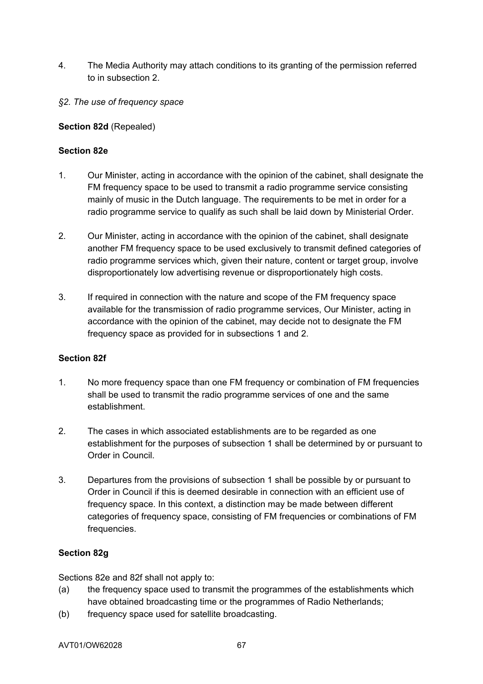- 4. The Media Authority may attach conditions to its granting of the permission referred to in subsection 2.
- *§2. The use of frequency space*

## **Section 82d** (Repealed)

### **Section 82e**

- 1. Our Minister, acting in accordance with the opinion of the cabinet, shall designate the FM frequency space to be used to transmit a radio programme service consisting mainly of music in the Dutch language. The requirements to be met in order for a radio programme service to qualify as such shall be laid down by Ministerial Order.
- 2. Our Minister, acting in accordance with the opinion of the cabinet, shall designate another FM frequency space to be used exclusively to transmit defined categories of radio programme services which, given their nature, content or target group, involve disproportionately low advertising revenue or disproportionately high costs.
- 3. If required in connection with the nature and scope of the FM frequency space available for the transmission of radio programme services, Our Minister, acting in accordance with the opinion of the cabinet, may decide not to designate the FM frequency space as provided for in subsections 1 and 2.

#### **Section 82f**

- 1. No more frequency space than one FM frequency or combination of FM frequencies shall be used to transmit the radio programme services of one and the same establishment.
- 2. The cases in which associated establishments are to be regarded as one establishment for the purposes of subsection 1 shall be determined by or pursuant to Order in Council.
- 3. Departures from the provisions of subsection 1 shall be possible by or pursuant to Order in Council if this is deemed desirable in connection with an efficient use of frequency space. In this context, a distinction may be made between different categories of frequency space, consisting of FM frequencies or combinations of FM frequencies.

## **Section 82g**

Sections 82e and 82f shall not apply to:

- (a) the frequency space used to transmit the programmes of the establishments which have obtained broadcasting time or the programmes of Radio Netherlands;
- (b) frequency space used for satellite broadcasting.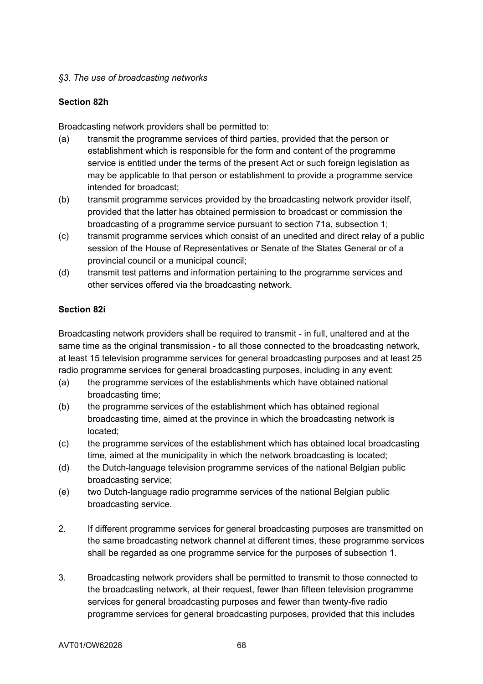## *§3. The use of broadcasting networks*

## **Section 82h**

Broadcasting network providers shall be permitted to:

- (a) transmit the programme services of third parties, provided that the person or establishment which is responsible for the form and content of the programme service is entitled under the terms of the present Act or such foreign legislation as may be applicable to that person or establishment to provide a programme service intended for broadcast;
- (b) transmit programme services provided by the broadcasting network provider itself, provided that the latter has obtained permission to broadcast or commission the broadcasting of a programme service pursuant to section 71a, subsection 1;
- (c) transmit programme services which consist of an unedited and direct relay of a public session of the House of Representatives or Senate of the States General or of a provincial council or a municipal council;
- (d) transmit test patterns and information pertaining to the programme services and other services offered via the broadcasting network.

## **Section 82i**

Broadcasting network providers shall be required to transmit - in full, unaltered and at the same time as the original transmission - to all those connected to the broadcasting network, at least 15 television programme services for general broadcasting purposes and at least 25 radio programme services for general broadcasting purposes, including in any event:

- (a) the programme services of the establishments which have obtained national broadcasting time;
- (b) the programme services of the establishment which has obtained regional broadcasting time, aimed at the province in which the broadcasting network is located;
- (c) the programme services of the establishment which has obtained local broadcasting time, aimed at the municipality in which the network broadcasting is located;
- (d) the Dutch-language television programme services of the national Belgian public broadcasting service;
- (e) two Dutch-language radio programme services of the national Belgian public broadcasting service.
- 2. If different programme services for general broadcasting purposes are transmitted on the same broadcasting network channel at different times, these programme services shall be regarded as one programme service for the purposes of subsection 1.
- 3. Broadcasting network providers shall be permitted to transmit to those connected to the broadcasting network, at their request, fewer than fifteen television programme services for general broadcasting purposes and fewer than twenty-five radio programme services for general broadcasting purposes, provided that this includes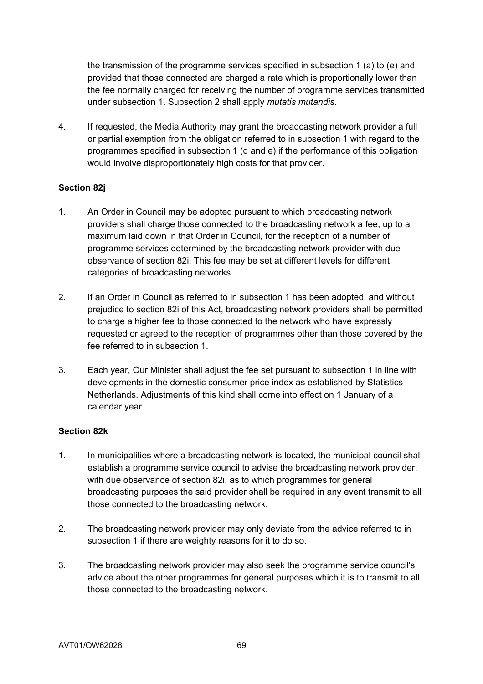the transmission of the programme services specified in subsection 1 (a) to (e) and provided that those connected are charged a rate which is proportionally lower than the fee normally charged for receiving the number of programme services transmitted under subsection 1. Subsection 2 shall apply *mutatis mutandis*.

4. If requested, the Media Authority may grant the broadcasting network provider a full or partial exemption from the obligation referred to in subsection 1 with regard to the programmes specified in subsection 1 (d and e) if the performance of this obligation would involve disproportionately high costs for that provider.

### **Section 82j**

- 1. An Order in Council may be adopted pursuant to which broadcasting network providers shall charge those connected to the broadcasting network a fee, up to a maximum laid down in that Order in Council, for the reception of a number of programme services determined by the broadcasting network provider with due observance of section 82i. This fee may be set at different levels for different categories of broadcasting networks.
- 2. If an Order in Council as referred to in subsection 1 has been adopted, and without prejudice to section 82i of this Act, broadcasting network providers shall be permitted to charge a higher fee to those connected to the network who have expressly requested or agreed to the reception of programmes other than those covered by the fee referred to in subsection 1.
- 3. Each year, Our Minister shall adjust the fee set pursuant to subsection 1 in line with developments in the domestic consumer price index as established by Statistics Netherlands. Adjustments of this kind shall come into effect on 1 January of a calendar year.

#### **Section 82k**

- 1. In municipalities where a broadcasting network is located, the municipal council shall establish a programme service council to advise the broadcasting network provider, with due observance of section 82i, as to which programmes for general broadcasting purposes the said provider shall be required in any event transmit to all those connected to the broadcasting network.
- 2. The broadcasting network provider may only deviate from the advice referred to in subsection 1 if there are weighty reasons for it to do so.
- 3. The broadcasting network provider may also seek the programme service council's advice about the other programmes for general purposes which it is to transmit to all those connected to the broadcasting network.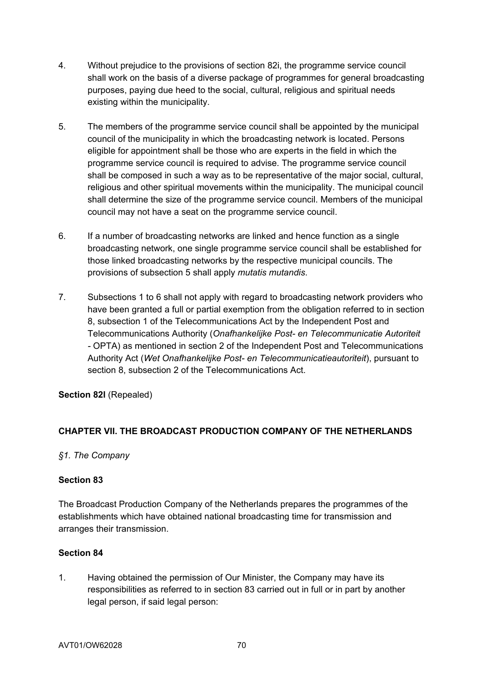- 4. Without prejudice to the provisions of section 82i, the programme service council shall work on the basis of a diverse package of programmes for general broadcasting purposes, paying due heed to the social, cultural, religious and spiritual needs existing within the municipality.
- 5. The members of the programme service council shall be appointed by the municipal council of the municipality in which the broadcasting network is located. Persons eligible for appointment shall be those who are experts in the field in which the programme service council is required to advise. The programme service council shall be composed in such a way as to be representative of the major social, cultural, religious and other spiritual movements within the municipality. The municipal council shall determine the size of the programme service council. Members of the municipal council may not have a seat on the programme service council.
- 6. If a number of broadcasting networks are linked and hence function as a single broadcasting network, one single programme service council shall be established for those linked broadcasting networks by the respective municipal councils. The provisions of subsection 5 shall apply *mutatis mutandis*.
- 7. Subsections 1 to 6 shall not apply with regard to broadcasting network providers who have been granted a full or partial exemption from the obligation referred to in section 8, subsection 1 of the Telecommunications Act by the Independent Post and Telecommunications Authority (*Onafhankelijke Post- en Telecommunicatie Autoriteit -* OPTA) as mentioned in section 2 of the Independent Post and Telecommunications Authority Act (*Wet Onafhankelijke Post- en Telecommunicatieautoriteit*), pursuant to section 8, subsection 2 of the Telecommunications Act.

**Section 82l** (Repealed)

## **CHAPTER VII. THE BROADCAST PRODUCTION COMPANY OF THE NETHERLANDS**

## *§1. The Company*

#### **Section 83**

The Broadcast Production Company of the Netherlands prepares the programmes of the establishments which have obtained national broadcasting time for transmission and arranges their transmission.

## **Section 84**

1. Having obtained the permission of Our Minister, the Company may have its responsibilities as referred to in section 83 carried out in full or in part by another legal person, if said legal person: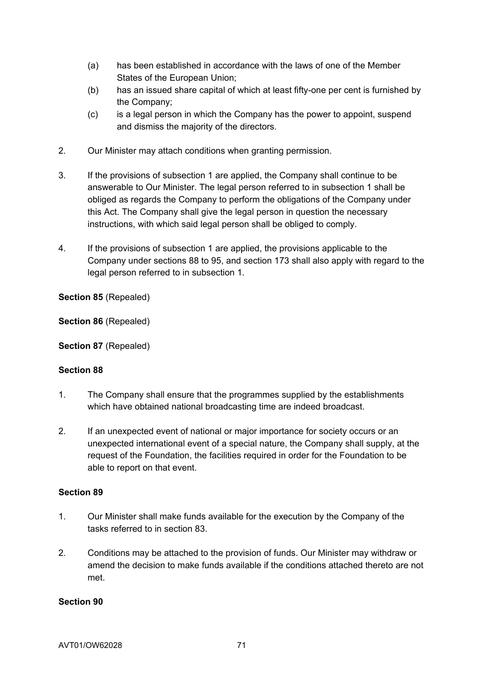- (a) has been established in accordance with the laws of one of the Member States of the European Union;
- (b) has an issued share capital of which at least fifty-one per cent is furnished by the Company;
- (c) is a legal person in which the Company has the power to appoint, suspend and dismiss the majority of the directors.
- 2. Our Minister may attach conditions when granting permission.
- 3. If the provisions of subsection 1 are applied, the Company shall continue to be answerable to Our Minister. The legal person referred to in subsection 1 shall be obliged as regards the Company to perform the obligations of the Company under this Act. The Company shall give the legal person in question the necessary instructions, with which said legal person shall be obliged to comply.
- 4. If the provisions of subsection 1 are applied, the provisions applicable to the Company under sections 88 to 95, and section 173 shall also apply with regard to the legal person referred to in subsection 1.

**Section 85** (Repealed)

**Section 86** (Repealed)

**Section 87** (Repealed)

#### **Section 88**

- 1. The Company shall ensure that the programmes supplied by the establishments which have obtained national broadcasting time are indeed broadcast.
- 2. If an unexpected event of national or major importance for society occurs or an unexpected international event of a special nature, the Company shall supply, at the request of the Foundation, the facilities required in order for the Foundation to be able to report on that event.

#### **Section 89**

- 1. Our Minister shall make funds available for the execution by the Company of the tasks referred to in section 83.
- 2. Conditions may be attached to the provision of funds. Our Minister may withdraw or amend the decision to make funds available if the conditions attached thereto are not met.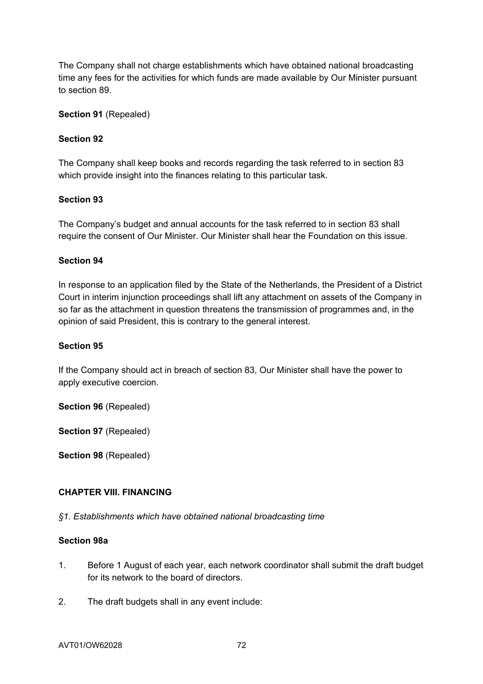The Company shall not charge establishments which have obtained national broadcasting time any fees for the activities for which funds are made available by Our Minister pursuant to section 89.

**Section 91** (Repealed)

## **Section 92**

The Company shall keep books and records regarding the task referred to in section 83 which provide insight into the finances relating to this particular task.

### **Section 93**

The Company's budget and annual accounts for the task referred to in section 83 shall require the consent of Our Minister. Our Minister shall hear the Foundation on this issue.

### **Section 94**

In response to an application filed by the State of the Netherlands, the President of a District Court in interim injunction proceedings shall lift any attachment on assets of the Company in so far as the attachment in question threatens the transmission of programmes and, in the opinion of said President, this is contrary to the general interest.

#### **Section 95**

If the Company should act in breach of section 83, Our Minister shall have the power to apply executive coercion.

**Section 96** (Repealed)

**Section 97** (Repealed)

**Section 98** (Repealed)

#### **CHAPTER VIII. FINANCING**

*§1. Establishments which have obtained national broadcasting time* 

#### **Section 98a**

- 1. Before 1 August of each year, each network coordinator shall submit the draft budget for its network to the board of directors.
- 2. The draft budgets shall in any event include: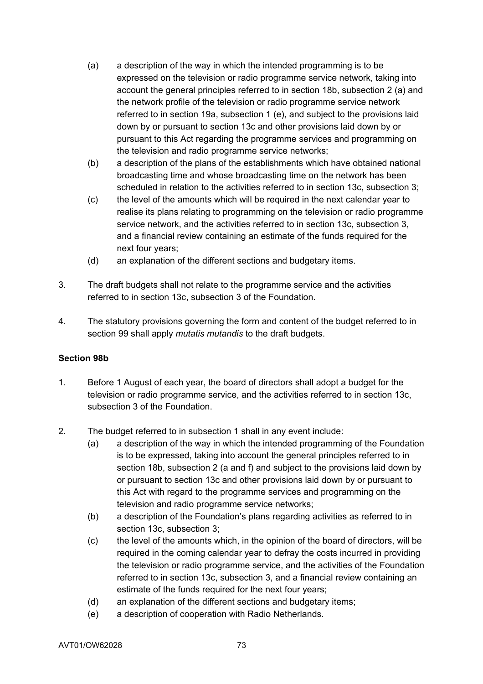- (a) a description of the way in which the intended programming is to be expressed on the television or radio programme service network, taking into account the general principles referred to in section 18b, subsection 2 (a) and the network profile of the television or radio programme service network referred to in section 19a, subsection 1 (e), and subject to the provisions laid down by or pursuant to section 13c and other provisions laid down by or pursuant to this Act regarding the programme services and programming on the television and radio programme service networks;
- (b) a description of the plans of the establishments which have obtained national broadcasting time and whose broadcasting time on the network has been scheduled in relation to the activities referred to in section 13c, subsection 3;
- (c) the level of the amounts which will be required in the next calendar year to realise its plans relating to programming on the television or radio programme service network, and the activities referred to in section 13c, subsection 3, and a financial review containing an estimate of the funds required for the next four years;
- (d) an explanation of the different sections and budgetary items.
- 3. The draft budgets shall not relate to the programme service and the activities referred to in section 13c, subsection 3 of the Foundation.
- 4. The statutory provisions governing the form and content of the budget referred to in section 99 shall apply *mutatis mutandis* to the draft budgets.

## **Section 98b**

- 1. Before 1 August of each year, the board of directors shall adopt a budget for the television or radio programme service, and the activities referred to in section 13c, subsection 3 of the Foundation.
- 2. The budget referred to in subsection 1 shall in any event include:
	- (a) a description of the way in which the intended programming of the Foundation is to be expressed, taking into account the general principles referred to in section 18b, subsection 2 (a and f) and subject to the provisions laid down by or pursuant to section 13c and other provisions laid down by or pursuant to this Act with regard to the programme services and programming on the television and radio programme service networks;
	- (b) a description of the Foundation's plans regarding activities as referred to in section 13c, subsection 3;
	- (c) the level of the amounts which, in the opinion of the board of directors, will be required in the coming calendar year to defray the costs incurred in providing the television or radio programme service, and the activities of the Foundation referred to in section 13c, subsection 3, and a financial review containing an estimate of the funds required for the next four years;
	- (d) an explanation of the different sections and budgetary items;
	- (e) a description of cooperation with Radio Netherlands.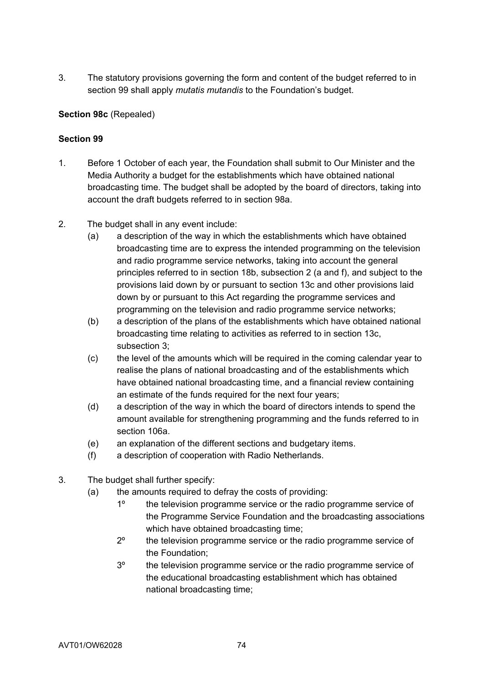3. The statutory provisions governing the form and content of the budget referred to in section 99 shall apply *mutatis mutandis* to the Foundation's budget.

# **Section 98c** (Repealed)

- 1. Before 1 October of each year, the Foundation shall submit to Our Minister and the Media Authority a budget for the establishments which have obtained national broadcasting time. The budget shall be adopted by the board of directors, taking into account the draft budgets referred to in section 98a.
- 2. The budget shall in any event include:
	- (a) a description of the way in which the establishments which have obtained broadcasting time are to express the intended programming on the television and radio programme service networks, taking into account the general principles referred to in section 18b, subsection 2 (a and f), and subject to the provisions laid down by or pursuant to section 13c and other provisions laid down by or pursuant to this Act regarding the programme services and programming on the television and radio programme service networks;
	- (b) a description of the plans of the establishments which have obtained national broadcasting time relating to activities as referred to in section 13c, subsection 3;
	- (c) the level of the amounts which will be required in the coming calendar year to realise the plans of national broadcasting and of the establishments which have obtained national broadcasting time, and a financial review containing an estimate of the funds required for the next four years;
	- (d) a description of the way in which the board of directors intends to spend the amount available for strengthening programming and the funds referred to in section 106a.
	- (e) an explanation of the different sections and budgetary items.
	- (f) a description of cooperation with Radio Netherlands.
- 3. The budget shall further specify:
	- (a) the amounts required to defray the costs of providing:
		- 1º the television programme service or the radio programme service of the Programme Service Foundation and the broadcasting associations which have obtained broadcasting time;
		- 2º the television programme service or the radio programme service of the Foundation;
		- 3º the television programme service or the radio programme service of the educational broadcasting establishment which has obtained national broadcasting time;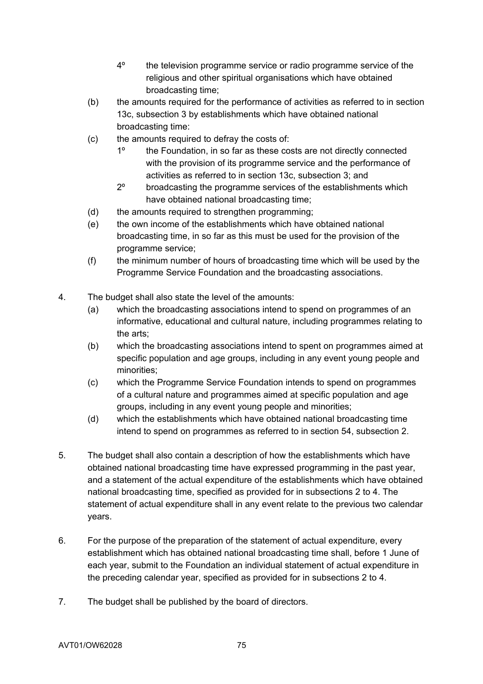- 4º the television programme service or radio programme service of the religious and other spiritual organisations which have obtained broadcasting time;
- (b) the amounts required for the performance of activities as referred to in section 13c, subsection 3 by establishments which have obtained national broadcasting time:
- (c) the amounts required to defray the costs of:
	- 1º the Foundation, in so far as these costs are not directly connected with the provision of its programme service and the performance of activities as referred to in section 13c, subsection 3; and
	- 2º broadcasting the programme services of the establishments which have obtained national broadcasting time;
- (d) the amounts required to strengthen programming;
- (e) the own income of the establishments which have obtained national broadcasting time, in so far as this must be used for the provision of the programme service;
- (f) the minimum number of hours of broadcasting time which will be used by the Programme Service Foundation and the broadcasting associations.
- 4. The budget shall also state the level of the amounts:
	- (a) which the broadcasting associations intend to spend on programmes of an informative, educational and cultural nature, including programmes relating to the arts;
	- (b) which the broadcasting associations intend to spent on programmes aimed at specific population and age groups, including in any event young people and minorities;
	- (c) which the Programme Service Foundation intends to spend on programmes of a cultural nature and programmes aimed at specific population and age groups, including in any event young people and minorities;
	- (d) which the establishments which have obtained national broadcasting time intend to spend on programmes as referred to in section 54, subsection 2.
- 5. The budget shall also contain a description of how the establishments which have obtained national broadcasting time have expressed programming in the past year, and a statement of the actual expenditure of the establishments which have obtained national broadcasting time, specified as provided for in subsections 2 to 4. The statement of actual expenditure shall in any event relate to the previous two calendar years.
- 6. For the purpose of the preparation of the statement of actual expenditure, every establishment which has obtained national broadcasting time shall, before 1 June of each year, submit to the Foundation an individual statement of actual expenditure in the preceding calendar year, specified as provided for in subsections 2 to 4.
- 7. The budget shall be published by the board of directors.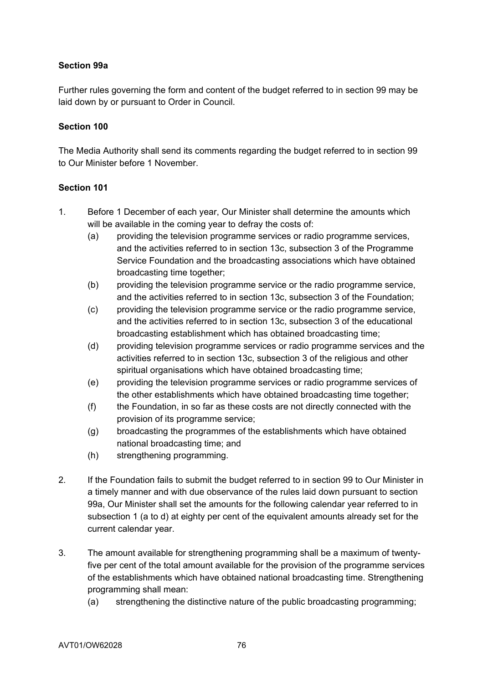# **Section 99a**

Further rules governing the form and content of the budget referred to in section 99 may be laid down by or pursuant to Order in Council.

## **Section 100**

The Media Authority shall send its comments regarding the budget referred to in section 99 to Our Minister before 1 November.

- 1. Before 1 December of each year, Our Minister shall determine the amounts which will be available in the coming year to defray the costs of:
	- (a) providing the television programme services or radio programme services, and the activities referred to in section 13c, subsection 3 of the Programme Service Foundation and the broadcasting associations which have obtained broadcasting time together;
	- (b) providing the television programme service or the radio programme service, and the activities referred to in section 13c, subsection 3 of the Foundation;
	- (c) providing the television programme service or the radio programme service, and the activities referred to in section 13c, subsection 3 of the educational broadcasting establishment which has obtained broadcasting time;
	- (d) providing television programme services or radio programme services and the activities referred to in section 13c, subsection 3 of the religious and other spiritual organisations which have obtained broadcasting time;
	- (e) providing the television programme services or radio programme services of the other establishments which have obtained broadcasting time together;
	- (f) the Foundation, in so far as these costs are not directly connected with the provision of its programme service;
	- (g) broadcasting the programmes of the establishments which have obtained national broadcasting time; and
	- (h) strengthening programming.
- 2. If the Foundation fails to submit the budget referred to in section 99 to Our Minister in a timely manner and with due observance of the rules laid down pursuant to section 99a, Our Minister shall set the amounts for the following calendar year referred to in subsection 1 (a to d) at eighty per cent of the equivalent amounts already set for the current calendar year.
- 3. The amount available for strengthening programming shall be a maximum of twentyfive per cent of the total amount available for the provision of the programme services of the establishments which have obtained national broadcasting time. Strengthening programming shall mean:
	- (a) strengthening the distinctive nature of the public broadcasting programming;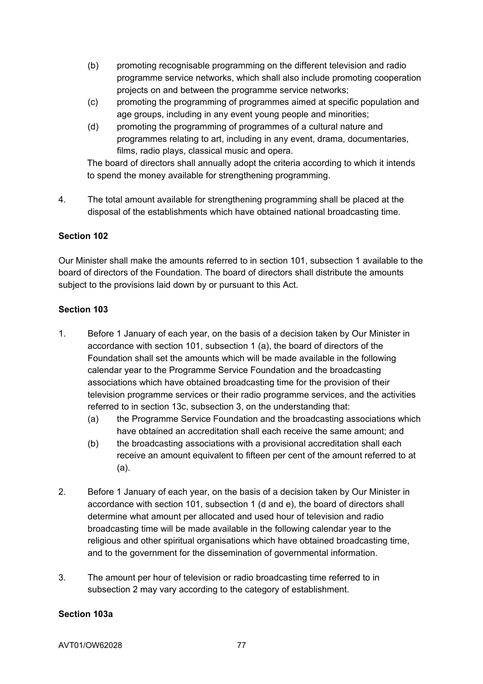- (b) promoting recognisable programming on the different television and radio programme service networks, which shall also include promoting cooperation projects on and between the programme service networks;
- (c) promoting the programming of programmes aimed at specific population and age groups, including in any event young people and minorities;
- (d) promoting the programming of programmes of a cultural nature and programmes relating to art, including in any event, drama, documentaries, films, radio plays, classical music and opera.

 The board of directors shall annually adopt the criteria according to which it intends to spend the money available for strengthening programming.

4. The total amount available for strengthening programming shall be placed at the disposal of the establishments which have obtained national broadcasting time.

# **Section 102**

Our Minister shall make the amounts referred to in section 101, subsection 1 available to the board of directors of the Foundation. The board of directors shall distribute the amounts subject to the provisions laid down by or pursuant to this Act.

## **Section 103**

- 1. Before 1 January of each year, on the basis of a decision taken by Our Minister in accordance with section 101, subsection 1 (a), the board of directors of the Foundation shall set the amounts which will be made available in the following calendar year to the Programme Service Foundation and the broadcasting associations which have obtained broadcasting time for the provision of their television programme services or their radio programme services, and the activities referred to in section 13c, subsection 3, on the understanding that:
	- (a) the Programme Service Foundation and the broadcasting associations which have obtained an accreditation shall each receive the same amount; and
	- (b) the broadcasting associations with a provisional accreditation shall each receive an amount equivalent to fifteen per cent of the amount referred to at (a).
- 2. Before 1 January of each year, on the basis of a decision taken by Our Minister in accordance with section 101, subsection 1 (d and e), the board of directors shall determine what amount per allocated and used hour of television and radio broadcasting time will be made available in the following calendar year to the religious and other spiritual organisations which have obtained broadcasting time, and to the government for the dissemination of governmental information.
- 3. The amount per hour of television or radio broadcasting time referred to in subsection 2 may vary according to the category of establishment.

## **Section 103a**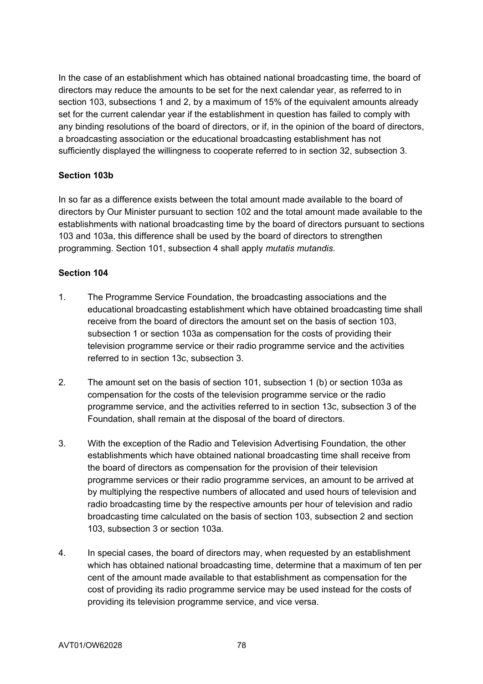In the case of an establishment which has obtained national broadcasting time, the board of directors may reduce the amounts to be set for the next calendar year, as referred to in section 103, subsections 1 and 2, by a maximum of 15% of the equivalent amounts already set for the current calendar year if the establishment in question has failed to comply with any binding resolutions of the board of directors, or if, in the opinion of the board of directors, a broadcasting association or the educational broadcasting establishment has not sufficiently displayed the willingness to cooperate referred to in section 32, subsection 3.

## **Section 103b**

In so far as a difference exists between the total amount made available to the board of directors by Our Minister pursuant to section 102 and the total amount made available to the establishments with national broadcasting time by the board of directors pursuant to sections 103 and 103a, this difference shall be used by the board of directors to strengthen programming. Section 101, subsection 4 shall apply *mutatis mutandis*.

- 1. The Programme Service Foundation, the broadcasting associations and the educational broadcasting establishment which have obtained broadcasting time shall receive from the board of directors the amount set on the basis of section 103, subsection 1 or section 103a as compensation for the costs of providing their television programme service or their radio programme service and the activities referred to in section 13c, subsection 3.
- 2. The amount set on the basis of section 101, subsection 1 (b) or section 103a as compensation for the costs of the television programme service or the radio programme service, and the activities referred to in section 13c, subsection 3 of the Foundation, shall remain at the disposal of the board of directors.
- 3. With the exception of the Radio and Television Advertising Foundation, the other establishments which have obtained national broadcasting time shall receive from the board of directors as compensation for the provision of their television programme services or their radio programme services, an amount to be arrived at by multiplying the respective numbers of allocated and used hours of television and radio broadcasting time by the respective amounts per hour of television and radio broadcasting time calculated on the basis of section 103, subsection 2 and section 103, subsection 3 or section 103a.
- 4. In special cases, the board of directors may, when requested by an establishment which has obtained national broadcasting time, determine that a maximum of ten per cent of the amount made available to that establishment as compensation for the cost of providing its radio programme service may be used instead for the costs of providing its television programme service, and vice versa.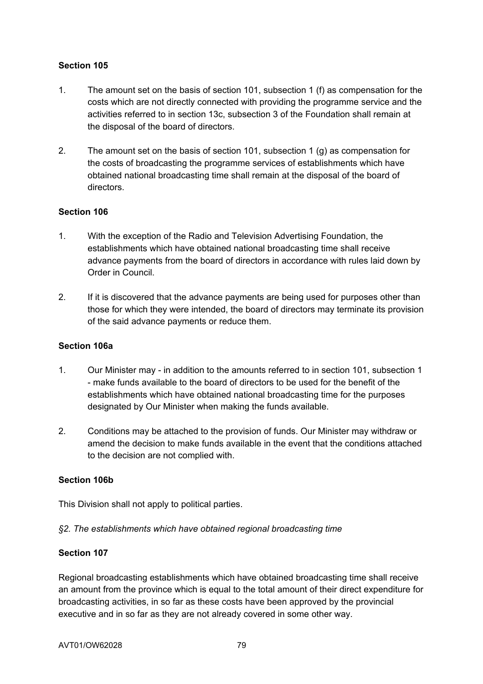# **Section 105**

- 1. The amount set on the basis of section 101, subsection 1 (f) as compensation for the costs which are not directly connected with providing the programme service and the activities referred to in section 13c, subsection 3 of the Foundation shall remain at the disposal of the board of directors.
- 2. The amount set on the basis of section 101, subsection 1 (g) as compensation for the costs of broadcasting the programme services of establishments which have obtained national broadcasting time shall remain at the disposal of the board of directors.

## **Section 106**

- 1. With the exception of the Radio and Television Advertising Foundation, the establishments which have obtained national broadcasting time shall receive advance payments from the board of directors in accordance with rules laid down by Order in Council.
- 2. If it is discovered that the advance payments are being used for purposes other than those for which they were intended, the board of directors may terminate its provision of the said advance payments or reduce them.

## **Section 106a**

- 1. Our Minister may in addition to the amounts referred to in section 101, subsection 1 - make funds available to the board of directors to be used for the benefit of the establishments which have obtained national broadcasting time for the purposes designated by Our Minister when making the funds available.
- 2. Conditions may be attached to the provision of funds. Our Minister may withdraw or amend the decision to make funds available in the event that the conditions attached to the decision are not complied with.

## **Section 106b**

This Division shall not apply to political parties.

## *§2. The establishments which have obtained regional broadcasting time*

## **Section 107**

Regional broadcasting establishments which have obtained broadcasting time shall receive an amount from the province which is equal to the total amount of their direct expenditure for broadcasting activities, in so far as these costs have been approved by the provincial executive and in so far as they are not already covered in some other way.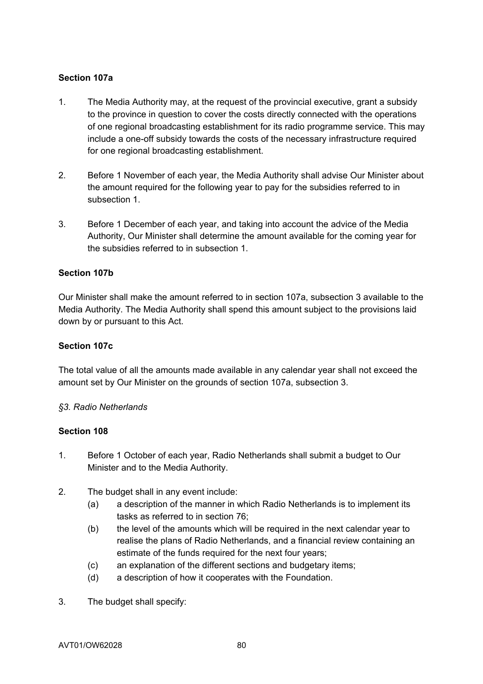## **Section 107a**

- 1. The Media Authority may, at the request of the provincial executive, grant a subsidy to the province in question to cover the costs directly connected with the operations of one regional broadcasting establishment for its radio programme service. This may include a one-off subsidy towards the costs of the necessary infrastructure required for one regional broadcasting establishment.
- 2. Before 1 November of each year, the Media Authority shall advise Our Minister about the amount required for the following year to pay for the subsidies referred to in subsection 1.
- 3. Before 1 December of each year, and taking into account the advice of the Media Authority, Our Minister shall determine the amount available for the coming year for the subsidies referred to in subsection 1.

## **Section 107b**

Our Minister shall make the amount referred to in section 107a, subsection 3 available to the Media Authority. The Media Authority shall spend this amount subject to the provisions laid down by or pursuant to this Act.

## **Section 107c**

The total value of all the amounts made available in any calendar year shall not exceed the amount set by Our Minister on the grounds of section 107a, subsection 3.

## *§3. Radio Netherlands*

- 1. Before 1 October of each year, Radio Netherlands shall submit a budget to Our Minister and to the Media Authority.
- 2. The budget shall in any event include:
	- (a) a description of the manner in which Radio Netherlands is to implement its tasks as referred to in section 76;
	- (b) the level of the amounts which will be required in the next calendar year to realise the plans of Radio Netherlands, and a financial review containing an estimate of the funds required for the next four years;
	- (c) an explanation of the different sections and budgetary items;
	- (d) a description of how it cooperates with the Foundation.
- 3. The budget shall specify: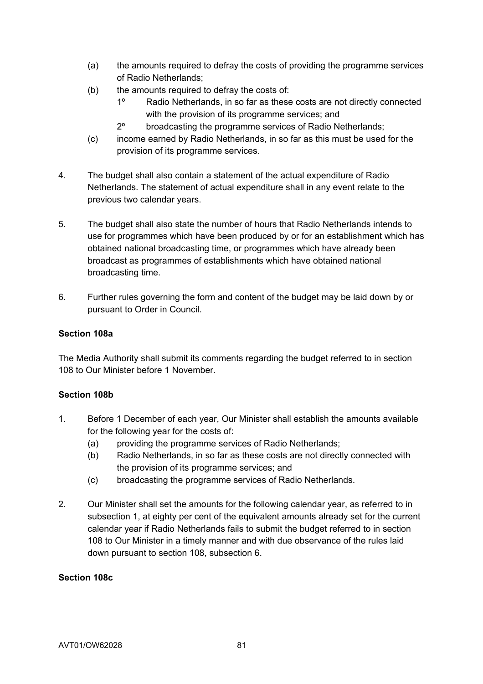- (a) the amounts required to defray the costs of providing the programme services of Radio Netherlands;
- (b) the amounts required to defray the costs of:
	- 1º Radio Netherlands, in so far as these costs are not directly connected with the provision of its programme services; and
	- 2º broadcasting the programme services of Radio Netherlands;
- (c) income earned by Radio Netherlands, in so far as this must be used for the provision of its programme services.
- 4. The budget shall also contain a statement of the actual expenditure of Radio Netherlands. The statement of actual expenditure shall in any event relate to the previous two calendar years.
- 5. The budget shall also state the number of hours that Radio Netherlands intends to use for programmes which have been produced by or for an establishment which has obtained national broadcasting time, or programmes which have already been broadcast as programmes of establishments which have obtained national broadcasting time.
- 6. Further rules governing the form and content of the budget may be laid down by or pursuant to Order in Council.

## **Section 108a**

The Media Authority shall submit its comments regarding the budget referred to in section 108 to Our Minister before 1 November.

## **Section 108b**

- 1. Before 1 December of each year, Our Minister shall establish the amounts available for the following year for the costs of:
	- (a) providing the programme services of Radio Netherlands;
	- (b) Radio Netherlands, in so far as these costs are not directly connected with the provision of its programme services; and
	- (c) broadcasting the programme services of Radio Netherlands.
- 2. Our Minister shall set the amounts for the following calendar year, as referred to in subsection 1, at eighty per cent of the equivalent amounts already set for the current calendar year if Radio Netherlands fails to submit the budget referred to in section 108 to Our Minister in a timely manner and with due observance of the rules laid down pursuant to section 108, subsection 6.

## **Section 108c**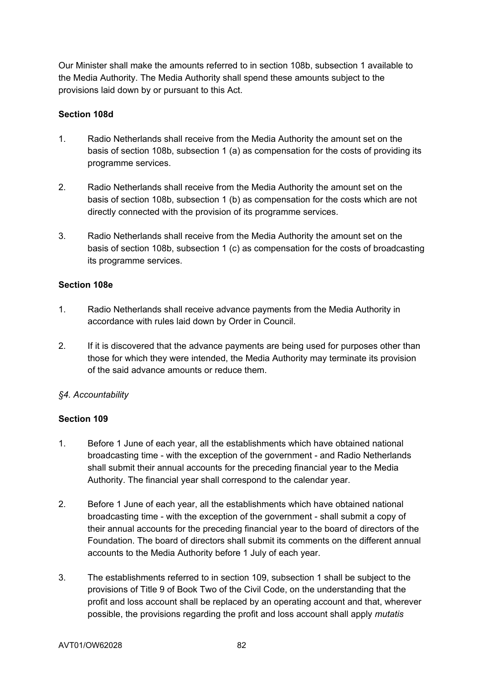Our Minister shall make the amounts referred to in section 108b, subsection 1 available to the Media Authority. The Media Authority shall spend these amounts subject to the provisions laid down by or pursuant to this Act.

## **Section 108d**

- 1. Radio Netherlands shall receive from the Media Authority the amount set on the basis of section 108b, subsection 1 (a) as compensation for the costs of providing its programme services.
- 2. Radio Netherlands shall receive from the Media Authority the amount set on the basis of section 108b, subsection 1 (b) as compensation for the costs which are not directly connected with the provision of its programme services.
- 3. Radio Netherlands shall receive from the Media Authority the amount set on the basis of section 108b, subsection 1 (c) as compensation for the costs of broadcasting its programme services.

## **Section 108e**

- 1. Radio Netherlands shall receive advance payments from the Media Authority in accordance with rules laid down by Order in Council.
- 2. If it is discovered that the advance payments are being used for purposes other than those for which they were intended, the Media Authority may terminate its provision of the said advance amounts or reduce them.

# *§4. Accountability*

- 1. Before 1 June of each year, all the establishments which have obtained national broadcasting time - with the exception of the government - and Radio Netherlands shall submit their annual accounts for the preceding financial year to the Media Authority. The financial year shall correspond to the calendar year.
- 2. Before 1 June of each year, all the establishments which have obtained national broadcasting time - with the exception of the government - shall submit a copy of their annual accounts for the preceding financial year to the board of directors of the Foundation. The board of directors shall submit its comments on the different annual accounts to the Media Authority before 1 July of each year.
- 3. The establishments referred to in section 109, subsection 1 shall be subject to the provisions of Title 9 of Book Two of the Civil Code, on the understanding that the profit and loss account shall be replaced by an operating account and that, wherever possible, the provisions regarding the profit and loss account shall apply *mutatis*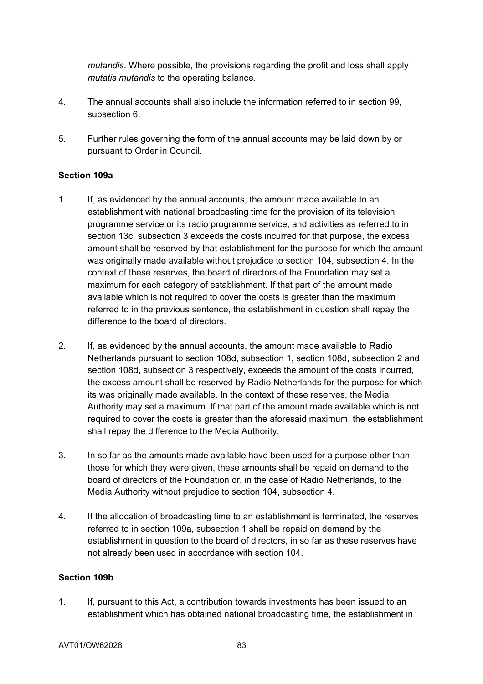*mutandis*. Where possible, the provisions regarding the profit and loss shall apply *mutatis mutandis* to the operating balance.

- 4. The annual accounts shall also include the information referred to in section 99, subsection 6
- 5. Further rules governing the form of the annual accounts may be laid down by or pursuant to Order in Council.

## **Section 109a**

- 1. If, as evidenced by the annual accounts, the amount made available to an establishment with national broadcasting time for the provision of its television programme service or its radio programme service, and activities as referred to in section 13c, subsection 3 exceeds the costs incurred for that purpose, the excess amount shall be reserved by that establishment for the purpose for which the amount was originally made available without prejudice to section 104, subsection 4. In the context of these reserves, the board of directors of the Foundation may set a maximum for each category of establishment. If that part of the amount made available which is not required to cover the costs is greater than the maximum referred to in the previous sentence, the establishment in question shall repay the difference to the board of directors.
- 2. If, as evidenced by the annual accounts, the amount made available to Radio Netherlands pursuant to section 108d, subsection 1, section 108d, subsection 2 and section 108d, subsection 3 respectively, exceeds the amount of the costs incurred, the excess amount shall be reserved by Radio Netherlands for the purpose for which its was originally made available. In the context of these reserves, the Media Authority may set a maximum. If that part of the amount made available which is not required to cover the costs is greater than the aforesaid maximum, the establishment shall repay the difference to the Media Authority.
- 3. In so far as the amounts made available have been used for a purpose other than those for which they were given, these amounts shall be repaid on demand to the board of directors of the Foundation or, in the case of Radio Netherlands, to the Media Authority without prejudice to section 104, subsection 4.
- 4. If the allocation of broadcasting time to an establishment is terminated, the reserves referred to in section 109a, subsection 1 shall be repaid on demand by the establishment in question to the board of directors, in so far as these reserves have not already been used in accordance with section 104.

#### **Section 109b**

1. If, pursuant to this Act, a contribution towards investments has been issued to an establishment which has obtained national broadcasting time, the establishment in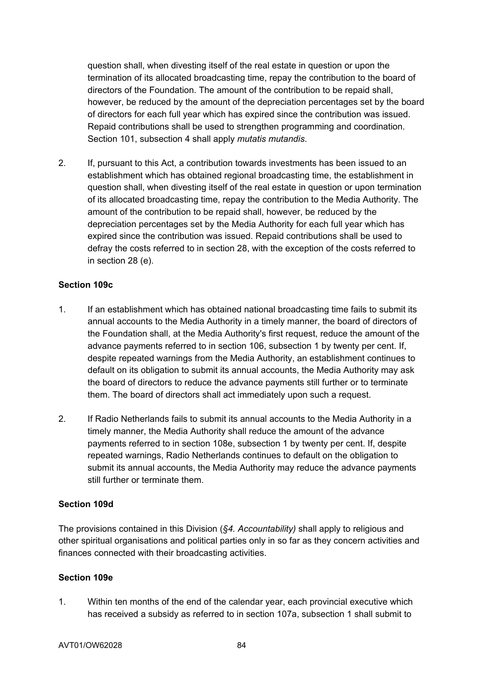question shall, when divesting itself of the real estate in question or upon the termination of its allocated broadcasting time, repay the contribution to the board of directors of the Foundation. The amount of the contribution to be repaid shall, however, be reduced by the amount of the depreciation percentages set by the board of directors for each full year which has expired since the contribution was issued. Repaid contributions shall be used to strengthen programming and coordination. Section 101, subsection 4 shall apply *mutatis mutandis*.

2. If, pursuant to this Act, a contribution towards investments has been issued to an establishment which has obtained regional broadcasting time, the establishment in question shall, when divesting itself of the real estate in question or upon termination of its allocated broadcasting time, repay the contribution to the Media Authority. The amount of the contribution to be repaid shall, however, be reduced by the depreciation percentages set by the Media Authority for each full year which has expired since the contribution was issued. Repaid contributions shall be used to defray the costs referred to in section 28, with the exception of the costs referred to in section 28 (e).

## **Section 109c**

- 1. If an establishment which has obtained national broadcasting time fails to submit its annual accounts to the Media Authority in a timely manner, the board of directors of the Foundation shall, at the Media Authority's first request, reduce the amount of the advance payments referred to in section 106, subsection 1 by twenty per cent. If, despite repeated warnings from the Media Authority, an establishment continues to default on its obligation to submit its annual accounts, the Media Authority may ask the board of directors to reduce the advance payments still further or to terminate them. The board of directors shall act immediately upon such a request.
- 2. If Radio Netherlands fails to submit its annual accounts to the Media Authority in a timely manner, the Media Authority shall reduce the amount of the advance payments referred to in section 108e, subsection 1 by twenty per cent. If, despite repeated warnings, Radio Netherlands continues to default on the obligation to submit its annual accounts, the Media Authority may reduce the advance payments still further or terminate them.

## **Section 109d**

The provisions contained in this Division (*§4. Accountability)* shall apply to religious and other spiritual organisations and political parties only in so far as they concern activities and finances connected with their broadcasting activities.

## **Section 109e**

1. Within ten months of the end of the calendar year, each provincial executive which has received a subsidy as referred to in section 107a, subsection 1 shall submit to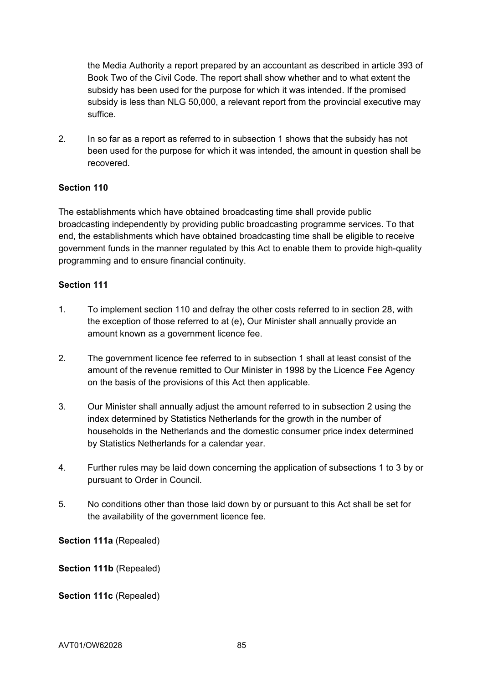the Media Authority a report prepared by an accountant as described in article 393 of Book Two of the Civil Code. The report shall show whether and to what extent the subsidy has been used for the purpose for which it was intended. If the promised subsidy is less than NLG 50,000, a relevant report from the provincial executive may suffice.

2. In so far as a report as referred to in subsection 1 shows that the subsidy has not been used for the purpose for which it was intended, the amount in question shall be recovered.

## **Section 110**

The establishments which have obtained broadcasting time shall provide public broadcasting independently by providing public broadcasting programme services. To that end, the establishments which have obtained broadcasting time shall be eligible to receive government funds in the manner regulated by this Act to enable them to provide high-quality programming and to ensure financial continuity.

## **Section 111**

- 1. To implement section 110 and defray the other costs referred to in section 28, with the exception of those referred to at (e), Our Minister shall annually provide an amount known as a government licence fee.
- 2. The government licence fee referred to in subsection 1 shall at least consist of the amount of the revenue remitted to Our Minister in 1998 by the Licence Fee Agency on the basis of the provisions of this Act then applicable.
- 3. Our Minister shall annually adjust the amount referred to in subsection 2 using the index determined by Statistics Netherlands for the growth in the number of households in the Netherlands and the domestic consumer price index determined by Statistics Netherlands for a calendar year.
- 4. Further rules may be laid down concerning the application of subsections 1 to 3 by or pursuant to Order in Council.
- 5. No conditions other than those laid down by or pursuant to this Act shall be set for the availability of the government licence fee.

**Section 111a** (Repealed)

**Section 111b** (Repealed)

Section 111c (Repealed)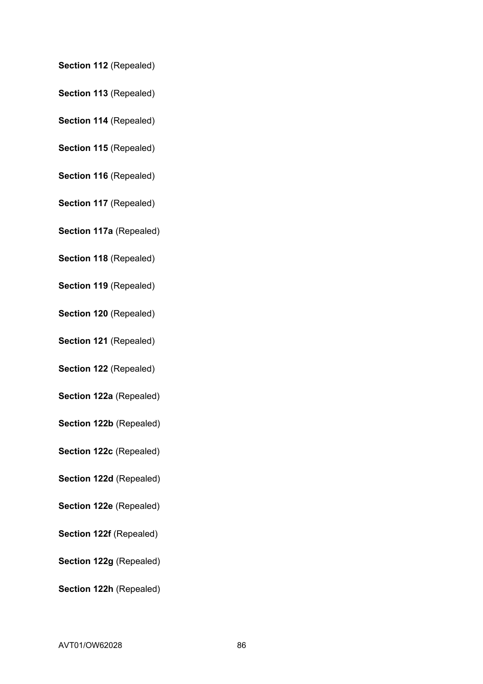## **Section 112** (Repealed)

- **Section 113** (Repealed)
- **Section 114** (Repealed)
- **Section 115** (Repealed)
- **Section 116** (Repealed)
- **Section 117** (Repealed)
- **Section 117a** (Repealed)
- **Section 118** (Repealed)
- **Section 119** (Repealed)
- **Section 120** (Repealed)
- **Section 121** (Repealed)
- **Section 122** (Repealed)
- **Section 122a** (Repealed)
- **Section 122b** (Repealed)
- **Section 122c** (Repealed)
- **Section 122d** (Repealed)
- **Section 122e** (Repealed)
- **Section 122f (Repealed)**
- **Section 122g** (Repealed)
- **Section 122h** (Repealed)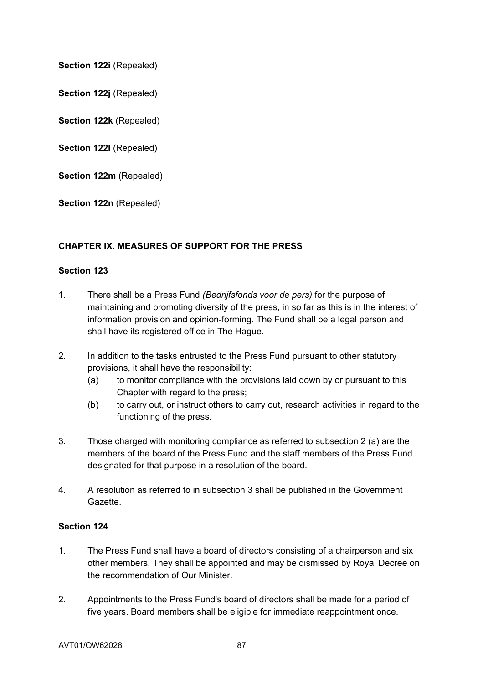**Section 122i (Repealed)** 

**Section 122j** (Repealed)

**Section 122k** (Repealed)

Section 122I (Repealed)

**Section 122m** (Repealed)

**Section 122n** (Repealed)

## **CHAPTER IX. MEASURES OF SUPPORT FOR THE PRESS**

## **Section 123**

- 1. There shall be a Press Fund *(Bedrijfsfonds voor de pers)* for the purpose of maintaining and promoting diversity of the press, in so far as this is in the interest of information provision and opinion-forming. The Fund shall be a legal person and shall have its registered office in The Hague.
- 2. In addition to the tasks entrusted to the Press Fund pursuant to other statutory provisions, it shall have the responsibility:
	- (a) to monitor compliance with the provisions laid down by or pursuant to this Chapter with regard to the press;
	- (b) to carry out, or instruct others to carry out, research activities in regard to the functioning of the press.
- 3. Those charged with monitoring compliance as referred to subsection 2 (a) are the members of the board of the Press Fund and the staff members of the Press Fund designated for that purpose in a resolution of the board.
- 4. A resolution as referred to in subsection 3 shall be published in the Government Gazette.

- 1. The Press Fund shall have a board of directors consisting of a chairperson and six other members. They shall be appointed and may be dismissed by Royal Decree on the recommendation of Our Minister.
- 2. Appointments to the Press Fund's board of directors shall be made for a period of five years. Board members shall be eligible for immediate reappointment once.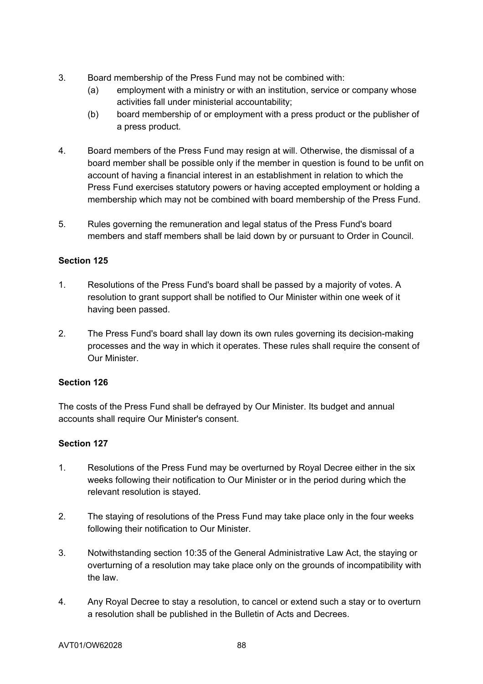- 3. Board membership of the Press Fund may not be combined with:
	- (a) employment with a ministry or with an institution, service or company whose activities fall under ministerial accountability;
	- (b) board membership of or employment with a press product or the publisher of a press product.
- 4. Board members of the Press Fund may resign at will. Otherwise, the dismissal of a board member shall be possible only if the member in question is found to be unfit on account of having a financial interest in an establishment in relation to which the Press Fund exercises statutory powers or having accepted employment or holding a membership which may not be combined with board membership of the Press Fund.
- 5. Rules governing the remuneration and legal status of the Press Fund's board members and staff members shall be laid down by or pursuant to Order in Council.

# **Section 125**

- 1. Resolutions of the Press Fund's board shall be passed by a majority of votes. A resolution to grant support shall be notified to Our Minister within one week of it having been passed.
- 2. The Press Fund's board shall lay down its own rules governing its decision-making processes and the way in which it operates. These rules shall require the consent of Our Minister.

# **Section 126**

The costs of the Press Fund shall be defrayed by Our Minister. Its budget and annual accounts shall require Our Minister's consent.

- 1. Resolutions of the Press Fund may be overturned by Royal Decree either in the six weeks following their notification to Our Minister or in the period during which the relevant resolution is stayed.
- 2. The staying of resolutions of the Press Fund may take place only in the four weeks following their notification to Our Minister.
- 3. Notwithstanding section 10:35 of the General Administrative Law Act, the staying or overturning of a resolution may take place only on the grounds of incompatibility with the law.
- 4. Any Royal Decree to stay a resolution, to cancel or extend such a stay or to overturn a resolution shall be published in the Bulletin of Acts and Decrees.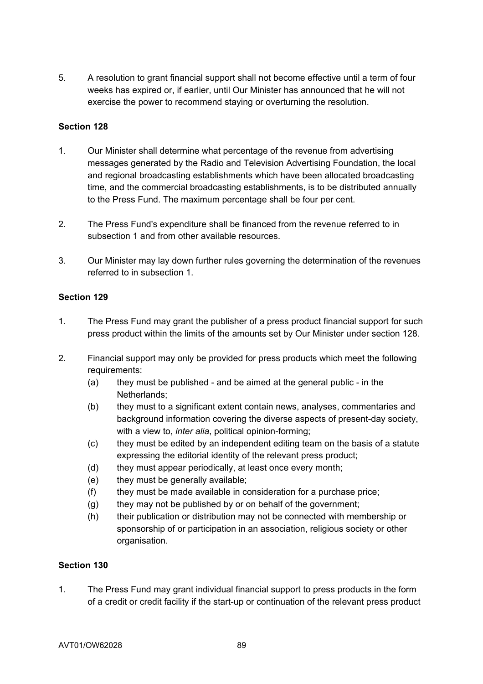5. A resolution to grant financial support shall not become effective until a term of four weeks has expired or, if earlier, until Our Minister has announced that he will not exercise the power to recommend staying or overturning the resolution.

# **Section 128**

- 1. Our Minister shall determine what percentage of the revenue from advertising messages generated by the Radio and Television Advertising Foundation, the local and regional broadcasting establishments which have been allocated broadcasting time, and the commercial broadcasting establishments, is to be distributed annually to the Press Fund. The maximum percentage shall be four per cent.
- 2. The Press Fund's expenditure shall be financed from the revenue referred to in subsection 1 and from other available resources.
- 3. Our Minister may lay down further rules governing the determination of the revenues referred to in subsection 1.

## **Section 129**

- 1. The Press Fund may grant the publisher of a press product financial support for such press product within the limits of the amounts set by Our Minister under section 128.
- 2. Financial support may only be provided for press products which meet the following requirements:
	- (a) they must be published and be aimed at the general public in the Netherlands;
	- (b) they must to a significant extent contain news, analyses, commentaries and background information covering the diverse aspects of present-day society, with a view to, *inter alia*, political opinion-forming;
	- (c) they must be edited by an independent editing team on the basis of a statute expressing the editorial identity of the relevant press product;
	- (d) they must appear periodically, at least once every month;
	- (e) they must be generally available;
	- (f) they must be made available in consideration for a purchase price;
	- (g) they may not be published by or on behalf of the government;
	- (h) their publication or distribution may not be connected with membership or sponsorship of or participation in an association, religious society or other organisation.

## **Section 130**

1. The Press Fund may grant individual financial support to press products in the form of a credit or credit facility if the start-up or continuation of the relevant press product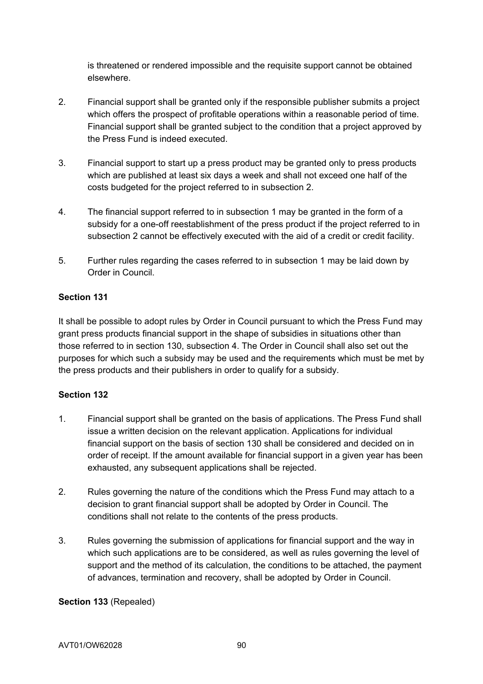is threatened or rendered impossible and the requisite support cannot be obtained elsewhere.

- 2. Financial support shall be granted only if the responsible publisher submits a project which offers the prospect of profitable operations within a reasonable period of time. Financial support shall be granted subject to the condition that a project approved by the Press Fund is indeed executed.
- 3. Financial support to start up a press product may be granted only to press products which are published at least six days a week and shall not exceed one half of the costs budgeted for the project referred to in subsection 2.
- 4. The financial support referred to in subsection 1 may be granted in the form of a subsidy for a one-off reestablishment of the press product if the project referred to in subsection 2 cannot be effectively executed with the aid of a credit or credit facility.
- 5. Further rules regarding the cases referred to in subsection 1 may be laid down by Order in Council.

# **Section 131**

It shall be possible to adopt rules by Order in Council pursuant to which the Press Fund may grant press products financial support in the shape of subsidies in situations other than those referred to in section 130, subsection 4. The Order in Council shall also set out the purposes for which such a subsidy may be used and the requirements which must be met by the press products and their publishers in order to qualify for a subsidy.

# **Section 132**

- 1. Financial support shall be granted on the basis of applications. The Press Fund shall issue a written decision on the relevant application. Applications for individual financial support on the basis of section 130 shall be considered and decided on in order of receipt. If the amount available for financial support in a given year has been exhausted, any subsequent applications shall be rejected.
- 2. Rules governing the nature of the conditions which the Press Fund may attach to a decision to grant financial support shall be adopted by Order in Council. The conditions shall not relate to the contents of the press products.
- 3. Rules governing the submission of applications for financial support and the way in which such applications are to be considered, as well as rules governing the level of support and the method of its calculation, the conditions to be attached, the payment of advances, termination and recovery, shall be adopted by Order in Council.

## **Section 133** (Repealed)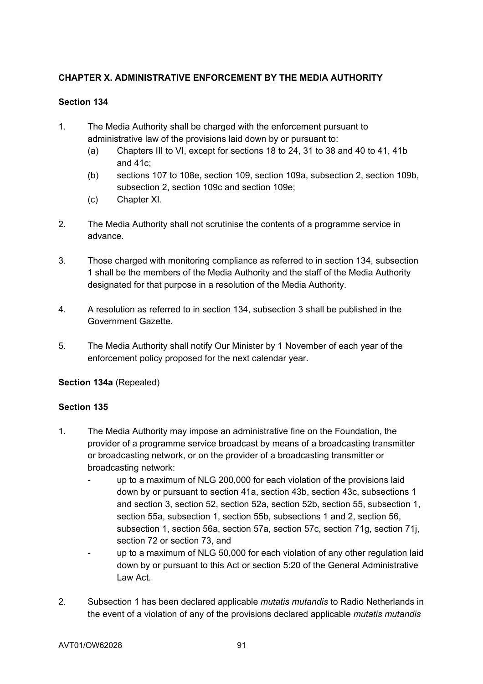# **CHAPTER X. ADMINISTRATIVE ENFORCEMENT BY THE MEDIA AUTHORITY**

# **Section 134**

- 1. The Media Authority shall be charged with the enforcement pursuant to administrative law of the provisions laid down by or pursuant to:
	- (a) Chapters III to VI, except for sections 18 to 24, 31 to 38 and 40 to 41, 41b and 41c;
	- (b) sections 107 to 108e, section 109, section 109a, subsection 2, section 109b, subsection 2, section 109c and section 109e;
	- (c) Chapter XI.
- 2. The Media Authority shall not scrutinise the contents of a programme service in advance.
- 3. Those charged with monitoring compliance as referred to in section 134, subsection 1 shall be the members of the Media Authority and the staff of the Media Authority designated for that purpose in a resolution of the Media Authority.
- 4. A resolution as referred to in section 134, subsection 3 shall be published in the Government Gazette.
- 5. The Media Authority shall notify Our Minister by 1 November of each year of the enforcement policy proposed for the next calendar year.

**Section 134a** (Repealed)

- 1. The Media Authority may impose an administrative fine on the Foundation, the provider of a programme service broadcast by means of a broadcasting transmitter or broadcasting network, or on the provider of a broadcasting transmitter or broadcasting network:
	- up to a maximum of NLG 200,000 for each violation of the provisions laid down by or pursuant to section 41a, section 43b, section 43c, subsections 1 and section 3, section 52, section 52a, section 52b, section 55, subsection 1, section 55a, subsection 1, section 55b, subsections 1 and 2, section 56, subsection 1, section 56a, section 57a, section 57c, section 71g, section 71j, section 72 or section 73, and
	- up to a maximum of NLG 50,000 for each violation of any other regulation laid down by or pursuant to this Act or section 5:20 of the General Administrative Law Act.
- 2. Subsection 1 has been declared applicable *mutatis mutandis* to Radio Netherlands in the event of a violation of any of the provisions declared applicable *mutatis mutandis*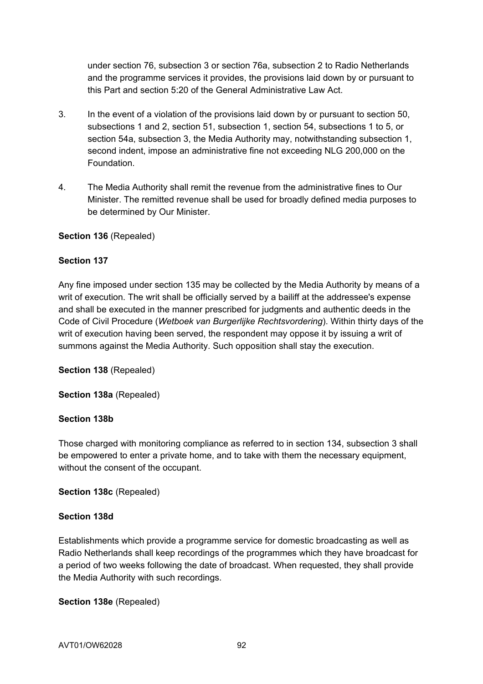under section 76, subsection 3 or section 76a, subsection 2 to Radio Netherlands and the programme services it provides, the provisions laid down by or pursuant to this Part and section 5:20 of the General Administrative Law Act.

- 3. In the event of a violation of the provisions laid down by or pursuant to section 50, subsections 1 and 2, section 51, subsection 1, section 54, subsections 1 to 5, or section 54a, subsection 3, the Media Authority may, notwithstanding subsection 1, second indent, impose an administrative fine not exceeding NLG 200,000 on the Foundation.
- 4. The Media Authority shall remit the revenue from the administrative fines to Our Minister. The remitted revenue shall be used for broadly defined media purposes to be determined by Our Minister.

## **Section 136** (Repealed)

## **Section 137**

Any fine imposed under section 135 may be collected by the Media Authority by means of a writ of execution. The writ shall be officially served by a bailiff at the addressee's expense and shall be executed in the manner prescribed for judgments and authentic deeds in the Code of Civil Procedure (*Wetboek van Burgerlijke Rechtsvordering*). Within thirty days of the writ of execution having been served, the respondent may oppose it by issuing a writ of summons against the Media Authority. Such opposition shall stay the execution.

**Section 138** (Repealed)

**Section 138a** (Repealed)

## **Section 138b**

Those charged with monitoring compliance as referred to in section 134, subsection 3 shall be empowered to enter a private home, and to take with them the necessary equipment, without the consent of the occupant.

**Section 138c** (Repealed)

# **Section 138d**

Establishments which provide a programme service for domestic broadcasting as well as Radio Netherlands shall keep recordings of the programmes which they have broadcast for a period of two weeks following the date of broadcast. When requested, they shall provide the Media Authority with such recordings.

**Section 138e** (Repealed)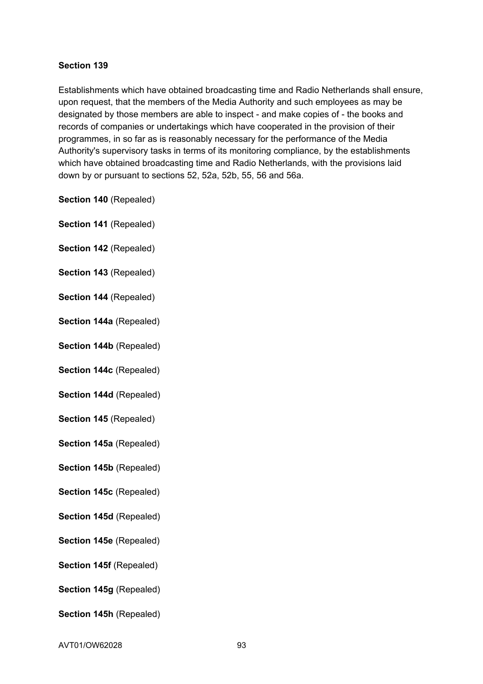## **Section 139**

Establishments which have obtained broadcasting time and Radio Netherlands shall ensure, upon request, that the members of the Media Authority and such employees as may be designated by those members are able to inspect - and make copies of - the books and records of companies or undertakings which have cooperated in the provision of their programmes, in so far as is reasonably necessary for the performance of the Media Authority's supervisory tasks in terms of its monitoring compliance, by the establishments which have obtained broadcasting time and Radio Netherlands, with the provisions laid down by or pursuant to sections 52, 52a, 52b, 55, 56 and 56a.

- **Section 140** (Repealed)
- **Section 141** (Repealed)
- **Section 142** (Repealed)
- **Section 143** (Repealed)
- **Section 144** (Repealed)
- **Section 144a** (Repealed)
- **Section 144b** (Repealed)
- **Section 144c** (Repealed)
- **Section 144d** (Repealed)
- **Section 145** (Repealed)
- **Section 145a** (Repealed)
- **Section 145b** (Repealed)
- **Section 145c** (Repealed)
- **Section 145d** (Repealed)
- **Section 145e** (Repealed)
- **Section 145f (Repealed)**
- **Section 145g** (Repealed)
- **Section 145h** (Repealed)
- AVT01/OW62028 93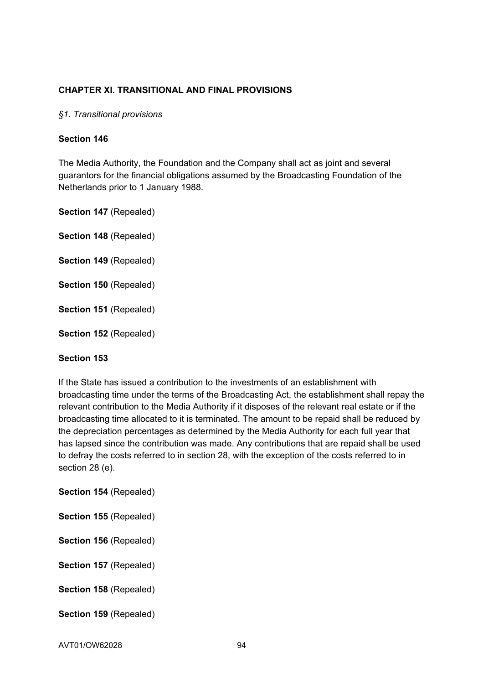## **CHAPTER XI. TRANSITIONAL AND FINAL PROVISIONS**

#### *§1. Transitional provisions*

#### **Section 146**

The Media Authority, the Foundation and the Company shall act as joint and several guarantors for the financial obligations assumed by the Broadcasting Foundation of the Netherlands prior to 1 January 1988.

**Section 147** (Repealed)

**Section 148** (Repealed)

- **Section 149** (Repealed)
- **Section 150** (Repealed)
- **Section 151** (Repealed)
- **Section 152** (Repealed)

## **Section 153**

If the State has issued a contribution to the investments of an establishment with broadcasting time under the terms of the Broadcasting Act, the establishment shall repay the relevant contribution to the Media Authority if it disposes of the relevant real estate or if the broadcasting time allocated to it is terminated. The amount to be repaid shall be reduced by the depreciation percentages as determined by the Media Authority for each full year that has lapsed since the contribution was made. Any contributions that are repaid shall be used to defray the costs referred to in section 28, with the exception of the costs referred to in section 28 (e).

**Section 154** (Repealed)

| <b>Section 155 (Repealed)</b> |  |
|-------------------------------|--|
|-------------------------------|--|

**Section 156** (Repealed)

**Section 157** (Repealed)

**Section 158** (Repealed)

**Section 159** (Repealed)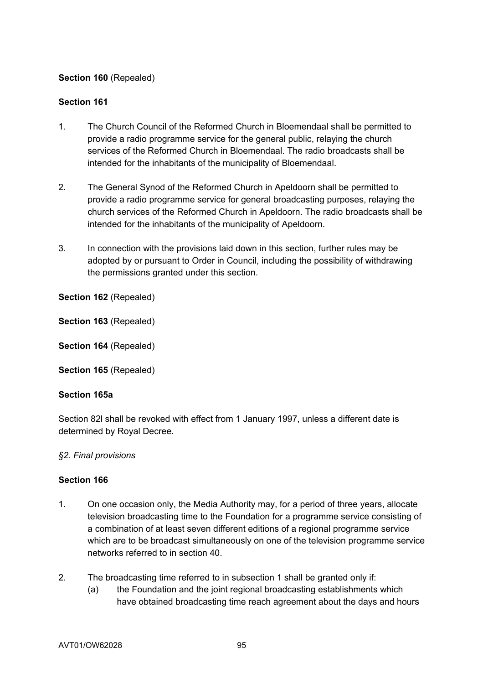# **Section 160** (Repealed)

## **Section 161**

- 1. The Church Council of the Reformed Church in Bloemendaal shall be permitted to provide a radio programme service for the general public, relaying the church services of the Reformed Church in Bloemendaal. The radio broadcasts shall be intended for the inhabitants of the municipality of Bloemendaal.
- 2. The General Synod of the Reformed Church in Apeldoorn shall be permitted to provide a radio programme service for general broadcasting purposes, relaying the church services of the Reformed Church in Apeldoorn. The radio broadcasts shall be intended for the inhabitants of the municipality of Apeldoorn.
- 3. In connection with the provisions laid down in this section, further rules may be adopted by or pursuant to Order in Council, including the possibility of withdrawing the permissions granted under this section.

**Section 162** (Repealed)

**Section 163** (Repealed)

**Section 164** (Repealed)

**Section 165** (Repealed)

## **Section 165a**

Section 82l shall be revoked with effect from 1 January 1997, unless a different date is determined by Royal Decree.

## *§2. Final provisions*

- 1. On one occasion only, the Media Authority may, for a period of three years, allocate television broadcasting time to the Foundation for a programme service consisting of a combination of at least seven different editions of a regional programme service which are to be broadcast simultaneously on one of the television programme service networks referred to in section 40.
- 2. The broadcasting time referred to in subsection 1 shall be granted only if:
	- (a) the Foundation and the joint regional broadcasting establishments which have obtained broadcasting time reach agreement about the days and hours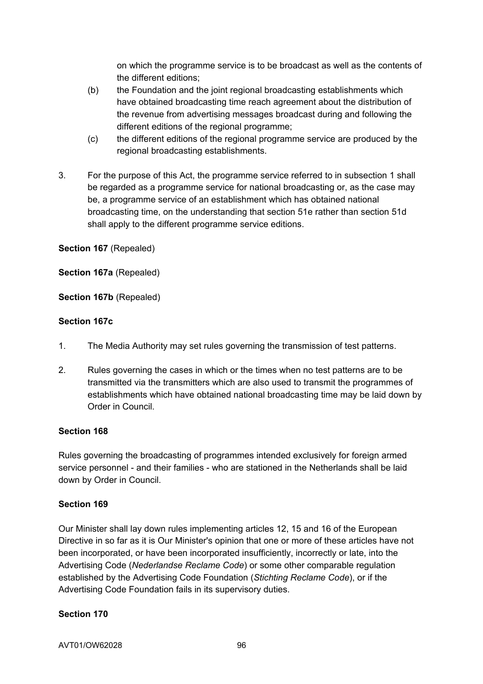on which the programme service is to be broadcast as well as the contents of the different editions;

- (b) the Foundation and the joint regional broadcasting establishments which have obtained broadcasting time reach agreement about the distribution of the revenue from advertising messages broadcast during and following the different editions of the regional programme;
- (c) the different editions of the regional programme service are produced by the regional broadcasting establishments.
- 3. For the purpose of this Act, the programme service referred to in subsection 1 shall be regarded as a programme service for national broadcasting or, as the case may be, a programme service of an establishment which has obtained national broadcasting time, on the understanding that section 51e rather than section 51d shall apply to the different programme service editions.

**Section 167** (Repealed)

**Section 167a** (Repealed)

**Section 167b** (Repealed)

#### **Section 167c**

- 1. The Media Authority may set rules governing the transmission of test patterns.
- 2. Rules governing the cases in which or the times when no test patterns are to be transmitted via the transmitters which are also used to transmit the programmes of establishments which have obtained national broadcasting time may be laid down by Order in Council.

#### **Section 168**

Rules governing the broadcasting of programmes intended exclusively for foreign armed service personnel - and their families - who are stationed in the Netherlands shall be laid down by Order in Council.

## **Section 169**

Our Minister shall lay down rules implementing articles 12, 15 and 16 of the European Directive in so far as it is Our Minister's opinion that one or more of these articles have not been incorporated, or have been incorporated insufficiently, incorrectly or late, into the Advertising Code (*Nederlandse Reclame Code*) or some other comparable regulation established by the Advertising Code Foundation (*Stichting Reclame Code*), or if the Advertising Code Foundation fails in its supervisory duties.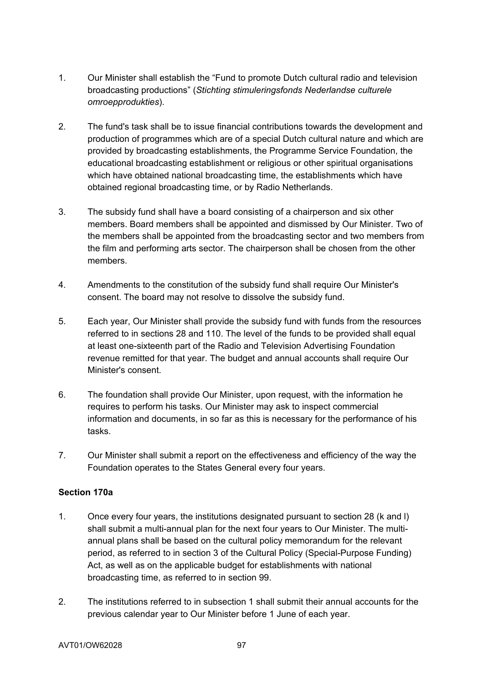- 1. Our Minister shall establish the "Fund to promote Dutch cultural radio and television broadcasting productions" (*Stichting stimuleringsfonds Nederlandse culturele omroepprodukties*).
- 2. The fund's task shall be to issue financial contributions towards the development and production of programmes which are of a special Dutch cultural nature and which are provided by broadcasting establishments, the Programme Service Foundation, the educational broadcasting establishment or religious or other spiritual organisations which have obtained national broadcasting time, the establishments which have obtained regional broadcasting time, or by Radio Netherlands.
- 3. The subsidy fund shall have a board consisting of a chairperson and six other members. Board members shall be appointed and dismissed by Our Minister. Two of the members shall be appointed from the broadcasting sector and two members from the film and performing arts sector. The chairperson shall be chosen from the other members.
- 4. Amendments to the constitution of the subsidy fund shall require Our Minister's consent. The board may not resolve to dissolve the subsidy fund.
- 5. Each year, Our Minister shall provide the subsidy fund with funds from the resources referred to in sections 28 and 110. The level of the funds to be provided shall equal at least one-sixteenth part of the Radio and Television Advertising Foundation revenue remitted for that year. The budget and annual accounts shall require Our Minister's consent.
- 6. The foundation shall provide Our Minister, upon request, with the information he requires to perform his tasks. Our Minister may ask to inspect commercial information and documents, in so far as this is necessary for the performance of his tasks.
- 7. Our Minister shall submit a report on the effectiveness and efficiency of the way the Foundation operates to the States General every four years.

# **Section 170a**

- 1. Once every four years, the institutions designated pursuant to section 28 (k and l) shall submit a multi-annual plan for the next four years to Our Minister. The multiannual plans shall be based on the cultural policy memorandum for the relevant period, as referred to in section 3 of the Cultural Policy (Special-Purpose Funding) Act, as well as on the applicable budget for establishments with national broadcasting time, as referred to in section 99.
- 2. The institutions referred to in subsection 1 shall submit their annual accounts for the previous calendar year to Our Minister before 1 June of each year.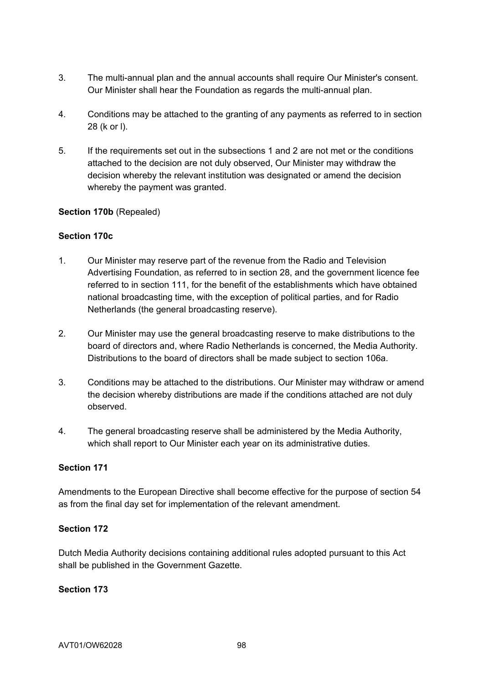- 3. The multi-annual plan and the annual accounts shall require Our Minister's consent. Our Minister shall hear the Foundation as regards the multi-annual plan.
- 4. Conditions may be attached to the granting of any payments as referred to in section 28 (k or l).
- 5. If the requirements set out in the subsections 1 and 2 are not met or the conditions attached to the decision are not duly observed, Our Minister may withdraw the decision whereby the relevant institution was designated or amend the decision whereby the payment was granted.

## **Section 170b** (Repealed)

## **Section 170c**

- 1. Our Minister may reserve part of the revenue from the Radio and Television Advertising Foundation, as referred to in section 28, and the government licence fee referred to in section 111, for the benefit of the establishments which have obtained national broadcasting time, with the exception of political parties, and for Radio Netherlands (the general broadcasting reserve).
- 2. Our Minister may use the general broadcasting reserve to make distributions to the board of directors and, where Radio Netherlands is concerned, the Media Authority. Distributions to the board of directors shall be made subject to section 106a.
- 3. Conditions may be attached to the distributions. Our Minister may withdraw or amend the decision whereby distributions are made if the conditions attached are not duly observed.
- 4. The general broadcasting reserve shall be administered by the Media Authority, which shall report to Our Minister each year on its administrative duties.

## **Section 171**

Amendments to the European Directive shall become effective for the purpose of section 54 as from the final day set for implementation of the relevant amendment.

## **Section 172**

Dutch Media Authority decisions containing additional rules adopted pursuant to this Act shall be published in the Government Gazette.